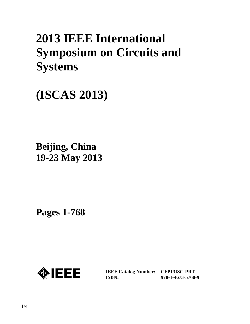# **2013 IEEE International Symposium on Circuits and Systems**

**(ISCAS 2013)**

**Beijing, China 19-23 May 2013**

**Pages 1-768** 



**IEEE Catalog Number: CFP13ISC-PRT ISBN:** 

**978-1-4673-5760-9**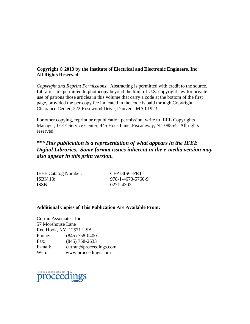## **Copyright © 2013 by the Institute of Electrical and Electronic Engineers, Inc All Rights Reserved**

*Copyright and Reprint Permissions*: Abstracting is permitted with credit to the source. Libraries are permitted to photocopy beyond the limit of U.S. copyright law for private use of patrons those articles in this volume that carry a code at the bottom of the first page, provided the per-copy fee indicated in the code is paid through Copyright Clearance Center, 222 Rosewood Drive, Danvers, MA 01923.

For other copying, reprint or republication permission, write to IEEE Copyrights Manager, IEEE Service Center, 445 Hoes Lane, Piscataway, NJ 08854. All rights reserved.

# *\*\*\*This publication is a representation of what appears in the IEEE Digital Libraries. Some format issues inherent in the e-media version may also appear in this print version.*

IEEE Catalog Number: CFP13ISC-PRT ISBN 13: 978-1-4673-5760-9 ISSN: 0271-4302

### **Additional Copies of This Publication Are Available From:**

Curran Associates, Inc 57 Morehouse Lane Red Hook, NY 12571 USA Phone: (845) 758-0400 Fax: (845) 758-2633 E-mail: curran@proceedings.com Web: www.proceedings.com

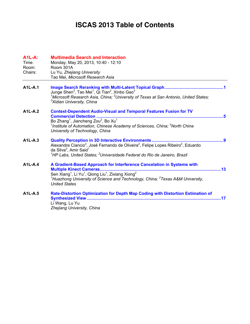# **ISCAS 2013 Table of Contents**

| <b>A1L-A:</b><br>Time:<br>Room:<br>Chairs: | <b>Multimedia Search and Interaction</b><br>Monday, May 20, 2013, 10:40 - 12:10<br>Room 301A<br>Lu Yu, Zhejiang University<br>Tao Mei, Microsoft Research Asia                                                                                                                                                                          |
|--------------------------------------------|-----------------------------------------------------------------------------------------------------------------------------------------------------------------------------------------------------------------------------------------------------------------------------------------------------------------------------------------|
| <b>A1L-A.1</b>                             | Junge Shen <sup>3</sup> , Tao Mei <sup>1</sup> , Qi Tian <sup>2</sup> , Xinbo Gao <sup>3</sup><br><sup>1</sup> Microsoft Research Asia, China; <sup>2</sup> University of Texas at San Antonio, United States;<br><sup>3</sup> Xidian University, China                                                                                 |
| <b>A1L-A.2</b>                             | <b>Context-Dependent Audio-Visual and Temporal Features Fusion for TV</b><br><b>Commercial Detection.</b><br>Bo Zhang <sup>1</sup> , Jiancheng Zou <sup>2</sup> , Bo Xu <sup>1</sup><br><sup>1</sup> Institute of Automation, Chinese Academy of Sciences, China; <sup>2</sup> North China<br>University of Technology, China           |
| $A1L-A.3$                                  | Alexandre Ciancio <sup>2</sup> , José Fernando de Oliveira <sup>2</sup> , Felipe Lopes Ribeiro <sup>2</sup> , Eduardo<br>da Silva <sup>2</sup> , Amir Said <sup>1</sup><br><sup>1</sup> HP Labs, United States; <sup>2</sup> Universidade Federal do Rio de Janeiro, Brazil                                                             |
| $A1L-A.4$                                  | A Gradient-Based Approach for Interference Cancelation in Systems with<br>Multiple Kinect Cameras<br>Sen Xiang <sup>1</sup> , Li Yu <sup>1</sup> , Qiong Liu <sup>1</sup> , Zixiang Xiong <sup>2</sup><br><sup>1</sup> Huazhong University of Science and Technology, China; <sup>2</sup> Texas A&M University,<br><b>United States</b> |
| <b>A1L-A.5</b>                             | Rate-Distortion Optimization for Depth Map Coding with Distortion Estimation of<br>.17<br>Li Wang, Lu Yu<br>Zhejiang University, China                                                                                                                                                                                                  |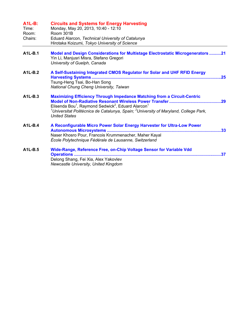| $A1L-B$ :<br>Time:<br>Room:<br>Chairs: | <b>Circuits and Systems for Energy Harvesting</b><br>Monday, May 20, 2013, 10:40 - 12:10<br>Room 301B<br>Eduard Alarcon, Technical University of Catalunya<br>Hirotaka Koizumi, Tokyo University of Science                                                                                                      |     |
|----------------------------------------|------------------------------------------------------------------------------------------------------------------------------------------------------------------------------------------------------------------------------------------------------------------------------------------------------------------|-----|
| <b>A1L-B.1</b>                         | <b>Model and Design Considerations for Multistage Electrostatic Microgenerators 21</b><br>Yin Li, Manjusri Misra, Stefano Gregori<br>University of Guelph, Canada                                                                                                                                                |     |
| $A1L-B.2$                              | A Self-Sustaining Integrated CMOS Regulator for Solar and UHF RFID Energy<br><b>Harvesting Systems</b><br>Tsung-Heng Tsai, Bo-Han Song<br>National Chung Cheng University, Taiwan                                                                                                                                | 25  |
| $A1L-B.3$                              | <b>Maximizing Efficiency Through Impedance Matching from a Circuit-Centric</b><br>Elisenda Bou <sup>1</sup> , Raymond Sedwick <sup>2</sup> , Eduard Alarcon <sup>1</sup><br><sup>1</sup> Universitat Politècnica de Catalunya, Spain; <sup>2</sup> University of Maryland, College Park,<br><b>United States</b> |     |
| $A1L-B.4$                              | A Reconfigurable Micro Power Solar Energy Harvester for Ultra-Low Power<br>Naser Khosro Pour, Francois Krummenacher, Maher Kayal<br>École Polytechnique Fédérale de Lausanne, Switzerland                                                                                                                        |     |
| A1L-B.5                                | Wide-Range, Reference Free, on-Chip Voltage Sensor for Variable Vdd<br><b>Operations </b><br>Delong Shang, Fei Xia, Alex Yakovlev<br>Newcastle University, United Kingdom                                                                                                                                        | .37 |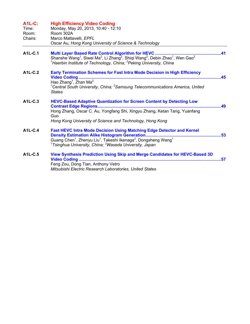| <b>A1L-C:</b><br>Time:<br>Room:<br>Chairs: | <b>High Efficiency Video Coding</b><br>Monday, May 20, 2013, 10:40 - 12:10<br>Room 302A<br>Marco Mattavelli, EPFL<br>Oscar Au, Hong Kong University of Science & Technology                                                                                                                                                                     |
|--------------------------------------------|-------------------------------------------------------------------------------------------------------------------------------------------------------------------------------------------------------------------------------------------------------------------------------------------------------------------------------------------------|
| A1L-C.1                                    | Shanshe Wang <sup>1</sup> , Siwei Ma <sup>2</sup> , Li Zhang <sup>2</sup> , Shiqi Wang <sup>2</sup> , Debin Zhao <sup>1</sup> , Wen Gao <sup>2</sup><br><sup>1</sup> Haerbin Institute of Technology, China; <sup>2</sup> Peking University, China                                                                                              |
| A <sub>1</sub> L <sub>-C</sub> .2          | Early Termination Schemes for Fast Intra Mode Decision in High Efficiency<br>45<br>Hao Zhang <sup>1</sup> , Zhan Ma <sup>2</sup><br><sup>1</sup> Central South University, China; <sup>2</sup> Samsung Telecommunications America, United<br><b>States</b>                                                                                      |
| A1L-C.3                                    | <b>HEVC-Based Adaptive Quantization for Screen Content by Detecting Low</b><br><b>Contrast Edge Regions</b><br>49<br>Hong Zhang, Oscar C. Au, Yongfang Shi, Xingyu Zhang, Ketan Tang, Yuanfang<br>Guo<br>Hong Kong University of Science and Technology, Hong Kong                                                                              |
| <b>A1L-C.4</b>                             | <b>Fast HEVC Intra Mode Decision Using Matching Edge Detector and Kernel</b><br><b>Density Estimation Alike Histogram Generation</b><br>.53<br>Guang Chen <sup>1</sup> , Zhenyu Liu <sup>1</sup> , Takeshi Ikenaga <sup>2</sup> , Dongsheng Wang <sup>1</sup><br><sup>1</sup> Tsinghua University, China; <sup>2</sup> Waseda University, Japan |
| A1L-C.5                                    | View Synthesis Prediction Using Skip and Merge Candidates for HEVC-Based 3D<br><b>Video Coding </b><br>.57<br>Feng Zou, Dong Tian, Anthony Vetro<br>Mitsubishi Electric Research Laboratories, United States                                                                                                                                    |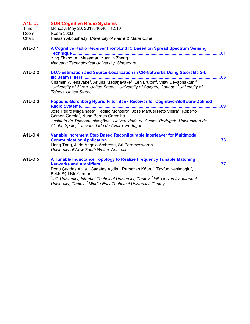| <b>A1L-D:</b>                    | <b>SDR/Cognitive Radio Systems</b>                                                                                                                                                                                                                                                      |     |
|----------------------------------|-----------------------------------------------------------------------------------------------------------------------------------------------------------------------------------------------------------------------------------------------------------------------------------------|-----|
| Time:                            | Monday, May 20, 2013, 10:40 - 12:10                                                                                                                                                                                                                                                     |     |
| Room:                            | Room 302B                                                                                                                                                                                                                                                                               |     |
| Chair:                           | Hassan Aboushady, University of Pierre & Marie Curie                                                                                                                                                                                                                                    |     |
| A1L-D.1                          | A Cognitive Radio Receiver Front-End IC Based on Spread Spectrum Sensing<br>Technique                                                                                                                                                                                                   |     |
|                                  | Ying Zhang, Ali Meaamar, Yuanjin Zheng                                                                                                                                                                                                                                                  |     |
|                                  | Nanyang Technological University, Singapore                                                                                                                                                                                                                                             |     |
| A1L-D.2                          | DOA-Estimation and Source-Localization in CR-Networks Using Steerable 2-D<br>. 65                                                                                                                                                                                                       |     |
|                                  | Chamith Wijenayake <sup>1</sup> , Arjuna Madanayake <sup>1</sup> , Len Bruton <sup>2</sup> , Vijay Devabhaktuni <sup>3</sup><br><sup>1</sup> University of Akron, United States; <sup>2</sup> University of Calgary, Canada; <sup>3</sup> University of<br><b>Toledo, United States</b> |     |
| A1L-D.3                          | Papoulis-Gerchberg Hybrid Filter Bank Receiver for Cognitive-/Software-Defined                                                                                                                                                                                                          |     |
|                                  | José Pedro Magalhães <sup>3</sup> , Teófilo Monteiro <sup>3</sup> , José Manuel Neto Vieira <sup>3</sup> , Roberto<br>Gómez-García <sup>2</sup> , Nuno Borges Carvalho <sup>1</sup>                                                                                                     |     |
|                                  | <sup>1</sup> Instituto de Telecomunicações - Universidade de Aveiro, Portugal; <sup>2</sup> Universidad de<br>Alcalá, Spain; <sup>3</sup> Universidade de Aveiro, Portugal                                                                                                              |     |
| $A1L-D.4$                        | Variable Increment Step Based Reconfigurable Interleaver for Multimode                                                                                                                                                                                                                  |     |
|                                  |                                                                                                                                                                                                                                                                                         | .73 |
|                                  | Liang Tang, Jude Angelo Ambrose, Sri Parameswaran<br>University of New South Wales, Australia                                                                                                                                                                                           |     |
| A <sub>1</sub> L-D <sub>.5</sub> | A Tunable Inductance Topology to Realize Frequency Tunable Matching                                                                                                                                                                                                                     |     |
|                                  | Networks and Amplifiers<br>Dogu Çagdas Atilla <sup>2</sup> , Çagatay Aydin <sup>2</sup> , Ramazan Köprü <sup>1</sup> , Tayfun Nesimoglu <sup>3</sup> ,<br>Bekir Sýddýk Yarman <sup>2</sup>                                                                                              | .77 |
|                                  | <sup>1</sup> Isik University, Istanbul Technical University, Turkey; <sup>2</sup> Isik University, Istanbul                                                                                                                                                                             |     |
|                                  | University, Turkey; <sup>3</sup> Middle East Technical University, Turkey                                                                                                                                                                                                               |     |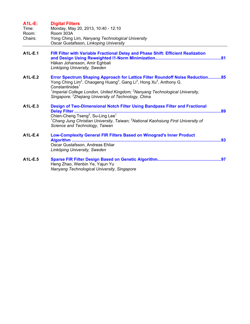| $A1L-E$ :<br>Time:<br>Room:<br>Chairs: | <b>Digital Filters</b><br>Monday, May 20, 2013, 10:40 - 12:10<br>Room 303A<br>Yong Ching Lim, Nanyang Technological University<br>Oscar Gustafsson, Linkoping University                                                                                                                                                                                                                                         |
|----------------------------------------|------------------------------------------------------------------------------------------------------------------------------------------------------------------------------------------------------------------------------------------------------------------------------------------------------------------------------------------------------------------------------------------------------------------|
| <b>A1L-E.1</b>                         | FIR Filter with Variable Fractional Delay and Phase Shift: Efficient Realization<br>Håkan Johansson, Amir Eghbali<br>Linköping University, Sweden                                                                                                                                                                                                                                                                |
| A1L-E.2                                | Error Spectrum Shaping Approach for Lattice Filter Roundoff Noise Reduction85<br>Yong Ching Lim <sup>2</sup> , Chaogeng Huang <sup>3</sup> , Gang Li <sup>3</sup> , Hong Xu <sup>3</sup> , Anthony G.<br>Constantinides <sup>1</sup><br><sup>1</sup> Imperial College London, United Kingdom; <sup>2</sup> Nanyang Technological University,<br>Singapore; <sup>3</sup> Zhejiang University of Technology, China |
| A1L-E.3                                | Design of Two-Dimensional Notch Filter Using Bandpass Filter and Fractional<br><b>Delay Filter</b><br>.89<br>Chien-Cheng Tseng <sup>2</sup> , Su-Ling Lee <sup>1</sup><br><sup>1</sup> Chang Jung Christian University, Taiwan; <sup>2</sup> National Kaohsiung First University of<br>Science and Technology, Taiwan                                                                                            |
| A1L-E.4                                | Low-Complexity General FIR Filters Based on Winograd's Inner Product<br>Oscar Gustafsson, Andreas Ehliar<br>Linköping University, Sweden                                                                                                                                                                                                                                                                         |
| A1L-E.5                                | Heng Zhao, Wenbin Ye, Yajun Yu<br>Nanyang Technological University, Singapore                                                                                                                                                                                                                                                                                                                                    |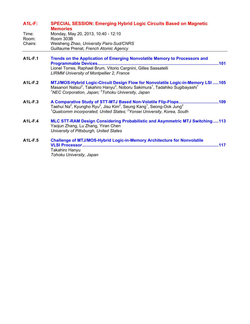#### **A1L-F: SPECIAL SESSION: Emerging Hybrid Logic Circuits Based on Magnetic Memories**

| Time:   | Monday, May 20, 2013, 10:40 - 12:10      |
|---------|------------------------------------------|
| Room:   | Room 303B                                |
| Chairs: | Weisheng Zhao, University Pairs-Sud/CNRS |
|         | Guillaume Prenat, French Atomic Agency   |

- **A1L-F.1 Trends on the Application of Emerging Nonvolatile Memory to Processors and Programmable Devices.......................................................................................................101**  Lionel Torres, Raphael Brum, Vitorio Cargnini, Gilles Sassatelli *LIRMM University of Montpellier 2, France*
- **A1L-F.2 MTJ/MOS-Hybrid Logic-Circuit Design Flow for Nonvolatile Logic-in-Memory LSI .....105**  Masanori Natsui<sup>2</sup>, Takahiro Hanyu<sup>2</sup>, Noboru Sakimura<sup>1</sup>, Tadahiko Sugibayashi<sup>1</sup> *1 NEC Corporation, Japan; <sup>2</sup> Tohoku University, Japan*
- **A1L-F.3 A Comparative Study of STT-MTJ Based Non-Volatile Flip-Flops..................................109**  Taehui Na<sup>2</sup>, Kyungho Ryu<sup>2</sup>, Jisu Kim<sup>2</sup>, Seung Kang<sup>1</sup>, Seong-Ook Jung<sup>2</sup> *1 Qualcomm incorporated, United States; <sup>2</sup> Yonsei University, Korea, South*

#### **A1L-F.4 MLC STT-RAM Design Considering Probabilistic and Asymmetric MTJ Switching.....113**  Yaojun Zhang, Lu Zhang, Yiran Chen *University of Pittsburgh, United States*

**A1L-F.5 Challenge of MTJ/MOS-Hybrid Logic-in-Memory Architecture for Nonvolatile VLSI Processor....................................................................................................................117**  Takahiro Hanyu *Tohoku University, Japan*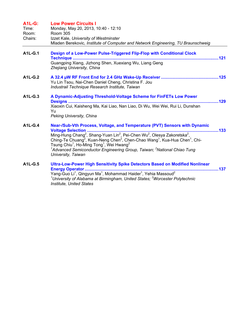| <b>A1L-G:</b><br>Time:<br>Room:<br>Chairs: | <b>Low Power Circuits I</b><br>Monday, May 20, 2013, 10:40 - 12:10<br><b>Room 305</b><br>Izzet Kale, University of Westminster<br>Mladen Berekovic, Institute of Computer and Network Engineering, TU Braunschweig                                                                                                                                                                                                 |
|--------------------------------------------|--------------------------------------------------------------------------------------------------------------------------------------------------------------------------------------------------------------------------------------------------------------------------------------------------------------------------------------------------------------------------------------------------------------------|
| <b>A1L-G.1</b>                             | Design of a Low-Power Pulse-Triggered Flip-Flop with Conditional Clock<br><b>Technique </b><br>Guangping Xiang, Jizhong Shen, Xuexiang Wu, Liang Geng<br>Zhejiang University, China                                                                                                                                                                                                                                |
| $A1L-G.2$                                  | Yu Lin Tsou, Nai-Chen Daniel Cheng, Christina F. Jou<br>Industrail Technique Research Institute, Taiwan                                                                                                                                                                                                                                                                                                            |
| A1L-G.3                                    | A Dynamic-Adjusting Threshold-Voltage Scheme for FinFETs Low Power<br>Xiaoxin Cui, Kaisheng Ma, Kai Liao, Nan Liao, Di Wu, Wei Wei, Rui Li, Dunshan<br>Yu<br>Peking University, China                                                                                                                                                                                                                              |
| <b>A1L-G.4</b>                             | Near-/Sub-Vth Process, Voltage, and Temperature (PVT) Sensors with Dynamic<br>Ching-Te Chuang <sup>2</sup> , Kuan-Neng Chen <sup>2</sup> , Chen-Chao Wang <sup>1</sup> , Kua-Hua Chen <sup>1</sup> , Chi-<br>Tsung Chiu <sup>1</sup> , Ho-Ming Tong <sup>1</sup> , Wei Hwang <sup>2</sup><br><sup>1</sup> Advanced Semiconductor Engineering Group, Taiwan; <sup>2</sup> National Chiao Tung<br>University, Taiwan |
| A1L-G.5                                    | Ultra-Low-Power High Sensitivity Spike Detectors Based on Modified Nonlinear<br>Yang-Guo Li <sup>1</sup> , Qingyun Ma <sup>1</sup> , Mohammad Haider <sup>1</sup> , Yehia Massoud <sup>2</sup><br><sup>1</sup> University of Alabama at Birmingham, United States; <sup>2</sup> Worcester Polytechnic<br><b>Institute. United States</b>                                                                           |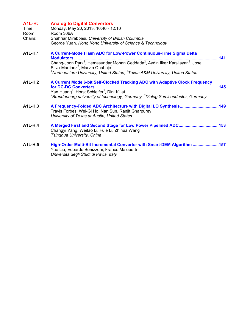| <b>A1L-H:</b><br>Time:<br>Room:<br>Chairs: | <b>Analog to Digital Convertors</b><br>Monday, May 20, 2013, 10:40 - 12:10<br>Room 306A<br>Shahriar Mirabbasi, University of British Columbia<br>George Yuan, Hong Kong University of Science & Technology                                                                 |      |
|--------------------------------------------|----------------------------------------------------------------------------------------------------------------------------------------------------------------------------------------------------------------------------------------------------------------------------|------|
| A <sub>1</sub> L-H <sub>.1</sub>           | A Current-Mode Flash ADC for Low-Power Continuous-Time Sigma Delta                                                                                                                                                                                                         |      |
|                                            | Chang-Joon Park <sup>2</sup> , Hemasundar Mohan Geddada <sup>2</sup> , Aydin Ilker Karsilayan <sup>2</sup> , Jose<br>Silva-Martinez <sup>2</sup> , Marvin Onabajo <sup>1</sup><br>$1$ Northeastern University, United States; $2$ Texas A&M University, United States      |      |
| $A1L-H.2$                                  | A Current Mode 6-bit Self-Clocked Tracking ADC with Adaptive Clock Frequency<br>Yan Huang <sup>1</sup> , Horst Schleifer <sup>2</sup> , Dirk Killat <sup>1</sup><br><sup>1</sup> Brandenburg university of technology, Germany; <sup>2</sup> Dialog Semiconductor, Germany | .145 |
| A1L-H.3                                    | A Frequency-Folded ADC Architecture with Digital LO Synthesis149<br>Travis Forbes, Wei-Gi Ho, Nan Sun, Ranjit Gharpurey<br>University of Texas at Austin, United States                                                                                                    |      |
| A1L-H.4                                    | A Merged First and Second Stage for Low Power Pipelined ADC153<br>Changyi Yang, Weitao Li, Fule Li, Zhihua Wang<br>Tsinghua University, China                                                                                                                              |      |
| A <sub>1</sub> L-H <sub>.5</sub>           | High-Order Multi-Bit Incremental Converter with Smart-DEM Algorithm 157<br>Yao Liu, Edoardo Bonizzoni, Franco Maloberti<br>Università degli Studi di Pavia, Italy                                                                                                          |      |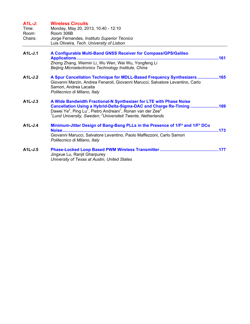|  | $A1L-J:$ | <b>Wireless Circuits</b> |  |
|--|----------|--------------------------|--|
|--|----------|--------------------------|--|

| Time:   | Monday, May 20, 2013, 10:40 - 12:10         |
|---------|---------------------------------------------|
| Room:   | Room 306B                                   |
| Chairs: | Jorge Fernandes, Instituto Superior Técnico |
|         | Luis Oliveira, Tech. University of Lisbon   |

- **A1L-J.1 A Configurable Multi-Band GNSS Receiver for Compass/GPS/Galileo Applications.........................................................................................................................161**  Zhong Zhang, Weimin Li, Wu Wen, Wei Wu, Yongfeng Li *Beijing Microelectronics Technology Institute, China*
- **A1L-J.2 A Spur Cancellation Technique for MDLL-Based Frequency Synthesizers ..................165**  Giovanni Marzin, Andrea Fenaroli, Giovanni Marucci, Salvatore Levantino, Carlo Samori, Andrea Lacaita *Politecnico di Milano, Italy*
- **A1L-J.3 A Wide Bandwidth Fractional-N Synthesizer for LTE with Phase Noise Cancellation Using a Hybrid-Delta-Sigma-DAC and Charge Re-Timing ........................169**  Dawei Ye<sup>2</sup>, Ping Lu<sup>1</sup>, Pietro Andreani<sup>1</sup>, Ronan van der Zee<sup>2</sup> <sup>1</sup> Lund University, Sweden; <sup>2</sup> Universiteit Twente, Netherlands
- **A1L-J.4 Minimum-Jitter Design of Bang-Bang PLLs in the Presence of 1/F² and 1/F³ DCo Noise.....................................................................................................................................173**  Giovanni Marucci, Salvatore Levantino, Paolo Maffezzoni, Carlo Samori *Politecnico di Milano, Italy*
- **A1L-J.5 Phase-Locked Loop Based PWM Wireless Transmitter ..................................................177**  Jingxue Lu, Ranjit Gharpurey *University of Texas at Austin, United States*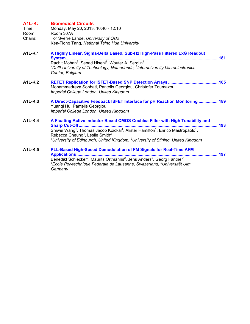| $A1L-K:$<br>Time:<br>Room:<br>Chairs: | <b>Biomedical Circuits</b><br>Monday, May 20, 2013, 10:40 - 12:10<br>Room 307A<br>Tor Sverre Lande, University of Oslo<br>Kea-Tiong Tang, National Tsing Hua University                                                                                                                                                                                                                                               |
|---------------------------------------|-----------------------------------------------------------------------------------------------------------------------------------------------------------------------------------------------------------------------------------------------------------------------------------------------------------------------------------------------------------------------------------------------------------------------|
| A1L-K.1                               | A Highly Linear, Sigma-Delta Based, Sub-Hz High-Pass Filtered ExG Readout<br>Rachit Mohan <sup>2</sup> , Senad Hiseni <sup>1</sup> , Wouter A. Serdijn <sup>1</sup><br><sup>1</sup> De <sup>re</sup> Linixoni <sup>2</sup> , Senad Hiseni <sup>1</sup> , Wouter A. Serdijn <sup>1</sup><br><sup>1</sup> Delft University of Technology, Netherlands; <sup>2</sup> Interuniversity Microelectronics<br>Center, Belgium |
| A1L-K.2                               | Mohammadreza Sohbati, Pantelis Georgiou, Christofer Toumazou<br>Imperial College London, United Kingdom                                                                                                                                                                                                                                                                                                               |
| A1L-K.3                               | A Direct-Capacitive Feedback ISFET Interface for pH Reaction Monitoring  189<br>Yuangi Hu, Pantelis Georgiou<br>Imperial College London, United Kingdom                                                                                                                                                                                                                                                               |
| <b>A1L-K.4</b>                        | A Floating Active Inductor Based CMOS Cochlea Filter with High Tunability and<br>Shiwei Wang <sup>1</sup> , Thomas Jacob Koickal <sup>1</sup> , Alister Hamilton <sup>1</sup> , Enrico Mastropaolo <sup>1</sup> ,<br>Rebecca Cheung <sup>1</sup> , Leslie Smith <sup>2</sup><br><sup>1</sup> University of Edinburgh, United Kingdom; <sup>2</sup> University of Stirling, United Kingdom                             |
| A1L-K.5                               | PLL-Based High-Speed Demodulation of FM Signals for Real-Time AFM<br>${}^{1}$ Ecole Polytechnique Federale de Lausanne, Switzerland; ${}^{2}$ Universität Ulm,<br>Germany                                                                                                                                                                                                                                             |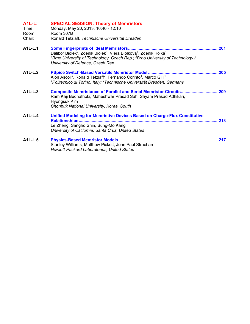| <b>A1L-L:</b><br>Time:<br>Room:<br>Chair: | <b>SPECIAL SESSION: Theory of Memristors</b><br>Monday, May 20, 2013, 10:40 - 12:10<br>Room 307B<br>Ronald Tetzlaff, Technische Universität Dresden                                                                                                         |      |
|-------------------------------------------|-------------------------------------------------------------------------------------------------------------------------------------------------------------------------------------------------------------------------------------------------------------|------|
| A1L-L.1                                   | Dalibor Biolek <sup>2</sup> , Zdenik Biolek <sup>1</sup> , Viera Biolková <sup>1</sup> , Zdenik Kolka <sup>1</sup><br><sup>1</sup> Brno University of Technology, Czech Rep.; ${}^{2}$ Brno University of Technology /<br>University of Defence, Czech Rep. |      |
| A1L-L.2                                   | Alon Ascoli <sup>2</sup> , Ronald Tetzlaff <sup>2</sup> , Fernando Corinto <sup>1</sup> , Marco Gilli <sup>1</sup><br><sup>1</sup> Politecnico di Torino, Italy; <sup>2</sup> Technische Universität Dresden, Germany                                       | .205 |
| A1L-L.3                                   | <b>Composite Memristance of Parallel and Serial Memristor Circuits</b><br>Ram Kaji Budhathoki, Maheshwar Prasad Sah, Shyam Prasad Adhikari,<br>Hyongsuk Kim<br>Chonbuk National University, Korea, South                                                    | .209 |
| $A1L-L.4$                                 | <b>Unified Modeling for Memristive Devices Based on Charge-Flux Constitutive</b><br><b>Relationships</b><br>Le Zheng, Sangho Shin, Sung-Mo Kang<br>University of California, Santa Cruz, United States                                                      | 213  |
| A1L-L.5                                   | Stanley Williams, Matthew Pickett, John Paul Strachan<br><b>Hewlett-Packard Laboratories, United States</b>                                                                                                                                                 | .217 |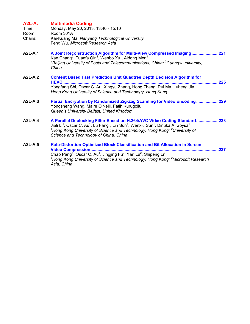| <b>A2L-A:</b><br>Time:<br>Room:<br>Chairs: | <b>Multimedia Coding</b><br>Monday, May 20, 2013, 13:40 - 15:10<br>Room 301A<br>Kai-Kuang Ma, Nanyang Technological University<br>Feng Wu, Microsoft Research Asia                                                                                                                                                                                                               |
|--------------------------------------------|----------------------------------------------------------------------------------------------------------------------------------------------------------------------------------------------------------------------------------------------------------------------------------------------------------------------------------------------------------------------------------|
| <b>A2L-A.1</b>                             | A Joint Reconstruction Algorithm for Multi-View Compressed Imaging221<br>Kan Chang <sup>2</sup> , Tuanfa Qin <sup>2</sup> , Wenbo Xu <sup>1</sup> , Aidong Men <sup>1</sup><br><sup>1</sup> Beijing University of Posts and Telecommunications, China; <sup>2</sup> Guangxi university,<br>China                                                                                 |
| <b>A2L-A.2</b>                             | <b>Content Based Fast Prediction Unit Quadtree Depth Decision Algorithm for</b><br>HEVC<br>225<br>Yongfang Shi, Oscar C. Au, Xingyu Zhang, Hong Zhang, Rui Ma, Luheng Jia<br>Hong Kong University of Science and Technology, Hong Kong                                                                                                                                           |
| $A2L-A.3$                                  | Partial Encryption by Randomized Zig-Zag Scanning for Video Encoding229<br>Yongsheng Wang, Maire O'Neill, Fatih Kurugollu<br>Queen's University Belfast, United Kingdom                                                                                                                                                                                                          |
| $A2L-A.4$                                  | A Parallel Deblocking Filter Based on H.264/AVC Video Coding Standard<br>.233<br>Jiali Li <sup>1</sup> , Oscar C. Au <sup>1</sup> , Lu Fang <sup>2</sup> , Lin Sun <sup>1</sup> , Wenxiu Sun <sup>1</sup> , Dinuka A. Soysa <sup>1</sup><br>$^1$ Hong Kong University of Science and Technology, Hong Kong; $^2$ University of<br>Science and Technology of China, China         |
| $A2L-A.5$                                  | <b>Rate-Distortion Optimized Block Classification and Bit Allocation in Screen</b><br><b>Video Compression.</b><br>237<br>Chao Pang <sup>1</sup> , Oscar C. Au <sup>1</sup> , Jingjing Fu <sup>2</sup> , Yan Lu <sup>2</sup> , Shipeng Li <sup>2</sup><br><sup>1</sup> Hong Kong University of Science and Technology, Hong Kong; <sup>2</sup> Microsoft Research<br>Asia, China |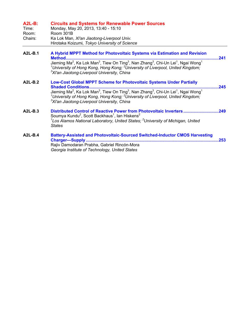#### **A2L-B: Circuits and Systems for Renewable Power Sources**  Time: Monday, May 20, 2013, 13:40 - 15:10

| TIME.   | MONGAY, MAY ZU, ZUT3, 13.40 - 15.10           |
|---------|-----------------------------------------------|
| Room:   | Room 301B                                     |
| Chairs: | Ka Lok Man, Xi'an Jiaotong-Liverpool Univ.    |
|         | Hirotaka Koizumi, Tokyo University of Science |

- **A2L-B.1 A Hybrid MPPT Method for Photovoltaic Systems via Estimation and Revision Method..................................................................................................................................241**  Jieming Ma $^2$ , Ka Lok Man $^3$ , Tiew On Ting $^3$ , Nan Zhang $^3$ , Chi-Un Lei $^1$ , Ngai Wong $^1$ *1 University of Hong Kong, Hong Kong; <sup>2</sup> University of Liverpool, United Kingdom; 3 Xi'an Jiaotong-Liverpool University, China*  **A2L-B.2 Low-Cost Global MPPT Scheme for Photovoltaic Systems Under Partially** 
	- **Shaded Conditions..............................................................................................................245**  Jieming Ma<sup>2</sup>, Ka Lok Man<sup>3</sup>, Tiew On Ting<sup>3</sup>, Nan Zhang<sup>3</sup>, Chi-Un Lei<sup>1</sup>, Ngai Wong<sup>1</sup> *1 University of Hong Kong, Hong Kong; <sup>2</sup> University of Liverpool, United Kingdom; 3 Xi'an Jiaotong-Liverpool University, China*

#### **A2L-B.3 Distributed Control of Reactive Power from Photovoltaic Inverters..............................249**  Soumya Kundu<sup>2</sup>, Scott Backhaus<sup>1</sup>, Ian Hiskens<sup>2</sup> <sup>1</sup> Los Alamos National Laboratory, United States; <sup>2</sup> University of Michigan, United *States*

**A2L-B.4 Battery-Assisted and Photovoltaic-Sourced Switched-Inductor CMOS Harvesting Charger—Supply.................................................................................................................253**  Rajiv Damodaran Prabha, Gabriel Rincón-Mora *Georgia Institute of Technology, United States*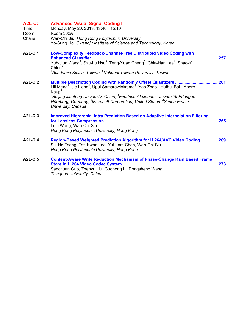| <b>A2L-C:</b><br>Time:<br>Room:<br>Chairs: | <b>Advanced Visual Signal Coding I</b><br>Monday, May 20, 2013, 13:40 - 15:10<br>Room 302A<br>Wan-Chi Siu, Hong Kong Polytechnic University<br>Yo-Sung Ho, Gwangju Institute of Science and Technology, Korea                                                                                                                                                                                         |
|--------------------------------------------|-------------------------------------------------------------------------------------------------------------------------------------------------------------------------------------------------------------------------------------------------------------------------------------------------------------------------------------------------------------------------------------------------------|
| <b>A2L-C.1</b>                             | <b>Low-Complexity Feedback-Channel-Free Distributed Video Coding with</b><br>.257<br>Yuh-Jiun Wang <sup>2</sup> , Szu-Lu Hsu <sup>2</sup> , Teng-Yuan Cheng <sup>2</sup> , Chia-Han Lee <sup>1</sup> , Shao-Yi<br>Chien <sup>2</sup><br><sup>1</sup> Academia Sinica, Taiwan; <sup>2</sup> National Taiwan University, Taiwan                                                                         |
| A2L-C.2                                    | Lili Meng <sup>1</sup> , Jie Liang <sup>4</sup> , Upul Samarawickrama <sup>3</sup> , Yao Zhao <sup>1</sup> , Huihui Bai <sup>1</sup> , Andre<br>Kaup <sup>2</sup><br><sup>1</sup> Beijing Jiaotong University, China; <sup>2</sup> Friedrich-Alexander-Universität Erlangen-<br>Nürnberg, Germany; <sup>3</sup> Microsoft Corporation, United States; <sup>4</sup> Simon Fraser<br>University, Canada |
| A2L-C.3                                    | <b>Improved Hierarchial Intra Prediction Based on Adaptive Interpolation Filtering</b><br>.265<br>Li-Li Wang, Wan-Chi Siu<br>Hong Kong Polytechnic University, Hong Kong                                                                                                                                                                                                                              |
| A2L-C.4                                    | Region-Based Weighted Prediction Algorithm for H.264/AVC Video Coding 269<br>Sik-Ho Tsang, Tsz-Kwan Lee, Yui-Lam Chan, Wan-Chi Siu<br>Hong Kong Polytechnic University, Hong Kong                                                                                                                                                                                                                     |
| A2L-C.5                                    | <b>Content-Aware Write Reduction Mechanism of Phase-Change Ram Based Frame</b><br>Store in H.264 Video Codec System<br>.273<br>Sanchuan Guo, Zhenyu Liu, Guohong Li, Dongsheng Wang<br>Tsinghua University, China                                                                                                                                                                                     |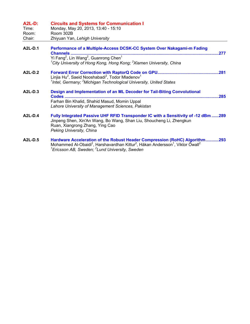| <b>A2L-D:</b><br>Time:<br>Room:<br>Chair: | <b>Circuits and Systems for Communication I</b><br>Monday, May 20, 2013, 13:40 - 15:10<br>Room 302B<br>Zhiyuan Yan, Lehigh University                                                                                                                                                  |
|-------------------------------------------|----------------------------------------------------------------------------------------------------------------------------------------------------------------------------------------------------------------------------------------------------------------------------------------|
| A2L-D.1                                   | Performance of a Multiple-Access DCSK-CC System Over Nakagami-m Fading<br>Channels.<br>277<br>Yi Fang <sup>2</sup> , Lin Wang <sup>2</sup> , Guanrong Chen <sup>1</sup><br><sup>1</sup> City University of Hong Kong, Hong Kong; <sup>2</sup> Xiamen University, China                 |
| A2L-D.2                                   | Linjia Hu <sup>2</sup> , Saeid Nooshabadi <sup>2</sup> , Todor Mladenov <sup>1</sup><br><sup>1</sup> Intel, Germany; <sup>2</sup> Michigan Technological University, United States                                                                                                     |
| A2L-D.3                                   | Design and Implementation of an ML Decoder for Tail-Biting Convolutional<br>285<br><br>Farhan Bin Khalid, Shahid Masud, Momin Uppal<br>Lahore University of Management Sciences, Pakistan                                                                                              |
| A2L-D.4                                   | Fully Integrated Passive UHF RFID Transponder IC with a Sensitivity of -12 dBm 289<br>Jinpeng Shen, Xin'An Wang, Bo Wang, Shan Liu, Shoucheng Li, Zhengkun<br>Ruan, Xiangrong Zhang, Ying Cao<br>Peking University, China                                                              |
| A2L-D.5                                   | Hardware Acceleration of the Robust Header Compression (RoHC) Algorithm293<br>Mohammed Al-Obaidi <sup>2</sup> , Harshavardhan Kittur <sup>2</sup> , Håkan Andersson <sup>1</sup> , Viktor Öwall <sup>2</sup><br><sup>1</sup> Ericsson AB, Sweden; <sup>2</sup> Lund University, Sweden |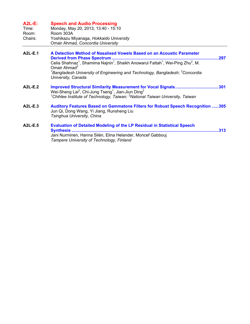| $A2L-E:$<br>Time:<br>Room:<br>Chairs: | <b>Speech and Audio Processing</b><br>Monday, May 20, 2013, 13:40 - 15:10<br>Room 303A<br>Yoshikazu Miyanaga, Hokkaido University<br>Omair Ahmad, Concordia University                                                                                                                                                                                     |
|---------------------------------------|------------------------------------------------------------------------------------------------------------------------------------------------------------------------------------------------------------------------------------------------------------------------------------------------------------------------------------------------------------|
| <b>A2L-E.1</b>                        | A Detection Method of Nasalised Vowels Based on an Acoustic Parameter<br>.297<br>Celia Shahnaz <sup>1</sup> , Shamima Najnin <sup>1</sup> , Shaikh Anowarul Fattah <sup>1</sup> , Wei-Ping Zhu <sup>2</sup> , M.<br>Omair Ahmad <sup>2</sup><br>$^1$ Bangladesh University of Engineering and Technology, Bangladesh; $^2$ Concordia<br>University, Canada |
| A2L-E.2                               | Wei-Sheng Lai <sup>2</sup> , Chi-Jung Tseng <sup>1</sup> , Jian-Jiun Ding <sup>2</sup><br><sup>1</sup> Chihlee Institute of Technology, Taiwan; <sup>2</sup> National Taiwan University, Taiwan                                                                                                                                                            |
| $A2L-E.3$                             | <b>Auditory Features Based on Gammatone Filters for Robust Speech Recognition 305</b><br>Jun Qi, Dong Wang, Yi Jiang, Runsheng Liu<br>Tsinghua University, China                                                                                                                                                                                           |
|                                       |                                                                                                                                                                                                                                                                                                                                                            |

**A2L-E.5 Evaluation of Detailed Modeling of the LP Residual in Statistical Speech Synthesis .............................................................................................................................313**  Jani Nurminen, Hanna Silén, Elina Helander, Moncef Gabbouj *Tampere University of Technology, Finland*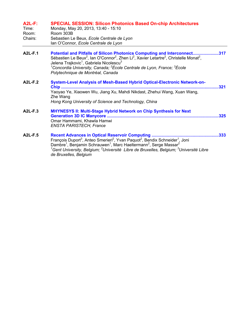| $A2L-F:$ | <b>SPECIAL SESSION: Silicon Photonics Based On-chip Architectures</b> |  |
|----------|-----------------------------------------------------------------------|--|
|----------|-----------------------------------------------------------------------|--|

| Time:   | Monday, May 20, 2013, 13:40 - 15:10       |
|---------|-------------------------------------------|
| Room:   | Room 303B                                 |
| Chairs: | Sebastien Le Beux, Ecole Centrale de Lyon |
|         | Ian O'Connor, Ecole Centrale de Lyon      |

- **A2L-F.1 Potential and Pitfalls of Silicon Photonics Computing and Interconnect......................317**  Sébastien Le Beux<sup>2</sup>, Ian O'Connor<sup>2</sup>, Zhen Li<sup>2</sup>, Xavier Letartre<sup>2</sup>, Christelle Monat<sup>2</sup>, Jelena Trajkovic $^{\rm 1}$ , Gabriela Nicolescu $^{\rm 3}$ *1 Concordia University, Canada; <sup>2</sup> École Centrale de Lyon, France; <sup>3</sup> École Polytechnique de Montréal, Canada*
- **A2L-F.2 System-Level Analysis of Mesh-Based Hybrid Optical-Electronic Network-on-Chip ......................................................................................................................................321**  Yaoyao Ye, Xiaowen Wu, Jiang Xu, Mahdi Nikdast, Zhehui Wang, Xuan Wang, Zhe Wang *Hong Kong University of Science and Technology, China*

| A2L-F.3 | <b>MHYNESYS II: Multi-Stage Hybrid Network on Chip Synthesis for Next</b> |  |
|---------|---------------------------------------------------------------------------|--|
|         |                                                                           |  |
|         | Omar Hammami, Khawla Hamwi                                                |  |
|         | <b>ENSTA PARISTECH, France</b>                                            |  |
|         |                                                                           |  |

**A2L-F.5 Recent Advances in Optical Reservoir Computing .........................................................333**  François Duport<sup>3</sup>, Anteo Smerieri<sup>2</sup>, Yvan Paquot<sup>2</sup>, Bendix Schneider<sup>1</sup>, Joni Dambre<sup>1</sup>, Benjamin Schrauwen<sup>1</sup>, Marc Haeltermann<sup>2</sup>, Serge Massar<sup>2</sup> *1 Gent University, Belgium; <sup>2</sup> Université Libre de Bruxelles, Belgium; <sup>3</sup> Université Libre de Bruxelles, Belgium*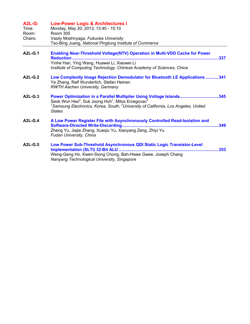| <b>A2L-G:</b><br>Time:<br>Room:<br>Chairs: | <b>Low-Power Logic &amp; Architectures I</b><br>Monday, May 20, 2013, 13:40 - 15:10<br><b>Room 305</b><br>Vasily Moshnyaga, Fukuoka University<br>Tso-Bing Juang, National Pingtung Institute of Commerce                                                                                    |
|--------------------------------------------|----------------------------------------------------------------------------------------------------------------------------------------------------------------------------------------------------------------------------------------------------------------------------------------------|
| <b>A2L-G.1</b>                             | <b>Enabling Near-Threshold Voltage(NTV) Operation in Multi-VDD Cache for Power</b><br>.337<br>Yinhe Han, Ying Wang, Huawei Li, Xiaowei Li<br>Institute of Computing Technology, Chinese Academy of Sciences, China                                                                           |
| <b>A2L-G.2</b>                             | Low Complexity Image Rejection Demodulator for Bluetooth LE Applications 341<br>Ye Zhang, Ralf Wunderlich, Stefan Heinen<br><b>RWTH Aachen University, Germany</b>                                                                                                                           |
| $A2L-G.3$                                  | Power Optimization in a Parallel Multiplier Using Voltage Islands345<br>Seok Won Heo <sup>2</sup> , Suk Joong Huh <sup>1</sup> , Milos Ercegovac <sup>2</sup><br><sup>1</sup> Samsung Electronics, Korea, South; <sup>2</sup> University of California, Los Angeles, United<br><b>States</b> |
| $A2L-G.4$                                  | A Low Power Register File with Asynchronously Controlled Read-Isolation and<br>.349<br>Zheng Yu, Jiajie Zhang, Xueqiu Yu, Xiaoyang Zeng, Zhiyi Yu<br>Fudan University, China                                                                                                                 |
| A2L-G.5                                    | Low Power Sub-Threshold Asynchronous QDI Static Logic Transistor-Level<br>Weng-Geng Ho, Kwen-Siong Chong, Bah-Hwee Gwee, Joseph Chang<br>Nanyang Technological University, Singapore                                                                                                         |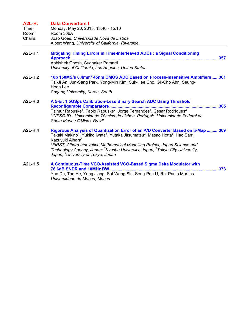#### **A2L-H: Data Convertors I**

| Time:   | Monday, May 20, 2013, 13:40 - 15:10              |
|---------|--------------------------------------------------|
| Room:   | Room 306A                                        |
| Chairs: | João Goes, Universidade Nova de Lisboa           |
|         | Albert Wang, University of California, Riverside |

- **A2L-H.1 Mitigating Timing Errors in Time-Interleaved ADCs : a Signal Conditioning Approach..............................................................................................................................357**  Abhishek Ghosh, Sudhakar Pamarti *University of California, Los Angeles, United States*
- **A2L-H.2 10b 150MS/s 0.4mm² 45nm CMOS ADC Based on Process-Insensitive Amplifiers......361**  Tai-Ji An, Jun-Sang Park, Yong-Min Kim, Suk-Hee Cho, Gil-Cho Ahn, Seung-Hoon Lee *Sogang University, Korea, South*
- **A2L-H.3 A 5-bit 1.5GSps Calibration-Less Binary Search ADC Using Threshold Reconfigurable Comparators.............................................................................................365**  Taimur Rabuske<sup>1</sup>, Fabio Rabuske<sup>2</sup>, Jorge Fernandes<sup>1</sup>, Cesar Rodrigues<sup>2</sup> <sup>1</sup>INESC-ID - Universidade Técnica de Lisboa, Portugal; <sup>2</sup>Universidade Federal de *Santa Maria / GMicro, Brazil*  **A2L-H.4 Rigorous Analysis of Quantization Error of an A/D Converter Based on ß-Map ..........369** 
	- Takaki Makino<sup>4</sup>, Yukiko Iwata<sup>1</sup>, Yutaka Jitsumatsu<sup>2</sup>, Masao Hotta<sup>3</sup>, Hao San<sup>3</sup>, Kazuyuki Aihara<sup>4</sup> *1 FIRST, Aihara Innovative Mathematical Modelling Project, Japan Science and*  Technology Agency, Japan; <sup>2</sup>Kyushu University, Japan; <sup>3</sup>Tokyo City University, *Japan; <sup>4</sup> University of Tokyo, Japan*
- **A2L-H.5 A Continuous-Time VCO-Assisted VCO-Based Sigma Delta Modulator with 76.6dB SNDR and 10MHz BW.............................................................................................373**  Yun Du, Tao He, Yang Jiang, Sai-Weng Sin, Seng-Pan U, Rui-Paulo Martins *Universidade de Macau, Macau*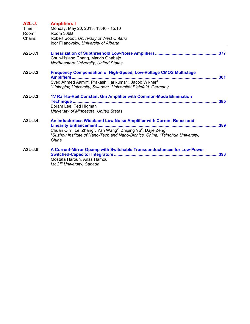| $A2L-J:$<br>Time:<br>Room: | <b>Amplifiers I</b><br>Monday, May 20, 2013, 13:40 - 15:10<br>Room 306B                                                                                                                                                                                                                                          |  |
|----------------------------|------------------------------------------------------------------------------------------------------------------------------------------------------------------------------------------------------------------------------------------------------------------------------------------------------------------|--|
| Chairs:                    | Robert Sobot, University of West Ontario<br>Igor Filanovsky, University of Alberta                                                                                                                                                                                                                               |  |
| A2L-J.1                    | Chun-Hsiang Chang, Marvin Onabajo<br>Northeastern University, United States                                                                                                                                                                                                                                      |  |
| A2L-J.2                    | <b>Frequency Compensation of High-Speed, Low-Voltage CMOS Multistage</b><br><b>Amplifiers</b><br>Syed Ahmed Aamir <sup>2</sup> , Prakash Harikumar <sup>1</sup> , Jacob Wikner <sup>1</sup><br><sup>1</sup> Linköping University, Sweden; <sup>2</sup> Universität Bielefeld, Germany                            |  |
| $A2L-J.3$                  | 1V Rail-to-Rail Constant Gm Amplifier with Common-Mode Elimination<br>Boram Lee, Ted Higman<br>University of Minnesota, United States                                                                                                                                                                            |  |
| $A2L-J.4$                  | An Inductorless Wideband Low Noise Amplifier with Current Reuse and<br>Chuan Qin <sup>2</sup> , Lei Zhang <sup>2</sup> , Yan Wang <sup>2</sup> , Zhiping Yu <sup>2</sup> , Dajie Zeng <sup>1</sup><br><sup>1</sup> Suzhou Institute of Nano-Tech and Nano-Bionics, China; ${}^{2}$ Tsinghua University,<br>China |  |
| $A2L-J.5$                  | A Current-Mirror Opamp with Switchable Transconductances for Low-Power<br>Mostafa Haroun, Anas Hamoui<br><b>McGill University, Canada</b>                                                                                                                                                                        |  |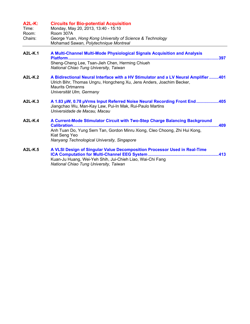| <b>A2L-K:</b><br>Time:<br>Room:<br>Chairs: | <b>Circuits for Bio-potential Acquisition</b><br>Monday, May 20, 2013, 13:40 - 15:10<br>Room 307A<br>George Yuan, Hong Kong University of Science & Technology<br>Mohamad Sawan, Polytechnique Montreal                   |
|--------------------------------------------|---------------------------------------------------------------------------------------------------------------------------------------------------------------------------------------------------------------------------|
| A2L-K.1                                    | A Multi-Channel Multi-Mode Physiological Signals Acquisition and Analysis<br>Sheng-Cheng Lee, Tsan-Jieh Chen, Herming Chiueh<br>National Chiao Tung University, Taiwan                                                    |
| <b>A2L-K.2</b>                             | A Bidirectional Neural Interface with a HV Stimulator and a LV Neural Amplifier 401<br>Ulrich Bihr, Thomas Ungru, Hongcheng Xu, Jens Anders, Joachim Becker,<br><b>Maurits Ortmanns</b><br>Universität Ulm, Germany       |
| A2L-K.3                                    | A 1.83 µW, 0.78 µVrms Input Referred Noise Neural Recording Front End405<br>Jiangchao Wu, Man-Kay Law, Pui-In Mak, Rui-Paulo Martins<br>Universidade de Macau, Macau                                                      |
| $A2L-K.4$                                  | A Current-Mode Stimulator Circuit with Two-Step Charge Balancing Background<br>Anh Tuan Do, Yung Sern Tan, Gordon Minru Xiong, Cleo Choong, Zhi Hui Kong,<br>Kiat Seng Yeo<br>Nanyang Technological University, Singapore |
| <b>A2L-K.5</b>                             | A VLSI Design of Singular Value Decomposition Processor Used in Real-Time<br>Kuan-Ju Huang, Wei-Yeh Shih, Jui-Chieh Liao, Wai-Chi Fang<br>National Chiao Tung University, Taiwan                                          |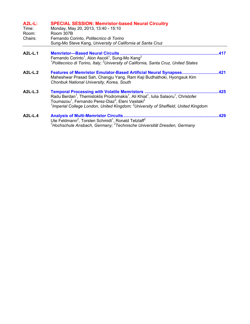| $A2L-L$ :<br>Time:<br>Room:<br>Chairs: | <b>SPECIAL SESSION: Memristor-based Neural Circuitry</b><br>Monday, May 20, 2013, 13:40 - 15:10<br>Room 307B                                                                                                                                                                                                                                                                                       |      |
|----------------------------------------|----------------------------------------------------------------------------------------------------------------------------------------------------------------------------------------------------------------------------------------------------------------------------------------------------------------------------------------------------------------------------------------------------|------|
|                                        | Fernando Corinto, Politecnico di Torino<br>Sung-Mo Steve Kang, University of California at Santa Cruz                                                                                                                                                                                                                                                                                              |      |
| A2L-L.1                                | <b>Memristor-Based Neural Circuits</b><br>Fernando Corinto <sup>1</sup> , Alon Ascoli <sup>1</sup> , Sung-Mo Kang <sup>2</sup><br><sup>1</sup> Politecnico di Torino, Italy; <sup>2</sup> University of California, Santa Cruz, United States                                                                                                                                                      | 417  |
| A2L-L.2                                | <b>Features of Memristor Emulator-Based Artificial Neural Synapses</b><br>Maheshwar Prasad Sah, Changju Yang, Ram Kaji Budhathoki, Hyongsuk Kim<br>Chonbuk National University, Korea, South                                                                                                                                                                                                       | .421 |
| A2L-L.3                                | <b>Temporal Processing with Volatile Memristors</b><br>Radu Berdan <sup>1</sup> , Themistoklis Prodromakis <sup>1</sup> , Ali Khiat <sup>1</sup> , Iulia Salaoru <sup>1</sup> , Christofer<br>Toumazou <sup>1</sup> , Fernando Perez-Diaz <sup>2</sup> , Eleni Vasilaki <sup>2</sup><br><sup>1</sup> Imperial College London, United Kingdom; <sup>2</sup> University of Sheffield, United Kingdom | 425  |
| $A2L-L.4$                              | <b>Analysis of Multi-Memristor Circuits</b><br>Ute Feldmann <sup>2</sup> , Torsten Schmidt <sup>1</sup> , Ronald Tetzlaff <sup>2</sup><br><sup>1</sup> Hochschule Ansbach, Germany; <sup>2</sup> Technische Universität Dresden, Germany                                                                                                                                                           | .429 |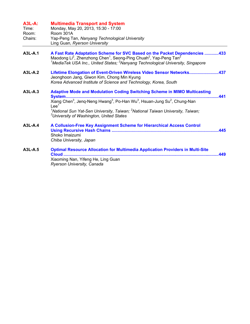| $A3L-A$ :<br>Time:<br>Room:<br>Chairs: | <b>Multimedia Transport and System</b><br>Monday, May 20, 2013, 15:30 - 17:00<br>Room 301A<br>Yap-Peng Tan, Nanyang Technological University<br>Ling Guan, Ryerson University                                                                                                                                                                                                                                       |
|----------------------------------------|---------------------------------------------------------------------------------------------------------------------------------------------------------------------------------------------------------------------------------------------------------------------------------------------------------------------------------------------------------------------------------------------------------------------|
| A3L-A.1                                | A Fast Rate Adaptation Scheme for SVC Based on the Packet Dependencies 433<br>Maodong Li <sup>2</sup> , Zhenzhong Chen <sup>1</sup> , Seong-Ping Chuah <sup>2</sup> , Yap-Peng Tan <sup>2</sup><br><sup>1</sup> MediaTek USA Inc., United States; <sup>2</sup> Nanyang Technological University, Singapore                                                                                                          |
| $A3L-A.2$                              | Lifetime Elongation of Event-Driven Wireless Video Sensor Networks437<br>Jeonghoon Jang, Giwon Kim, Chong Min Kyung<br>Korea Advanced Institute of Science and Technology, Korea, South                                                                                                                                                                                                                             |
| $A3L-A.3$                              | <b>Adaptive Mode and Modulation Coding Switching Scheme in MIMO Multicasting</b><br>System<br>441<br>Xiang Chen <sup>3</sup> , Jeng-Neng Hwang <sup>3</sup> , Po-Han Wu <sup>3</sup> , Hsuan-Jung Su <sup>2</sup> , Chung-Nan<br>Lee <sup>1</sup><br><sup>1</sup> National Sun Yat-Sen University, Taiwan; <sup>2</sup> National Taiwan University, Taiwan;<br><sup>3</sup> University of Washington, United States |
| $A3L-A.4$                              | A Collusion-Free Key Assignment Scheme for Hierarchical Access Control<br>Shoko Imaizumi<br>Chiba University, Japan                                                                                                                                                                                                                                                                                                 |
| A3L-A.5                                | <b>Optimal Resource Allocation for Multimedia Application Providers in Multi-Site</b><br>449<br>Xiaoming Nan, Yifeng He, Ling Guan<br>Ryerson University, Canada                                                                                                                                                                                                                                                    |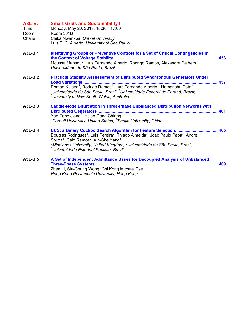| $A3L-B:$<br>Time:<br>Room:<br>Chairs: | <b>Smart Grids and Sustainability I</b><br>Monday, May 20, 2013, 15:30 - 17:00<br>Room 301B<br>Chika Nwankpa, Drexel University<br>Luis F. C. Alberto, University of Sao Paulo                                                                                                                                                                                                  |     |
|---------------------------------------|---------------------------------------------------------------------------------------------------------------------------------------------------------------------------------------------------------------------------------------------------------------------------------------------------------------------------------------------------------------------------------|-----|
| A3L-B.1                               | <b>Identifying Groups of Preventive Controls for a Set of Critical Contingencies in</b><br>Moussa Mansour, Luís Fernando Alberto, Rodrigo Ramos, Alexandre Delbem<br>Universidade de São Paulo, Brazil                                                                                                                                                                          |     |
| A3L-B.2                               | <b>Practical Stability Assessement of Distributed Synchronous Generators Under</b><br>Roman Kuiava <sup>2</sup> , Rodrigo Ramos <sup>1</sup> , Luís Fernando Alberto <sup>1</sup> , Hemanshu Pota <sup>3</sup><br><sup>1</sup> Universidade de São Paulo, Brazil; <sup>2</sup> Universidade Federal do Paraná, Brazil;<br><sup>3</sup> University of New South Wales, Australia |     |
| A3L-B.3                               | Saddle-Node Bifurcation in Three-Phase Unbalanced Distribution Networks with<br>Yan-Feng Jiang <sup>2</sup> , Hsiao-Dong Chiang <sup>1</sup><br><sup>1</sup> Cornell University, United States; <sup>2</sup> Tianjin University, China                                                                                                                                          |     |
| A3L-B.4                               | Douglas Rodrigues <sup>3</sup> , Luis Pereira <sup>3</sup> , Thiago Almeida <sup>3</sup> , Joao Paulo Papa <sup>3</sup> , Andre<br>Souza <sup>3</sup> , Caio Ramos <sup>2</sup> , Xin-She Yang <sup>1</sup><br><sup>1</sup> Middlesex University, United Kingdom; <sup>2</sup> Universidade de São Paulo, Brazil;<br><sup>3</sup> Universidade Estadual Paulista, Brazil        |     |
| A3L-B.5                               | A Set of Independent Admittance Bases for Decoupled Analysis of Unbalanced<br><b>Three-Phase Systems</b><br>Zhen Li, Siu-Chung Wong, Chi Kong Michael Tse<br>Hong Kong Polytechnic University, Hong Kong                                                                                                                                                                        | 469 |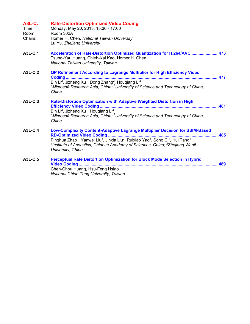| <b>A3L-C:</b><br>Time:<br>Room:<br>Chairs: | <b>Rate-Distortion Optimized Video Coding</b><br>Monday, May 20, 2013, 15:30 - 17:00<br>Room 302A<br>Homer H. Chen, National Taiwan University<br>Lu Yu, Zhejiang University                                                                                                                                                                                                                   |      |
|--------------------------------------------|------------------------------------------------------------------------------------------------------------------------------------------------------------------------------------------------------------------------------------------------------------------------------------------------------------------------------------------------------------------------------------------------|------|
| A3L-C.1                                    | Acceleration of Rate-Distortion Optimized Quantization for H.264/AVC 473<br>Tsung-Yau Huang, Chieh-Kai Kao, Homer H. Chen<br>National Taiwan University, Taiwan                                                                                                                                                                                                                                |      |
| A3L-C.2                                    | QP Refinement According to Lagrange Multiplier for High Efficiency Video<br>Coding<br>Bin Li <sup>2</sup> , Jizheng Xu <sup>1</sup> , Dong Zhang <sup>2</sup> , Hougiang Li <sup>2</sup><br><sup>1</sup> Microsoft Research Asia, China; $2$ University of Science and Technology of China,<br>China                                                                                           | .477 |
| A3L-C.3                                    | Rate-Distortion Optimization with Adaptive Weighted Distortion in High<br>Bin Li <sup>2</sup> , Jizheng Xu <sup>1</sup> , Hougiang Li <sup>2</sup><br><sup>1</sup> Microsoft Research Asia, China; $2$ University of Science and Technology of China,<br>China                                                                                                                                 |      |
| $A3L-C.4$                                  | <b>Low-Complexity Content-Adaptive Lagrange Multiplier Decision for SSIM-Based</b><br>RD-Optimized Video Coding<br>Pinghua Zhao <sup>1</sup> , Yanwei Liu <sup>1</sup> , Jinxia Liu <sup>2</sup> , Ruixiao Yao <sup>1</sup> , Song Ci <sup>1</sup> , Hui Tang <sup>1</sup><br><sup>1</sup> Institute of Acoustics, Chinese Academy of Sciences, China; $2$ Zhejiang Wanli<br>University, China | .485 |
| A3L-C.5                                    | <b>Perceptual Rate Distortion Optimization for Block Mode Selection in Hybrid</b><br><b>Video Coding </b><br>Chen-Chou Huang, Hsu-Feng Hsiao<br>National Chiao Tung University, Taiwan                                                                                                                                                                                                         | 489  |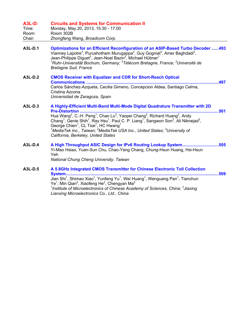| <b>A3L-D:</b><br>Time:<br>Room:<br>Chair: | <b>Circuits and Systems for Communication II</b><br>Monday, May 20, 2013, 15:30 - 17:00<br>Room 302B<br>Zhongfeng Wang, Broadcom Corp.                                                                                                                                                                                                                                                                                                                                                                                                                                                                                                                  |
|-------------------------------------------|---------------------------------------------------------------------------------------------------------------------------------------------------------------------------------------------------------------------------------------------------------------------------------------------------------------------------------------------------------------------------------------------------------------------------------------------------------------------------------------------------------------------------------------------------------------------------------------------------------------------------------------------------------|
| A3L-D.1                                   | <b>Optimizations for an Efficient Reconfiguration of an ASIP-Based Turbo Decoder 493</b><br>Vianney Lapotre <sup>3</sup> , Purushotham Murugappa <sup>2</sup> , Guy Gogniat <sup>3</sup> , Amer Baghdadi <sup>2</sup> ,<br>Jean-Philippe Diguet <sup>3</sup> , Jean-Noel Bazin <sup>2</sup> , Michael Hübner <sup>1</sup><br><sup>1</sup> Ruhr-Universität Bochum, Germany; <sup>2</sup> Télécom Bretagne, France; <sup>3</sup> Université de<br><b>Bretagne Sud, France</b>                                                                                                                                                                            |
| A3L-D.2                                   | <b>CMOS Receiver with Equalizer and CDR for Short-Reach Optical</b><br><b>Communications </b><br>Carlos Sánchez-Azqueta, Cecilia Gimeno, Concepcion Aldea, Santiago Celma,<br>Cristina Azcona<br>Universidad de Zaragoza, Spain                                                                                                                                                                                                                                                                                                                                                                                                                         |
| A3L-D.3                                   | A Highly-Efficient Multi-Band Multi-Mode Digital Quadrature Transmitter with 2D<br><b>Pre-Distortion </b><br>Hua Wang <sup>2</sup> , C.-H. Peng <sup>1</sup> , Chao Lu <sup>2</sup> , Yaopei Chang <sup>2</sup> , Richard Huang <sup>2</sup> , Andy<br>Chang <sup>1</sup> , Genie Shih <sup>1</sup> , Ray Hsu <sup>1</sup> , Paul C. P. Liang <sup>1</sup> , Sangwon Son <sup>2</sup> , Ali Niknejad <sup>3</sup> ,<br>George Chien <sup>1</sup> , CL Tsai <sup>1</sup> , HC Hwang <sup>1</sup><br><sup>1</sup> MediaTek Inc., Taiwan; <sup>2</sup> MediaTek USA Inc., United States; <sup>3</sup> University of<br>California, Berkeley, United States |
| A3L-D.4                                   | A High Throughput ASIC Design for IPv6 Routing Lookup System505<br>Yi-Mao Hsiao, Yuan-Sun Chu, Chao-Yang Chang, Chung-Hsun Huang, Hsi-Hsun<br>Yeh<br>National Chung Cheng University, Taiwan                                                                                                                                                                                                                                                                                                                                                                                                                                                            |
| A3L-D.5                                   | A 5.8GHz Integrated CMOS Transmitter for Chinese Electronic Toll Collection<br><b>System</b><br>509<br>Jian Shi <sup>1</sup> , Shimao Xiao <sup>1</sup> , Yunfeng Yu <sup>1</sup> , Wei Huang <sup>1</sup> , Wenguang Pan <sup>1</sup> , Tianchun<br>$\sqrt{2}$ Min Oion <sup>2</sup> Vioofong Ho <sup>2</sup> Changyon Mo <sup>2</sup>                                                                                                                                                                                                                                                                                                                 |

Ye<sup>1</sup>, Min Qian<sup>2</sup>, Xiaofeng He<sup>2</sup>, Chengyan Ma<sup>2</sup><br><sup>1</sup>Institute of Microelectronics of Chinese Academy of Sciences, China; <sup>2</sup>Jiaxing *Lianxing Microelectronics Co., Ltd., China*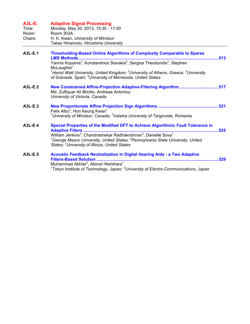| $A3L-E$ :<br>Time:<br>Room:<br>Chairs: | <b>Adaptive Signal Processing</b><br>Monday, May 20, 2013, 15:30 - 17:00<br>Room 303A<br>H. K. Kwan, University of Windsor<br>Takao Hinamoto, Hiroshima University                                                                                                            |      |
|----------------------------------------|-------------------------------------------------------------------------------------------------------------------------------------------------------------------------------------------------------------------------------------------------------------------------------|------|
| A3L-E.1                                | <b>Thresholding-Based Online Algorithms of Complexity Comparable to Sparse</b><br><b>LMS Methods</b><br>513                                                                                                                                                                   |      |
|                                        | Yannis Kopsinis <sup>3</sup> , Konstantinos Slavakis <sup>4</sup> , Sergios Theodoridis <sup>2</sup> , Stephen<br>McLaughlin <sup>1</sup>                                                                                                                                     |      |
|                                        | <sup>1</sup> Heriot Watt University, United Kingdom; <sup>2</sup> University of Athens, Greece; <sup>3</sup> University<br>of Granada, Spain; <sup>4</sup> University of Minnesota, United States                                                                             |      |
| A3L-E.2                                | New Constrained Affine-Projection Adaptive-Filtering Algorithm517<br>Md. Zulfiquar Ali Bhotto, Andreas Antoniou<br>University of Victoria, Canada                                                                                                                             |      |
| A3L-E.3                                | Felix Albu <sup>2</sup> , Hon Keung Kwan <sup>1</sup><br><sup>1</sup> University of Windsor, Canada; <sup>2</sup> Valahia University of Targoviste, Romania                                                                                                                   |      |
| A3L-E.4                                | Special Properties of the Modified DFT to Achieve Algorithmic Fault Tolerance in                                                                                                                                                                                              | .525 |
|                                        | William Jenkins <sup>2</sup> , Chandrashekar Radhakrishnan <sup>3</sup> , Danielle Sova <sup>1</sup><br><sup>1</sup> George Mason University, United States; <sup>2</sup> Pennsylvania State University, United<br>States; <sup>3</sup> University of Illinois, United States |      |
| A3L-E.5                                | <b>Acoustic Feedback Neutralization in Digital Hearing Aids - a Two Adaptive</b><br><b>Filters-Based Solution </b>                                                                                                                                                            | 529  |
|                                        | Muhammad Akhtar <sup>2</sup> , Akinori Nishihara <sup>1</sup>                                                                                                                                                                                                                 |      |
|                                        | $1$ Tokyo Institute of Technology, Japan; $2$ University of Electro-Communications, Japan                                                                                                                                                                                     |      |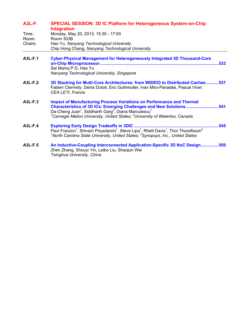| <b>A3L-F:</b> | <b>SPECIAL SESSION: 3D IC Platform for Heterogeneous System-on-Chip</b><br><b>Integration</b>                                                                                                                                                                                                                                                          |
|---------------|--------------------------------------------------------------------------------------------------------------------------------------------------------------------------------------------------------------------------------------------------------------------------------------------------------------------------------------------------------|
| Time:         | Monday, May 20, 2013, 15:30 - 17:00                                                                                                                                                                                                                                                                                                                    |
| Room:         | Room 303B                                                                                                                                                                                                                                                                                                                                              |
| Chairs:       | Hao Yu, Nanyang Technological University<br>Chip Hong Chang, Nanyang Technological University                                                                                                                                                                                                                                                          |
| A3L-F.1       | <b>Cyber-Physical Management for Heterogeneously Integrated 3D Thousand-Core</b><br>533<br>Sai Manoj P D, Hao Yu                                                                                                                                                                                                                                       |
|               | Nanyang Technological University, Singapore                                                                                                                                                                                                                                                                                                            |
| A3L-F.2       | 3D Stacking for Multi-Core Architectures: from WIDEIO to Distributed Caches537<br>Fabien Clermidy, Denis Dutoit, Eric Guthmuller, Ivan Miro-Panades, Pascal Vivet<br><b>CEA LETI, France</b>                                                                                                                                                           |
| A3L-F.3       | <b>Impact of Manufacturing Process Variations on Performance and Thermal</b><br>Characteristics of 3D ICs: Emerging Challenges and New Solutions541<br>Da-Cheng Juan <sup>1</sup> , Siddharth Garg <sup>2</sup> , Diana Marculescu <sup>1</sup><br><sup>1</sup> Carnegie Mellon University, United States; <sup>2</sup> University of Waterloo, Canada |
| A3L-F.4       | 545<br>Paul Franzon <sup>1</sup> , Shivam Priyadarshi <sup>1</sup> , Steve Lipa <sup>1</sup> , Rhett Davis <sup>1</sup> , Thor Thorolfsson <sup>2</sup><br>$1$ North Carolina State University, United States; $2$ Synopsys, Inc., United States                                                                                                       |
| A3L-F.5       | An Inductive-Coupling Interconnected Application-Specific 3D NoC Design550<br>Zhen Zhang, Shouyi Yin, Leibo Liu, Shaojun Wei<br>Tsinghua University, China                                                                                                                                                                                             |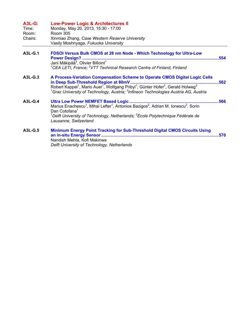| <b>A3L-G:</b><br>Time:<br>Room:<br>Chairs: | <b>Low-Power Logic &amp; Architectures II</b><br>Monday, May 20, 2013, 15:30 - 17:00<br><b>Room 305</b><br>Xinmiao Zhang, Case Western Reserve University<br>Vasily Moshnyaga, Fukuoka University                                                                                                                                         |      |
|--------------------------------------------|-------------------------------------------------------------------------------------------------------------------------------------------------------------------------------------------------------------------------------------------------------------------------------------------------------------------------------------------|------|
| A3L-G.1                                    | FDSOI Versus Bulk CMOS at 28 nm Node - Which Technology for Ultra-Low<br>Jani Mäkipää <sup>2</sup> , Olivier Billoint <sup>1</sup><br><sup>1</sup> CEA LETI, France; <sup>2</sup> VTT Technical Research Centre of Finland, Finland                                                                                                       | 554  |
| $A3L-G.3$                                  | A Process-Variation Compensation Scheme to Operate CMOS Digital Logic Cells<br>562<br>Robert Kappel <sup>1</sup> , Mario Auer <sup>1</sup> , Wolfgang Pribyl <sup>1</sup> , Günter Hofer <sup>2</sup> , Gerald Holweg <sup>2</sup><br>${}^{1}$ Graz University of Technology, Austria; ${}^{2}$ Infineon Technologies Austria AG, Austria |      |
| $A3L-G.4$                                  | Ultra Low Power NEMFET Based Logic<br>566<br>Marius Enachescu <sup>1</sup> , Mihai Lefter <sup>1</sup> , Antonios Bazigos <sup>2</sup> , Adrian M. Ionescu <sup>2</sup> , Sorin<br>Dan Cotofana <sup>1</sup><br>$^1$ Delft University of Technology, Netherlands; $^2$ École Polytechnique Fédérale de<br>Lausanne, Switzerland           |      |
| A3L-G.5                                    | <b>Minimum Energy Point Tracking for Sub-Threshold Digital CMOS Circuits Using</b><br>Nandish Mehta, Kofi Makinwa<br>Delft University of Technology, Netherlands                                                                                                                                                                          | .570 |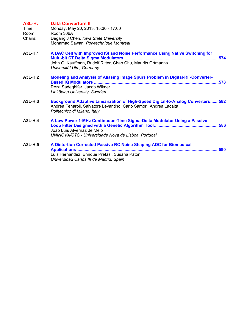| <b>A3L-H:</b><br>Time:<br>Room:<br>Chairs: | <b>Data Convertors II</b><br>Monday, May 20, 2013, 15:30 - 17:00<br>Room 306A<br>Degang J Chen, Iowa State University<br>Mohamad Sawan, Polytechnique Montreal                               |
|--------------------------------------------|----------------------------------------------------------------------------------------------------------------------------------------------------------------------------------------------|
| A3L-H.1                                    | A DAC Cell with Improved ISI and Noise Performance Using Native Switching for<br>John G. Kauffman, Rudolf Ritter, Chao Chu, Maurits Ortmanns<br>Universität Ulm, Germany                     |
| A3L-H.2                                    | Modeling and Analysis of Aliasing Image Spurs Problem in Digital-RF-Converter-<br>Reza Sadeghifar, Jacob Wikner<br>Linköping University, Sweden                                              |
| A3L-H.3                                    | <b>Background Adaptive Linearization of High-Speed Digital-to-Analog Converters582</b><br>Andrea Fenaroli, Salvatore Levantino, Carlo Samori, Andrea Lacaita<br>Politecnico di Milano, Italy |
| A3L-H.4                                    | A Low Power 1-MHz Continuous-Time Sigma-Delta Modulator Using a Passive<br>João Luís Alvernaz de Melo<br>UNINOVA/CTS - Universidade Nova de Lisboa, Portugal                                 |
| A3L-H.5                                    | A Distortion Corrected Passive RC Noise Shaping ADC for Biomedical<br>Luis Hernandez, Enrique Prefasi, Susana Paton<br>Universidad Carlos III de Madrid, Spain                               |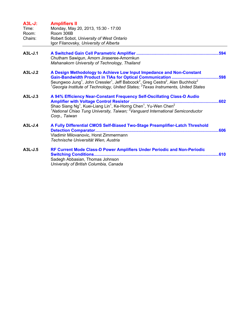| $A3L-J:$<br>Time:<br>Room:<br>Chairs: | <b>Amplifiers II</b><br>Monday, May 20, 2013, 15:30 - 17:00<br>Room 306B<br>Robert Sobot, University of West Ontario<br>Igor Filanovsky, University of Alberta                                                                                                                                                            |
|---------------------------------------|---------------------------------------------------------------------------------------------------------------------------------------------------------------------------------------------------------------------------------------------------------------------------------------------------------------------------|
| $A3L-J.1$                             | Chutham Sawigun, Amorn Jiraseree-Amornkun<br>Mahanakorn University of Technology, Thailand                                                                                                                                                                                                                                |
| $A3L-J.2$                             | A Design Methodology to Achieve Low Input Impedance and Non-Constant<br>Seungwoo Jung <sup>1</sup> , John Cressler <sup>1</sup> , Jeff Babcock <sup>2</sup> , Greg Cestra <sup>2</sup> , Alan Buchholz <sup>2</sup><br>${}^{1}$ Georgia Institute of Technology, United States; ${}^{2}$ Texas Instruments, United States |
| $A3L-J.3$                             | A 94% Efficiency Near-Constant Frequency Self-Oscillating Class-D Audio<br>Shao Siang Ng <sup>1</sup> , Kuei-Liang Lin <sup>1</sup> , Ke-Horng Chen <sup>1</sup> , Yu-Wen Chen <sup>2</sup><br><sup>1</sup> National Chiao Tung University, Taiwan; <sup>2</sup> Vanguard International Semiconductor<br>Corp., Taiwan    |
| $A3L-J.4$                             | A Fully Differential CMOS Self-Biased Two-Stage Preamplifier-Latch Threshold<br>Vladimir Milovanovic, Horst Zimmermann<br>Technische Universität Wien, Austria                                                                                                                                                            |
| A3L-J.5                               | RF Current Mode Class-D Power Amplifiers Under Periodic and Non-Periodic<br>Sadegh Abbasian, Thomas Johnson<br>University of British Columbia, Canada                                                                                                                                                                     |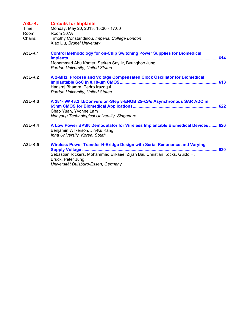| <b>A3L-K:</b><br>Time:<br>Room:<br>Chairs: | <b>Circuits for Implants</b><br>Monday, May 20, 2013, 15:30 - 17:00<br>Room 307A<br>Timothy Constandinou, Imperial College London<br>Xiao Liu, Brunel University                                                            |
|--------------------------------------------|-----------------------------------------------------------------------------------------------------------------------------------------------------------------------------------------------------------------------------|
| A3L-K.1                                    | <b>Control Methodology for on-Chip Switching Power Supplies for Biomedical</b><br>Mohammad Abu Khater, Serkan Sayilir, Byunghoo Jung<br><b>Purdue University, United States</b>                                             |
| $A3L-K.2$                                  | A 2-MHz, Process and Voltage Compensated Clock Oscillator for Biomedical<br>Hansraj Bhamra, Pedro Irazoqui<br><b>Purdue University, United States</b>                                                                       |
| $A3L-K.3$                                  | A 281-nW 43.3 fJ/Conversion-Step 8-ENOB 25-kS/s Asynchronous SAR ADC in<br>Chao Yuan, Yvonne Lam<br>Nanyang Technological University, Singapore                                                                             |
| $A3L-K.4$                                  | A Low Power BPSK Demodulator for Wireless Implantable Biomedical Devices  626<br>Benjamin Wilkerson, Jin-Ku Kang<br>Inha University, Korea, South                                                                           |
| A3L-K.5                                    | Wireless Power Transfer H-Bridge Design with Serial Resonance and Varying<br>.630<br>Sebastian Rickers, Mohammad Elikaee, Zijian Bai, Christian Kocks, Guido H.<br>Bruck, Peter Jung<br>Universität Duisburg-Essen, Germany |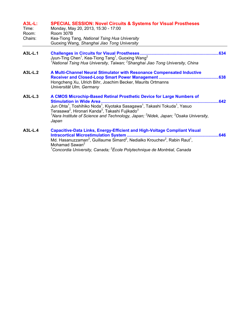| <b>A3L-L:</b><br>Time:<br>Room:<br>Chairs: | <b>SPECIAL SESSION: Novel Circuits &amp; Systems for Visual Prostheses</b><br>Monday, May 20, 2013, 15:30 - 17:00<br><b>Room 307B</b><br>Kea-Tiong Tang, National Tsing Hua University<br>Guoxing Wang, Shanghai Jiao Tong University                                                                                                                                                                                                              |
|--------------------------------------------|----------------------------------------------------------------------------------------------------------------------------------------------------------------------------------------------------------------------------------------------------------------------------------------------------------------------------------------------------------------------------------------------------------------------------------------------------|
| A3L-L.1                                    | 634<br>Jyun-Ting Chen <sup>1</sup> , Kea-Tiong Tang <sup>1</sup> , Guoxing Wang <sup>2</sup><br><sup>1</sup> National Tsing Hua University, Taiwan; <sup>2</sup> Shanghai Jiao Tong University, China                                                                                                                                                                                                                                              |
| A3L-L.2                                    | A Multi-Channel Neural Stimulator with Resonance Compensated Inductive<br>638<br>Hongcheng Xu, Ulrich Bihr, Joachim Becker, Maurits Ortmanns<br>Universität Ulm, Germany                                                                                                                                                                                                                                                                           |
| A3L-L.3                                    | A CMOS Microchip-Based Retinal Prosthetic Device for Large Numbers of<br><b>Stimulation in Wide Area.</b><br>.642<br>Jun Ohta <sup>1</sup> , Toshihiko Noda <sup>1</sup> , Kiyotaka Sasagawa <sup>1</sup> , Takashi Tokuda <sup>1</sup> , Yasuo<br>Terasawa <sup>2</sup> , Hironari Kanda <sup>3</sup> , Takashi Fujikado <sup>3</sup><br>$^1$ Nara Institute of Science and Technology, Japan; $^2$ Nidek, Japan; $^3$ Osaka University,<br>Japan |
| A3L-L.4                                    | <b>Capacitive-Data Links, Energy-Efficient and High-Voltage Compliant Visual</b><br>.646<br>Md. Hasanuzzaman <sup>2</sup> , Guillaume Simard <sup>2</sup> , Nedialko Krouchev <sup>2</sup> , Rabin Raut <sup>1</sup> ,<br>Mohamad Sawan <sup>2</sup><br><sup>1</sup> Concordia University, Canada; <sup>2</sup> École Polytechnique de Montréal, Canada                                                                                            |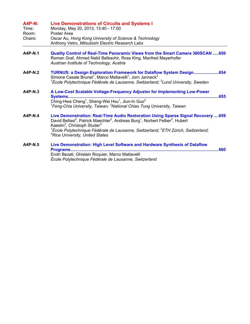| <b>A4P-N:</b><br>Time:<br>Room:<br>Chairs: | <b>Live Demonstrations of Circuits and Systems I</b><br>Monday, May 20, 2013, 13:40 - 17:00<br>Poster Area<br>Oscar Au, Hong Kong University of Science & Technology<br>Anthony Vetro, Mitsubishi Electric Research Labs                                                                                                                                                                                                               |
|--------------------------------------------|----------------------------------------------------------------------------------------------------------------------------------------------------------------------------------------------------------------------------------------------------------------------------------------------------------------------------------------------------------------------------------------------------------------------------------------|
| A4P-N.1                                    | Quality Control of Real-Time Panoramic Views from the Smart Camera 360SCAN 650<br>Roman Graf, Ahmed Nabil Belbachir, Ross King, Manfred Mayerhofer<br>Austrian Institute of Technology, Austria                                                                                                                                                                                                                                        |
| $A4P-N.2$                                  | TURNUS: a Design Exploration Framework for Dataflow System Design654<br>Simone Casale Brunet <sup>1</sup> , Marco Mattavelli <sup>1</sup> , Jorn Janneck <sup>2</sup><br><sup>1</sup> École Polytechnique Fédérale de Lausanne, Switzerland; <sup>2</sup> Lund University, Sweden                                                                                                                                                      |
| A4P-N.3                                    | A Low-Cost Scalable Voltage-Frequency Adjustor for Implementing Low-Power<br>Systems<br>Ching-Hwa Cheng <sup>1</sup> , Sheng-Wei Hsu <sup>1</sup> , Jiun-In Guo <sup>2</sup><br><sup>1</sup> Feng-Chia University, Taiwan; <sup>2</sup> National Chiao Tung University, Taiwan                                                                                                                                                         |
| <b>A4P-N.4</b>                             | Live Demonstration: Real-Time Audio Restoration Using Sparse Signal Recovery  659<br>David Bellasi <sup>2</sup> , Patrick Maechler <sup>2</sup> , Andreas Burg <sup>1</sup> , Norbert Felber <sup>2</sup> , Hubert<br>Kaeslin <sup>2</sup> , Christoph Studer <sup>3</sup><br><sup>1</sup> École Polytechnique Fédérale de Lausanne, Switzerland; <sup>2</sup> ETH Zürich, Switzerland;<br><sup>3</sup> Rice University, United States |
| <b>A4P-N.5</b>                             | Live Demonstration: High Level Software and Hardware Synthesis of Dataflow<br>.660<br>Endri Bezati, Ghislain Roquier, Marco Mattavelli<br>École Polytechnique Fédérale de Lausanne, Switzerland                                                                                                                                                                                                                                        |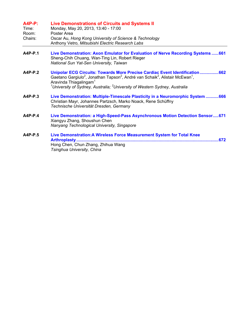| <b>A4P-P:</b><br>Time:<br>Room:<br>Chairs: | <b>Live Demonstrations of Circuits and Systems II</b><br>Monday, May 20, 2013, 13:40 - 17:00<br>Poster Area<br>Oscar Au, Hong Kong University of Science & Technology<br>Anthony Vetro, Mitsubishi Electric Research Labs                                                                                                                                |
|--------------------------------------------|----------------------------------------------------------------------------------------------------------------------------------------------------------------------------------------------------------------------------------------------------------------------------------------------------------------------------------------------------------|
| A4P-P.1                                    | Live Demonstration: Axon Emulator for Evaluation of Nerve Recording Systems  661<br>Sheng-Chih Chuang, Wan-Ting Lin, Robert Rieger<br>National Sun Yat-Sen University, Taiwan                                                                                                                                                                            |
| $A4P-P.2$                                  | Unipolar ECG Circuits: Towards More Precise Cardiac Event Identification662<br>Gaetano Gargiulo <sup>2</sup> , Jonathan Tapson <sup>2</sup> , André van Schaik <sup>2</sup> , Alistair McEwan <sup>1</sup> ,<br>Aravinda Thiagalingam <sup>1</sup><br><sup>1</sup> University of Sydney, Australia; <sup>2</sup> University of Western Sydney, Australia |
| $A4P-P.3$                                  | Live Demonstration: Multiple-Timescale Plasticity in a Neuromorphic System 666<br>Christian Mayr, Johannes Partzsch, Marko Noack, Rene Schüffny<br>Technische Universität Dresden, Germany                                                                                                                                                               |
| $A4P-P.4$                                  | Live Demonstration: a High-Speed-Pass Asynchronous Motion Detection Sensor671<br>Xiangyu Zhang, Shoushun Chen<br>Nanyang Technological University, Singapore                                                                                                                                                                                             |
| A4P-P.5                                    | Live Demonstration: A Wireless Force Measurement System for Total Knee<br>.672<br>Arthroplasty<br>Hong Chen, Chun Zhang, Zhihua Wang<br>Tsinghua University, China                                                                                                                                                                                       |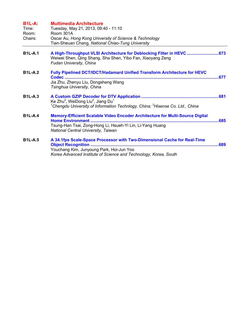| <b>B1L-A:</b><br>Time:<br>Room:<br>Chairs: | <b>Multimedia Architecture</b><br>Tuesday, May 21, 2013, 09:40 - 11:10<br>Room 301A<br>Oscar Au, Hong Kong University of Science & Technology<br>Tian-Sheuan Chang, National Chiao-Tung University |      |
|--------------------------------------------|----------------------------------------------------------------------------------------------------------------------------------------------------------------------------------------------------|------|
| <b>B1L-A.1</b>                             | A High-Throughput VLSI Architecture for Deblocking Filter in HEVC  673<br>Weiwei Shen, Qing Shang, Sha Shen, Yibo Fan, Xiaoyang Zeng<br>Fudan University, China                                    |      |
| <b>B1L-A.2</b>                             | Fully Pipelined DCT/IDCT/Hadamard Unified Transform Architecture for HEVC<br>Codec<br>Jia Zhu, Zhenyu Liu, Dongsheng Wang<br>Tsinghua University, China                                            | .677 |
| <b>B1L-A.3</b>                             | Ke Zhu <sup>2</sup> , WeiDong Liu <sup>2</sup> , Jiang Du <sup>1</sup><br><sup>1</sup> Chengdu University of Information Technlogy, China; <sup>2</sup> Hisense Co. Ltd., China                    |      |
| <b>B1L-A.4</b>                             | <b>Memory-Efficient Scalable Video Encoder Architecture for Multi-Source Digital</b><br>Tsung-Han Tsai, Zong-Hong Li, Hsueh-Yi Lin, Li-Yang Huang<br>National Central University, Taiwan           |      |
| <b>B1L-A.5</b>                             | A 34.1fps Scale-Space Processor with Two-Dimensional Cache for Real-Time<br>Youchang Kim, Junyoung Park, Hoi-Jun Yoo<br>Korea Advanced Institute of Science and Technology, Korea, South           |      |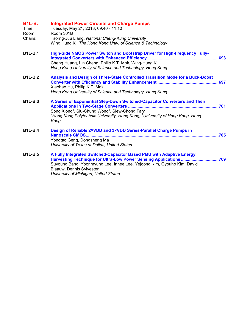| <b>B1L-B:</b><br>Time:<br>Room:<br>Chairs: | <b>Integrated Power Circuits and Charge Pumps</b><br>Tuesday, May 21, 2013, 09:40 - 11:10<br>Room 301B<br>Tsorng-Juu Liang, National Cheng-Kung University<br>Wing Hung Ki, The Hong Kong Univ. of Science & Technology                                                                                                          |
|--------------------------------------------|----------------------------------------------------------------------------------------------------------------------------------------------------------------------------------------------------------------------------------------------------------------------------------------------------------------------------------|
| <b>B1L-B.1</b>                             | <b>High-Side NMOS Power Switch and Bootstrap Driver for High-Frequency Fully-</b><br>Cheng Huang, Lin Cheng, Philip K.T. Mok, Wing-Hung Ki<br>Hong Kong University of Science and Technology, Hong Kong                                                                                                                          |
| <b>B1L-B.2</b>                             | Analysis and Design of Three-State Controlled Transition Mode for a Buck-Boost<br>Xiaohao Hu, Philip K.T. Mok<br>Hong Kong University of Science and Technology, Hong Kong                                                                                                                                                       |
| <b>B1L-B.3</b>                             | A Series of Exponential Step-Down Switched-Capacitor Converters and Their<br><b>Applications in Two-Stage Converters </b><br>Song Xiong <sup>1</sup> , Siu-Chung Wong <sup>1</sup> , Siew-Chong Tan <sup>2</sup><br><sup>1</sup> Hong Kong Polytechnic University, Hong Kong; <sup>2</sup> University of Hong Kong, Hong<br>Kong |
| <b>B1L-B.4</b>                             | Design of Reliable 2×VDD and 3×VDD Series-Parallel Charge Pumps in<br>Nanoscale CMOS<br>Yongtao Geng, Dongsheng Ma<br>University of Texas at Dallas, United States                                                                                                                                                               |
| <b>B1L-B.5</b>                             | A Fully Integrated Switched-Capacitor Based PMU with Adaptive Energy<br>Harvesting Technique for Ultra-Low Power Sensing Applications 709<br>Suyoung Bang, Yoonmyung Lee, Inhee Lee, Yejoong Kim, Gyouho Kim, David<br>Blaauw, Dennis Sylvester<br>University of Michigan, United States                                         |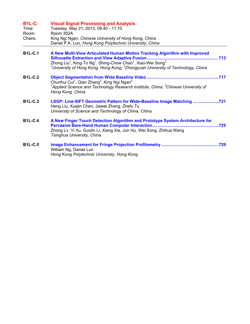| <b>B1L-C:</b><br>Time:<br>Room:<br>Chairs: | <b>Visual Signal Processing and Analysis</b><br>Tuesday, May 21, 2013, 09:40 - 11:10<br>Room 302A<br>King Ngi Ngan, Chinese University of Hong Kong, China<br>Daniel P.K. Lun, Hong Kong Polytechnic University, China                                                                       |
|--------------------------------------------|----------------------------------------------------------------------------------------------------------------------------------------------------------------------------------------------------------------------------------------------------------------------------------------------|
| <b>B1L-C.1</b>                             | A New Multi-View Articulated Human Motion Tracking Algorithm with Improved<br>Zhong Liu <sup>1</sup> , King-To Ng <sup>1</sup> , Shing-Chow Chan <sup>1</sup> , Xiao-Wei Song <sup>2</sup><br><sup>1</sup> University of Hong Kong, Hong Kong; $2$ Zhongyuan University of Technology, China |
| <b>B1L-C.2</b>                             | Chunhui Cui <sup>1</sup> , Qian Zhang <sup>2</sup> , King Ngi Ngan <sup>2</sup><br><sup>1</sup> Applied Science and Technology Research Institute, China; ${}^{2}$ Chinese University of<br>Hong Kong, China                                                                                 |
| <b>B1L-C.3</b>                             | LSGP: Line-SIFT Geometric Pattern for Wide-Baseline Image Matching 721<br>Heng Liu, Xuejin Chen, Jiawei Zhang, Zhefu Tu<br>University of Science and Technology of China, China                                                                                                              |
| <b>B1L-C.4</b>                             | A New Finger Touch Detection Algorithm and Prototype System Architecture for<br>Zhong Lv, Yi Xu, Guolin Li, Xiang Xie, Jun Hu, Wei Song, Zhihua Wang<br>Tsinghua University, China                                                                                                           |
| <b>B1L-C.5</b>                             | William Ng, Daniel Lun<br>Hong Kong Polytechnic Univeristy, Hong Kong                                                                                                                                                                                                                        |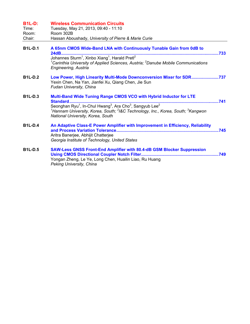| <b>B1L-D:</b>  | <b>Wireless Communication Circuits</b>                                                                                                                                                                                                                                                                                                                 |  |
|----------------|--------------------------------------------------------------------------------------------------------------------------------------------------------------------------------------------------------------------------------------------------------------------------------------------------------------------------------------------------------|--|
| Time:          | Tuesday, May 21, 2013, 09:40 - 11:10                                                                                                                                                                                                                                                                                                                   |  |
| Room:          | Room 302B                                                                                                                                                                                                                                                                                                                                              |  |
| Chair:         | Hassan Aboushady, University of Pierre & Marie Curie                                                                                                                                                                                                                                                                                                   |  |
| <b>B1L-D.1</b> | A 65nm CMOS Wide-Band LNA with Continuously Tunable Gain from 0dB to<br>Johannes Sturm <sup>1</sup> , Xinbo Xiang <sup>1</sup> , Harald Pretl <sup>2</sup><br><sup>1</sup> Carinthia University of Applied Sciences, Austria; <sup>2</sup> Danube Mobile Communications<br>Engineering, Austria                                                        |  |
| <b>B1L-D.2</b> | Low Power, High Linearity Multi-Mode Downconversion Mixer for SDR737<br>Yexin Chen, Na Yan, Jianfei Xu, Qiang Chen, Jie Sun<br>Fudan University, China                                                                                                                                                                                                 |  |
| <b>B1L-D.3</b> | Multi-Band Wide Tuning Range CMOS VCO with Hybrid Inductor for LTE<br>Standard<br>Seonghan Ryu <sup>1</sup> , In-Chul Hwang <sup>3</sup> , Ara Cho <sup>3</sup> , Sangyub Lee <sup>2</sup><br><sup>1</sup> Hannam University, Korea, South; <sup>2</sup> I&C Technology, Inc., Korea, South; <sup>3</sup> Kangwon<br>National University, Korea, South |  |
| <b>B1L-D.4</b> | An Adaptive Class-E Power Amplifier with Improvement in Efficiency, Reliability<br>Aritra Banerjee, Abhijit Chatterjee<br>Georgia Institute of Technology, United States                                                                                                                                                                               |  |
| <b>B1L-D.5</b> | <b>SAW-Less GNSS Front-End Amplifier with 80.4-dB GSM Blocker Suppression</b><br>Yongan Zheng, Le Ye, Long Chen, Huailin Liao, Ru Huang<br>Peking University, China                                                                                                                                                                                    |  |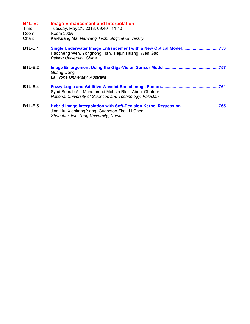| <b>B1L-E:</b><br>Time:<br>Room:<br>Chair: | <b>Image Enhancement and Interpolation</b><br>Tuesday, May 21, 2013, 09:40 - 11:10<br>Room 303A<br>Kai-Kuang Ma, Nanyang Technological University             |
|-------------------------------------------|---------------------------------------------------------------------------------------------------------------------------------------------------------------|
| <b>B1L-E.1</b>                            | Single Underwater Image Enhancement with a New Optical Model753<br>Haocheng Wen, Yonghong Tian, Tiejun Huang, Wen Gao<br>Peking University, China             |
| <b>B1L-E.2</b>                            | Guang Deng<br>La Trobe University, Australia                                                                                                                  |
| <b>B1L-E.4</b>                            | Syed Sohaib Ali, Muhammad Mohsin Riaz, Abdul Ghafoor<br>National University of Sciences and Technology, Pakistan                                              |
| <b>B1L-E.5</b>                            | Hybrid Image Interpolation with Soft-Decision Kernel Regression765<br>Jing Liu, Xiaokang Yang, Guangtao Zhai, Li Chen<br>Shanghai Jiao Tong University, China |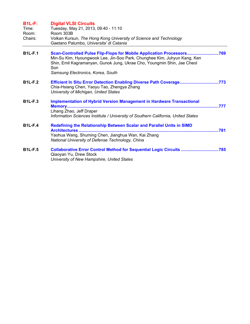| <b>B1L-F:</b><br>Time:<br>Room: | <b>Digital VLSI Circuits</b><br>Tuesday, May 21, 2013, 09:40 - 11:10<br>Room 303B                                                                                                                                                                                        |  |
|---------------------------------|--------------------------------------------------------------------------------------------------------------------------------------------------------------------------------------------------------------------------------------------------------------------------|--|
| Chairs:                         | Volkan Kursun, The Hong Kong University of Science and Technology<br>Gaetano Palumbo, Universita' di Catania                                                                                                                                                             |  |
| <b>B1L-F.1</b>                  | Scan-Controlled Pulse Flip-Flops for Mobile Application Processors769<br>Min-Su Kim, Hyoungwook Lee, Jin-Soo Park, Chunghee Kim, Juhyun Kang, Ken<br>Shin, Emil Kagramanyan, Gunok Jung, Ukrae Cho, Youngmin Shin, Jae Cheol<br>Son<br>Samsung Electronics, Korea, South |  |
| <b>B1L-F.2</b>                  | Efficient In Situ Error Detection Enabling Diverse Path Coverage773<br>Chia-Hsiang Chen, Yaoyu Tao, Zhengya Zhang<br>University of Michigan, United States                                                                                                               |  |
| <b>B1L-F.3</b>                  | <b>Implementation of Hybrid Version Management in Hardware Transactional</b><br>Lihang Zhao, Jeff Draper<br>Information Sciences Institute / University of Southern California, United States                                                                            |  |
| <b>B1L-F.4</b>                  | Redefining the Relationship Between Scalar and Parallel Units in SIMD<br>Yaohua Wang, Shuming Chen, Jianghua Wan, Kai Zhang<br>National University of Defense Technology, China                                                                                          |  |
| <b>B1L-F.5</b>                  | Collaborative Error Control Method for Sequential Logic Circuits 785<br>Qiaoyan Yu, Drew Stock<br>University of New Hampshire, United States                                                                                                                             |  |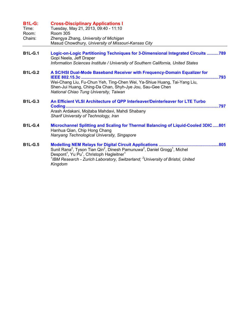| <b>B1L-G:</b><br>Time:<br>Room:<br>Chairs: | <b>Cross-Disciplinary Applications I</b><br>Tuesday, May 21, 2013, 09:40 - 11:10<br><b>Room 305</b><br>Zhengya Zhang, University of Michigan<br>Masud Chowdhury, University of Missouri-Kansas City                                                                                                                             |
|--------------------------------------------|---------------------------------------------------------------------------------------------------------------------------------------------------------------------------------------------------------------------------------------------------------------------------------------------------------------------------------|
| <b>B1L-G.1</b>                             | Logic-on-Logic Partitioning Techniques for 3-Dimensional Integrated Circuits 789<br>Gopi Neela, Jeff Draper<br>Information Sciences Institute / University of Southern California, United States                                                                                                                                |
| <b>B1L-G.2</b>                             | A SC/HSI Dual-Mode Baseband Receiver with Frequency-Domain Equalizer for<br>IEEE 802.15.3c<br>Wei-Chang Liu, Fu-Chun Yeh, Ting-Chen Wei, Ya-Shiue Huang, Tai-Yang Liu,<br>Shen-Jui Huang, Ching-Da Chan, Shyh-Jye Jou, Sau-Gee Chen<br>National Chiao Tung University, Taiwan                                                   |
| <b>B1L-G.3</b>                             | An Efficient VLSI Architecture of QPP Interleaver/Deinterleaver for LTE Turbo<br>797<br>Arash Ardakani, Mojtaba Mahdavi, Mahdi Shabany<br>Sharif University of Technology, Iran                                                                                                                                                 |
| <b>B1L-G.4</b>                             | Microchannel Splitting and Scaling for Thermal Balancing of Liquid-Cooled 3DIC801<br>Hanhua Qian, Chip Hong Chang<br>Nanyang Technological University, Singapore                                                                                                                                                                |
| <b>B1L-G.5</b>                             | Sunil Rana <sup>2</sup> , Tyson Tian Qin <sup>2</sup> , Dinesh Pamunuwa <sup>2</sup> , Daniel Grogg <sup>1</sup> , Michel<br>Despont <sup>1</sup> , Yu Pu <sup>1</sup> , Christoph Hagleitner <sup>1</sup><br><sup>1</sup> IBM Research - Zurich Laboratory, Switzerland; <sup>2</sup> University of Bristol, United<br>Kingdom |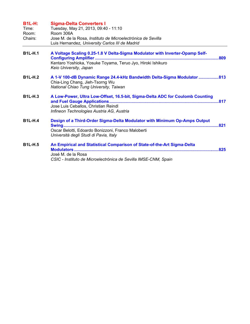| <b>B1L-H:</b><br>Time:<br>Room:<br>Chairs: | <b>Sigma-Delta Converters I</b><br>Tuesday, May 21, 2013, 09:40 - 11:10<br>Room 306A<br>Jose M. de la Rosa, Instituto de Microelectrónica de Sevilla<br>Luis Hernandez, University Carlos III de Madrid |
|--------------------------------------------|---------------------------------------------------------------------------------------------------------------------------------------------------------------------------------------------------------|
| <b>B1L-H.1</b>                             | A Voltage Scaling 0.25-1.8 V Delta-Sigma Modulator with Inverter-Opamp Self-<br>Kentaro Yoshioka, Yosuke Toyama, Teruo Jyo, Hiroki Ishikuro<br>Keio University, Japan                                   |
| <b>B1L-H.2</b>                             | A 1-V 100-dB Dynamic Range 24.4-kHz Bandwidth Delta-Sigma Modulator 813<br>Chia-Ling Chang, Jieh-Tsorng Wu<br>National Chiao Tung University, Taiwan                                                    |
| <b>B1L-H.3</b>                             | A Low-Power, Ultra Low-Offset, 16.5-bit, Sigma-Delta ADC for Coulomb Counting<br>Jose Luis Ceballos, Christian Reindl<br>Infineon Technologies Austria AG, Austria                                      |
| <b>B1L-H.4</b>                             | Design of a Third-Order Sigma-Delta Modulator with Minimum Op-Amps Output<br>Oscar Belotti, Edoardo Bonizzoni, Franco Maloberti<br>Università degli Studi di Pavia, Italy                               |
| <b>B1L-H.5</b>                             | An Empirical and Statistical Comparison of State-of-the-Art Sigma-Delta<br>José M. de la Rosa<br>CSIC - Instituto de Microelectrónica de Sevilla IMSE-CNM, Spain                                        |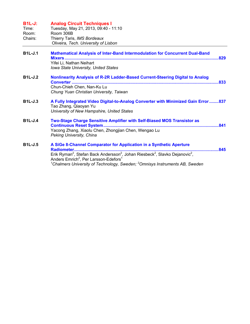| $B1L-J:$<br>Time:<br>Room:<br>Chairs: | <b>Analog Circuit Techniques I</b><br>Tuesday, May 21, 2013, 09:40 - 11:10<br>Room 306B<br>Thierry Taris, IMS Bordeaux<br>Oliveira, Tech. University of Lisbon                                                                                                                                                                                                             |
|---------------------------------------|----------------------------------------------------------------------------------------------------------------------------------------------------------------------------------------------------------------------------------------------------------------------------------------------------------------------------------------------------------------------------|
| <b>B1L-J.1</b>                        | <b>Mathematical Analysis of Inter-Band Intermodulation for Concurrent Dual-Band</b><br>Yifei Li, Nathan Neihart<br><b>Iowa State University, United States</b>                                                                                                                                                                                                             |
| <b>B1L-J.2</b>                        | Nonlinearity Analysis of R-2R Ladder-Based Current-Steering Digital to Analog<br>Chun-Chieh Chen, Nan-Ku Lu<br>Chung Yuan Christian University, Taiwan                                                                                                                                                                                                                     |
| <b>B1L-J.3</b>                        | A Fully Integrated Video Digital-to-Analog Converter with Minimized Gain Error  837<br>Tao Zhang, Qiaoyan Yu<br>University of New Hampshire, United States                                                                                                                                                                                                                 |
| <b>B1L-J.4</b>                        | Two-Stage Charge Sensitive Amplifier with Self-Biased MOS Transistor as<br>Yacong Zhang, Xiaolu Chen, Zhongjian Chen, Wengao Lu<br>Peking University, China                                                                                                                                                                                                                |
| <b>B1L-J.5</b>                        | A SiGe 8-Channel Comparator for Application in a Synthetic Aperture<br>845<br>Erik Ryman <sup>2</sup> , Stefan Back Andersson <sup>2</sup> , Johan Riesbeck <sup>2</sup> , Slavko Dejanovic <sup>2</sup> ,<br>Anders Emrich <sup>2</sup> , Per Larsson-Edefors <sup>1</sup><br><sup>1</sup> Chalmers University of Technology, Sweden; $^2$ Omnisys Instruments AB, Sweden |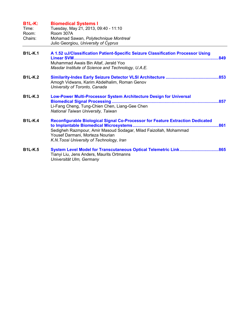| <b>B1L-K:</b><br>Time:<br>Room:<br>Chairs: | <b>Biomedical Systems I</b><br>Tuesday, May 21, 2013, 09:40 - 11:10<br>Room 307A<br>Mohamad Sawan, Polytechnique Montreal<br>Julio Georgiou, University of Cyprus                                                                   |  |
|--------------------------------------------|-------------------------------------------------------------------------------------------------------------------------------------------------------------------------------------------------------------------------------------|--|
| <b>B1L-K.1</b>                             | A 1.52 uJ/Classification Patient-Specific Seizure Classification Processor Using<br>Muhammad Awais Bin Altaf, Jerald Yoo<br>Masdar Institute of Science and Technology, U.A.E.                                                      |  |
| <b>B1L-K.2</b>                             | Amogh Vidwans, Karim Abdelhalim, Roman Genov<br>University of Toronto, Canada                                                                                                                                                       |  |
| <b>B1L-K.3</b>                             | Low-Power Multi-Processor System Architecture Design for Universal<br>Li-Fang Cheng, Tung-Chien Chen, Liang-Gee Chen<br>National Taiwan University, Taiwan                                                                          |  |
| <b>B1L-K.4</b>                             | Reconfigurable Biological Signal Co-Processor for Feature Extraction Dedicated<br>Sedigheh Razmpour, Amir Masoud Sodagar, Milad Faizollah, Mohammad<br>Yousef Darmani, Morteza Nourian<br>K.N. Toosi University of Technology, Iran |  |
| <b>B1L-K.5</b>                             | Tianyi Liu, Jens Anders, Maurits Ortmanns<br>Universität Ulm, Germany                                                                                                                                                               |  |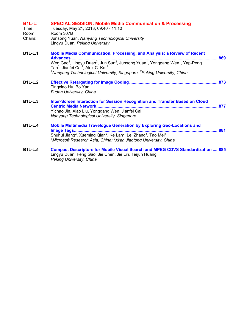| <b>B1L-L:</b><br>Time:<br>Room:<br>Chairs: | <b>SPECIAL SESSION: Mobile Media Communication &amp; Processing</b><br>Tuesday, May 21, 2013, 09:40 - 11:10<br>Room 307B<br>Junsong Yuan, Nanyang Technological University<br>Lingyu Duan, Peking University                                                                                                           |      |
|--------------------------------------------|------------------------------------------------------------------------------------------------------------------------------------------------------------------------------------------------------------------------------------------------------------------------------------------------------------------------|------|
| <b>B1L-L.1</b>                             | Mobile Media Communication, Processing, and Analysis: a Review of Recent<br><b>Advances </b>                                                                                                                                                                                                                           | .869 |
|                                            | Wen Gao <sup>2</sup> , Lingyu Duan <sup>2</sup> , Jun Sun <sup>2</sup> , Junsong Yuan <sup>1</sup> , Yonggang Wen <sup>1</sup> , Yap-Peng<br>Tan <sup>1</sup> , Jianfei Cai <sup>1</sup> , Alex C. Kot <sup>1</sup><br><sup>1</sup> Nanyang Technological University, Singapore; <sup>2</sup> Peking University, China |      |
| <b>B1L-L.2</b>                             | Tingxiao Hu, Bo Yan<br>Fudan University, China                                                                                                                                                                                                                                                                         |      |
| <b>B1L-L.3</b>                             | Inter-Screen Interaction for Session Recognition and Transfer Based on Cloud                                                                                                                                                                                                                                           | .877 |
|                                            | Yichao Jin, Xiao Liu, Yonggang Wen, Jianfei Cai<br>Nanyang Technological University, Singapore                                                                                                                                                                                                                         |      |
| <b>B1L-L.4</b>                             | <b>Mobile Multimedia Travelogue Generation by Exploring Geo-Locations and</b>                                                                                                                                                                                                                                          | .881 |
|                                            | Shuhui Jiang <sup>2</sup> , Xueming Qian <sup>2</sup> , Ke Lan <sup>2</sup> , Lei Zhang <sup>1</sup> , Tao Mei <sup>1</sup><br><sup>1</sup> Microsoft Research Asia, China; $2Xi$ 'an Jiaotong University, China                                                                                                       |      |
| <b>B1L-L.5</b>                             | <b>Compact Descriptors for Mobile Visual Search and MPEG CDVS Standardization 885</b><br>Lingyu Duan, Feng Gao, Jie Chen, Jie Lin, Tiejun Huang<br>Peking University, China                                                                                                                                            |      |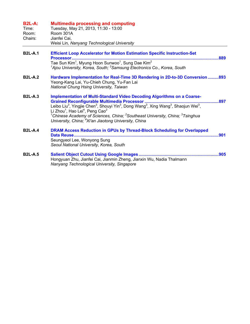| <b>B2L-A:</b><br>Time:<br>Room:<br>Chairs: | <b>Multimedia processing and computing</b><br>Tuesday, May 21, 2013, 11:30 - 13:00<br>Room 301A<br>Jianfei Cai,<br>Weisi Lin, Nanyang Technological University                                                                                                                                                                                                                                                                                                                                      |      |
|--------------------------------------------|-----------------------------------------------------------------------------------------------------------------------------------------------------------------------------------------------------------------------------------------------------------------------------------------------------------------------------------------------------------------------------------------------------------------------------------------------------------------------------------------------------|------|
| <b>B2L-A.1</b>                             | <b>Efficient Loop Accelerator for Motion Estimation Specific Instruction-Set</b><br>Tae Sun Kim <sup>1</sup> , Myung Hoon Sunwoo <sup>1</sup> , Sung Dae Kim <sup>2</sup><br><sup>1</sup> Ajou University, Korea, South; <sup>2</sup> Samsung Electronics Co., Korea, South                                                                                                                                                                                                                         | .889 |
| <b>B2L-A.2</b>                             | Hardware Implementation for Real-Time 3D Rendering in 2D-to-3D Conversion 893<br>Yeong-Kang Lai, Yu-Chieh Chung, Yu-Fan Lai<br>National Chung Hsing University, Taiwan                                                                                                                                                                                                                                                                                                                              |      |
| <b>B2L-A.3</b>                             | <b>Implementation of Multi-Standard Video Decoding Algorithms on a Coarse-</b><br>Leibo Liu <sup>3</sup> , Yingjie Chen <sup>3</sup> , Shouyi Yin <sup>3</sup> , Dong Wang <sup>3</sup> , Xing Wang <sup>3</sup> , Shaojun Wei <sup>3</sup> ,<br>Li Zhou <sup>1</sup> , Hao Lei <sup>4</sup> , Peng Cao <sup>2</sup><br><sup>1</sup> Chinese Academy of Sciences, China; <sup>2</sup> Southeast University, China; $3$ Tsinghua<br>University, China; <sup>4</sup> Xi'an Jiaotong University, China | 897  |
| <b>B2L-A.4</b>                             | DRAM Access Reduction in GPUs by Thread-Block Scheduling for Overlapped<br>Data Reuse<br>Seungyeol Lee, Wonyong Sung<br>Seoul National University, Korea, South                                                                                                                                                                                                                                                                                                                                     |      |
| <b>B2L-A.5</b>                             | Hongyuan Zhu, Jianfei Cai, Jianmin Zheng, Jianxin Wu, Nadia Thalmann<br>Nanyang Technological University, Singapore                                                                                                                                                                                                                                                                                                                                                                                 |      |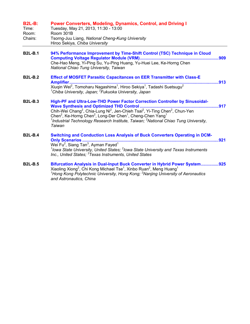| <b>B2L-B:</b><br>Time:<br>Room:<br>Chairs: | Power Converters, Modeling, Dynamics, Control, and Driving I<br>Tuesday, May 21, 2013, 11:30 - 13:00<br>Room 301B<br>Tsorng-Juu Liang, National Cheng-Kung University<br>Hiroo Sekiya, Chiba University                                                                                                                                                                                                                                            |     |
|--------------------------------------------|----------------------------------------------------------------------------------------------------------------------------------------------------------------------------------------------------------------------------------------------------------------------------------------------------------------------------------------------------------------------------------------------------------------------------------------------------|-----|
| <b>B2L-B.1</b>                             | 94% Performance Improvement by Time-Shift Control (TSC) Technique in Cloud<br>Che-Hao Meng, Yi-Ping Su, Yu-Ping Huang, Yu-Huei Lee, Ke-Horng Chen<br>National Chiao Tung University, Taiwan                                                                                                                                                                                                                                                        |     |
| <b>B2L-B.2</b>                             | <b>Effect of MOSFET Parasitic Capacitances on EER Transmitter with Class-E</b><br>913<br>Xiuqin Wei <sup>2</sup> , Tomoharu Nagashima <sup>1</sup> , Hiroo Sekiya <sup>1</sup> , Tadashi Suetsugu <sup>2</sup><br><sup>1</sup> Chiba University, Japan; <sup>2</sup> Fukuoka University, Japan                                                                                                                                                     |     |
| <b>B2L-B.3</b>                             | High-PF and Ultra-Low-THD Power Factor Correction Controller by Sinusoidal-<br>Chih-Wei Chang <sup>2</sup> , Chia-Lung Ni <sup>2</sup> , Jen-Chieh Tsai <sup>2</sup> , Yi-Ting Chen <sup>2</sup> , Chun-Yen<br>Chen <sup>2</sup> , Ke-Horng Chen <sup>2</sup> , Long-Der Chen <sup>1</sup> , Cheng-Chen Yang <sup>1</sup><br><sup>1</sup> Industrial Technology Research Institute, Taiwan; <sup>2</sup> National Chiao Tung University,<br>Taiwan |     |
| <b>B2L-B.4</b>                             | <b>Switching and Conduction Loss Analysis of Buck Converters Operating in DCM-</b><br><b>Only Scenarios</b><br>Wei Fu <sup>2</sup> , Siang Tan <sup>3</sup> , Ayman Fayed <sup>1</sup><br>$1$ lowa State University, United States; $2$ lowa State University and Texas Instruments<br>Inc., United States; <sup>3</sup> Texas Instruments, United States                                                                                          | 921 |
| <b>B2L-B.5</b>                             | Bifurcation Analysis in Dual-Input Buck Converter in Hybrid Power System925<br>Xiaoling Xiong <sup>2</sup> , Chi Kong Michael Tse <sup>1</sup> , Xinbo Ruan <sup>2</sup> , Meng Huang <sup>1</sup><br><sup>1</sup> Hong Kong Polytechnic University, Hong Kong; <sup>2</sup> Nanjing University of Aeronautics<br>and Astronautics, China                                                                                                          |     |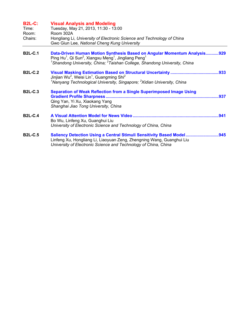| <b>B2L-C:</b><br>Time:<br>Room:<br>Chairs: | <b>Visual Analysis and Modeling</b><br>Tuesday, May 21, 2013, 11:30 - 13:00<br>Room 302A<br>Hongliang Li, University of Electronic Science and Technology of China<br>Gwo Giun Lee, National Cheng Kung University                                                                    |
|--------------------------------------------|---------------------------------------------------------------------------------------------------------------------------------------------------------------------------------------------------------------------------------------------------------------------------------------|
| <b>B2L-C.1</b>                             | Data-Driven Human Motion Synthesis Based on Angular Momentum Analysis929<br>Ping Hu <sup>1</sup> , Qi Sun <sup>2</sup> , Xiangxu Meng <sup>1</sup> , Jingliang Peng <sup>1</sup><br><sup>1</sup> Shandong University, China; <sup>2</sup> Taishan College, Shandong University, China |
| <b>B2L-C.2</b>                             | Jinjian Wu <sup>2</sup> , Weisi Lin <sup>1</sup> , Guangming Shi <sup>2</sup><br><sup>1</sup> Nanyang Technological University, Singapore; <sup>2</sup> Xidian University, China                                                                                                      |
| <b>B2L-C.3</b>                             | <b>Separation of Weak Reflection from a Single Superimposed Image Using</b><br>.937<br>Qing Yan, Yi Xu, Xiaokang Yang<br>Shanghai Jiao Tong University, China                                                                                                                         |
| <b>B2L-C.4</b>                             | Bo Wu, Linfeng Xu, Guanghui Liu<br>University of Electronic Science and Technology of China, China                                                                                                                                                                                    |
| <b>B2L-C.5</b>                             | Saliency Detection Using a Central Stimuli Sensitivity Based Model945<br>Linfeng Xu, Hongliang Li, Liaoyuan Zeng, Zhengning Wang, Guanghui Liu<br>University of Electronic Science and Technology of China, China                                                                     |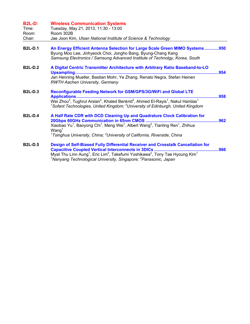| <b>B2L-D:</b><br>Time:<br>Room:<br>Chair: | <b>Wireless Communication Systems</b><br>Tuesday, May 21, 2013, 11:30 - 13:00<br>Room 302B<br>Jae Joon Kim, Ulsan National Institute of Science & Technology                                                                                                                                                                                              |      |
|-------------------------------------------|-----------------------------------------------------------------------------------------------------------------------------------------------------------------------------------------------------------------------------------------------------------------------------------------------------------------------------------------------------------|------|
| <b>B2L-D.1</b>                            | An Energy Efficient Antenna Selection for Large Scale Green MIMO Systems950<br>Byung Moo Lee, Jinhyeock Choi, Jongho Bang, Byung-Chang Kang<br>Samsung Electronics / Samsung Advanced Institute of Technolgy, Korea, South                                                                                                                                |      |
| <b>B2L-D.2</b>                            | A Digital Centric Transmitter Architecture with Arbitrary Ratio Baseband-to-LO<br>Jan Henning Mueller, Bastian Mohr, Ye Zhang, Renato Negra, Stefan Heinen<br><b>RWTH Aachen University, Germany</b>                                                                                                                                                      | .954 |
| <b>B2L-D.3</b>                            | Reconfigurable Feeding Network for GSM/GPS/3G/WiFi and Global LTE<br><b>Applications</b><br>958<br>Wei Zhou <sup>2</sup> , Tughrul Arslan <sup>2</sup> , Khaled Benkrid <sup>2</sup> , Ahmed El-Rayis <sup>1</sup> , Nakul Haridas <sup>1</sup><br><sup>1</sup> Sofant Technologies, United Kingdom; <sup>2</sup> University of Edinburgh, United Kingdom |      |
| <b>B2L-D.4</b>                            | A Half Rate CDR with DCD Cleaning Up and Quadrature Clock Calibration for<br>Xiaobao Yu <sup>1</sup> , Baoyong Chi <sup>1</sup> , Meng Wei <sup>1</sup> , Albert Wang <sup>2</sup> , Tianling Ren <sup>1</sup> , Zhihua<br>$W$ ang <sup>1</sup><br><sup>1</sup> Tsinghua University, China; <sup>2</sup> University of California, Riverside, China       |      |
| <b>B2L-D.5</b>                            | Design of Self-Biased Fully Differential Receiver and Crosstalk Cancellation for<br>Must Thu Linn Aung <sup>1</sup> Eric Lim <sup>2</sup> Takofumi Voshikawa <sup>2</sup> Tony Tao Hygung Kim <sup>1</sup>                                                                                                                                                | .966 |

Myat Thu Linn Aung<sup>1</sup>, Eric Lim<sup>2</sup>, Takefumi Yoshikawa<sup>2</sup>, Tony Tae Hyoung Kim<sup>1</sup><br><sup>1</sup>Nanyang *Technological University, Singapore; <sup>2</sup>Panasonic, Japan*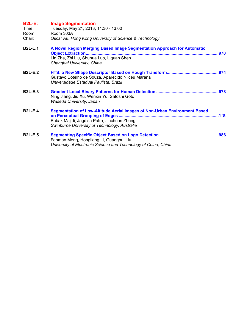| <b>B2L-E:</b><br>Time: | <b>Image Segmentation</b><br>Tuesday, May 21, 2013, 11:30 - 13:00                                                                                                         |            |
|------------------------|---------------------------------------------------------------------------------------------------------------------------------------------------------------------------|------------|
| Room:<br>Chair:        | Room 303A<br>Oscar Au, Hong Kong University of Science & Technology                                                                                                       |            |
| <b>B2L-E.1</b>         | A Novel Region Merging Based Image Segmentation Approach for Automatic<br>Object Extraction<br>Lin Zha, Zhi Liu, Shuhua Luo, Liquan Shen<br>Shanghai University, China    | .970       |
| <b>B2L-E.2</b>         | Gustavo Botelho de Souza, Aparecido Nilceu Marana<br>Universidade Estadual Paulista, Brazil                                                                               |            |
| <b>B2L-E.3</b>         | Ning Jiang, Jiu Xu, Wenxin Yu, Satoshi Goto<br>Waseda University, Japan                                                                                                   |            |
| <b>B2L-E.4</b>         | Segmentation of Low-Altitude Aerial Images of Non-Urban Environment Based<br>Babak Majidi, Jagdish Patra, Jinchuan Zheng<br>Swinburne University of Technology, Australia | <b>.Bあ</b> |
| <b>B2L-E.5</b>         | Fanman Meng, Hongliang Li, Guanghui Liu<br>University of Electronic Science and Technology of China, China                                                                |            |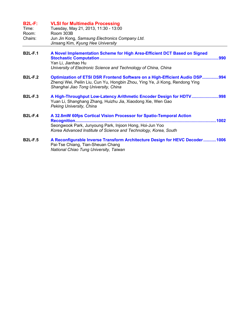| <b>B2L-F:</b><br>Time:<br>Room:<br>Chairs: | <b>VLSI for Multimedia Processing</b><br>Tuesday, May 21, 2013, 11:30 - 13:00<br>Room 303B<br>Jun Jin Kong, Samsung Electronics Company Ltd.<br>Jinsang Kim, Kyung Hee University                                 |
|--------------------------------------------|-------------------------------------------------------------------------------------------------------------------------------------------------------------------------------------------------------------------|
| <b>B2L-F.1</b>                             | A Novel Implementation Scheme for High Area-Efficient DCT Based on Signed<br>Yan Li, Jianhao Hu<br>University of Electronic Science and Technology of China, China                                                |
| <b>B2L-F.2</b>                             | <b>Optimization of ETSI DSR Frontend Software on a High-Efficient Audio DSP994</b><br>Zhenqi Wei, Peilin Liu, Cun Yu, Hongbin Zhou, Ying Ye, Ji Kong, Rendong Ying<br>Shanghai Jiao Tong University, China        |
| <b>B2L-F.3</b>                             | A High-Throughput Low-Latency Arithmetic Encoder Design for HDTV998<br>Yuan Li, Shanghang Zhang, Huizhu Jia, Xiaodong Xie, Wen Gao<br>Peking University, China                                                    |
| <b>B2L-F.4</b>                             | A 32.8mW 60fps Cortical Vision Processor for Spatio-Temporal Action<br>Recognition<br>Seongwook Park, Junyoung Park, Injoon Hong, Hoi-Jun Yoo<br>Korea Advanced Institute of Science and Technology, Korea, South |
| <b>B2L-F.5</b>                             | A Reconfigurable Inverse Transform Architecture Design for HEVC Decoder1006<br>Pai-Tse Chiang, Tian-Sheuan Chang<br>National Chiao Tung University, Taiwan                                                        |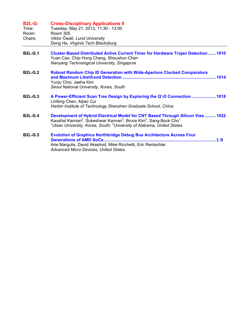| <b>B2L-G:</b><br>Time:<br>Room:<br>Chairs: | <b>Cross-Disciplinary Applications II</b><br>Tuesday, May 21, 2013, 11:30 - 13:00<br>Room 305<br>Viktor Öwall, Lund University<br>Dong Ha, Virginia Tech Blacksburg                                                                                                                 |
|--------------------------------------------|-------------------------------------------------------------------------------------------------------------------------------------------------------------------------------------------------------------------------------------------------------------------------------------|
| <b>B2L-G.1</b>                             | <b>Cluster-Based Distributed Active Current Timer for Hardware Trojan Detection 1010</b><br>Yuan Cao, Chip Hong Chang, Shoushun Chen<br>Nanyang Technological University, Singapore                                                                                                 |
| <b>B2L-G.2</b>                             | <b>Robust Random Chip ID Generation with Wide-Aperture Clocked Comparators</b><br>Yunju Choi, Jaeha Kim<br>Seoul National University, Korea, South                                                                                                                                  |
| <b>B2L-G.3</b>                             | A Power-Efficient Scan Tree Design by Exploring the Q'-D Connection 1018<br>Linfeng Chen, Aijiao Cui<br>Harbin Institute of Technology Shenzhen Graduate School, China                                                                                                              |
| <b>B2L-G.4</b>                             | Development of Hybrid Electrical Model for CNT Based Through Silicon Vias 1022<br>Kaushal Kannan <sup>2</sup> , Sukeshwar Kannan <sup>2</sup> , Bruce Kim <sup>2</sup> , Sang-Bock Cho <sup>1</sup><br>$1$ Ulsan University, Korea, South; $2$ University of Alabama, United States |
| <b>B2L-G.5</b>                             | <b>Evolution of Graphics Northbridge Debug Bus Architecture Across Four</b><br><b>Generations of AMD SoCs</b><br><b>B#5</b><br>Arie Margulis, David Akselrod, Mike Ricchetti, Eric Rentschler<br><b>Advanced Micro Devices, United States</b>                                       |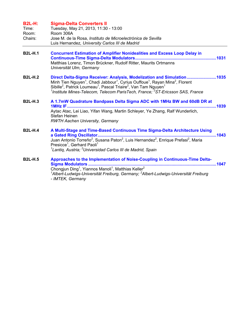| <b>B2L-H:</b><br>Time:<br>Room:<br>Chairs: | <b>Sigma-Delta Converters II</b><br>Tuesday, May 21, 2013, 11:30 - 13:00<br>Room 306A<br>Jose M. de la Rosa, Instituto de Microelectrónica de Sevilla<br>Luis Hernandez, University Carlos III de Madrid                                                                                                                                                                                                                           |
|--------------------------------------------|------------------------------------------------------------------------------------------------------------------------------------------------------------------------------------------------------------------------------------------------------------------------------------------------------------------------------------------------------------------------------------------------------------------------------------|
| <b>B2L-H.1</b>                             | <b>Concurrent Estimation of Amplifier Nonidealities and Excess Loop Delay in</b><br>Matthias Lorenz, Timon Brückner, Rudolf Ritter, Maurits Ortmanns<br>Universität Ulm, Germany                                                                                                                                                                                                                                                   |
| <b>B2L-H.2</b>                             | Direct Delta-Sigma Receiver: Analysis, Modelization and Simulation1035<br>Minh Tien Nguyen <sup>1</sup> , Chadi Jabbour <sup>1</sup> , Cyrius Ouffoue <sup>1</sup> , Rayan Mina <sup>2</sup> , Florent<br>Sibille <sup>2</sup> , Patrick Loumeau <sup>1</sup> , Pascal Triaire <sup>2</sup> , Van Tam Nguyen <sup>1</sup><br><sup>1</sup> Institute Mines-Telecom, Telecom ParisTech, France: <sup>2</sup> ST-Ericsson SAS, France |
| <b>B2L-H.3</b>                             | A 1.7mW Quadrature Bandpass Delta Sigma ADC with 1MHz BW and 60dB DR at<br>Aytac Atac, Lei Liao, Yifan Wang, Martin Schleyer, Ye Zhang, Ralf Wunderlich,<br>Stefan Heinen<br><b>RWTH Aachen University, Germany</b>                                                                                                                                                                                                                |
| <b>B2L-H.4</b>                             | A Multi-Stage and Time-Based Continuous Time Sigma-Delta Architecture Using<br>Presicce <sup>1</sup> , Gerhard Paoli <sup>1</sup><br><sup>1</sup> Lantiq, Austria; <sup>2</sup> Universidad Carlos III de Madrid, Spain                                                                                                                                                                                                            |
| <b>B2L-H.5</b>                             | Approaches to the Implementation of Noise-Coupling in Continuous-Time Delta-<br>Sigma Modulators<br>Chongjun Ding <sup>1</sup> , Yiannos Manoli <sup>1</sup> , Matthias Keller <sup>2</sup><br><sup>1</sup> Albert-Ludwigs-Universität Freiburg, Germany; <sup>2</sup> Albert-Ludwigs-Universität Freiburg<br>- IMTEK, Germany                                                                                                     |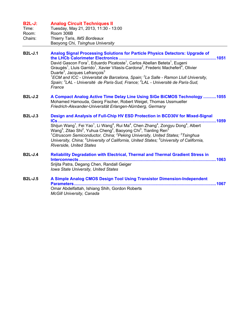## **B2L-J: Analog Circuit Techniques II**

| Time:   | Tuesday, May 21, 2013, 11:30 - 13:00 |
|---------|--------------------------------------|
| Room:   | Room 306B                            |
| Chairs: | Thierry Taris, IMS Bordeaux          |
|         | Baoyong Chi, Tsinghua University     |

- **B2L-J.1 Analog Signal Processing Solutions for Particle Physics Detectors: Upgrade of the LHCb Calorimeter Electronics ...................................................................................1051**  David Gascon Fora<sup>1</sup>, Eduardo Picatoste<sup>1</sup>, Carlos Abellan Beteta<sup>1</sup>, Eugeni Graugés<sup>1</sup>, Lluis Garrido<sup>1</sup>, Xavier Vilasís-Cardona<sup>2</sup>, Frederic Machefert<sup>4</sup>, Olivier Duarte<sup>3</sup>, Jacques Lefrançois<sup>3</sup> *1 ECM and ICC - Universitat de Barcelona, Spain; <sup>2</sup> La Salle - Ramon Llull University,*  Spain; <sup>3</sup>LAL - Université de Paris-Sud, France; <sup>4</sup>LAL - Université de Paris-Sud, *France*
- **B2L-J.2 A Compact Analog Active Time Delay Line Using SiGe BiCMOS Technology ...........1055**  Mohamed Hamouda, Georg Fischer, Robert Weigel, Thomas Ussmueller *Friedrich-Alexander-Universität Erlangen-Nürnberg, Germany*
- **B2L-J.3 Design and Analysis of Full-Chip HV ESD Protection in BCD30V for Mixed-Signal ICs.......................................................................................................................................1059**  Shijun Wang<sup>1</sup>, Fei Yao<sup>1</sup>, Li Wang<sup>4</sup>, Rui Ma<sup>4</sup>, Chen Zhang<sup>4</sup>, Zongyu Dong<sup>4</sup>, Albert Wang $^5$ , Zitao Shi $^2$ , Yuhua Cheng $^2$ , Baoyong Chi $^3$ , Tianling Ren $^3$ *1 Citruscom Semiconductor, China; <sup>2</sup> Peking University, United States; <sup>3</sup> Tsinghua University, China; <sup>4</sup> University of California, United States; <sup>5</sup> University of California, Riverside, United States*  **B2L-J.4 Reliability Degradation with Electrical, Thermal and Thermal Gradient Stress in**
- **Interconnects.....................................................................................................................1063**  Srijita Patra, Degang Chen, Randall Geiger *Iowa State University, United States*
- **B2L-J.5 A Simple Analog CMOS Design Tool Using Transistor Dimension-Independent Parameters.........................................................................................................................1067**  Omar Abdelfattah, Ishiang Shih, Gordon Roberts *McGill University, Canada*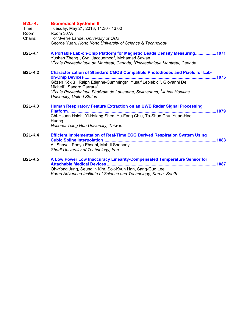| <b>B2L-K:</b><br>Time:<br>Room:<br>Chairs: | <b>Biomedical Systems II</b><br>Tuesday, May 21, 2013, 11:30 - 13:00<br>Room 307A<br>Tor Sverre Lande, University of Oslo<br>George Yuan, Hong Kong University of Science & Technology                                                                                                                                                                                                         |
|--------------------------------------------|------------------------------------------------------------------------------------------------------------------------------------------------------------------------------------------------------------------------------------------------------------------------------------------------------------------------------------------------------------------------------------------------|
| <b>B2L-K.1</b>                             | A Portable Lab-on-Chip Platform for Magnetic Beads Density Measuring1071<br>Yushan Zheng <sup>1</sup> , Cyril Jacquemod <sup>2</sup> , Mohamad Sawan <sup>1</sup><br><sup>1</sup> École Polytechnique de Montréal, Canada; <sup>2</sup> Polytechnique Montréal, Canada                                                                                                                         |
| <b>B2L-K.2</b>                             | <b>Characterization of Standard CMOS Compatible Photodiodes and Pixels for Lab-</b><br>Gözen Köklü <sup>1</sup> , Ralph Etienne-Cummings <sup>2</sup> , Yusuf Leblebici <sup>1</sup> , Giovanni De<br>Micheli <sup>1</sup> , Sandro Carrara <sup>1</sup><br><sup>1</sup> École Polytechnique Fédérale de Lausanne, Switzerland; <sup>2</sup> Johns Hopkins<br><b>University, United States</b> |
| <b>B2L-K.3</b>                             | Human Respiratory Feature Extraction on an UWB Radar Signal Processing<br>Chi-Hsuan Hsieh, Yi-Hsiang Shen, Yu-Fang Chiu, Ta-Shun Chu, Yuan-Hao<br>Huang<br>National Tsing Hua University, Taiwan                                                                                                                                                                                               |
| <b>B2L-K.4</b>                             | <b>Efficient Implementation of Real-Time ECG Derived Respiration System Using</b><br>Ali Shayei, Pooya Ehsani, Mahdi Shabany<br>Sharif University of Technology, Iran                                                                                                                                                                                                                          |
| <b>B2L-K.5</b>                             | A Low Power Low Inaccuracy Linearity-Compensated Temperature Sensor for<br><b>Attachable Medical Devices </b><br>Oh-Yong Jung, Seungjin Kim, Sok-Kyun Han, Sang-Gug Lee<br>Korea Advanced Institute of Science and Technology, Korea, South                                                                                                                                                    |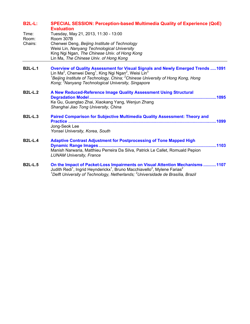| <b>B2L-L:</b> | <b>SPECIAL SESSION: Perception-based Multimedia Quality of Experience (QoE)</b> |
|---------------|---------------------------------------------------------------------------------|
|               | <b>Evaluation</b>                                                               |

| Time:          | Tuesday, May 21, 2013, 11:30 - 13:00                                                                                                                                                                                                                                                                      |
|----------------|-----------------------------------------------------------------------------------------------------------------------------------------------------------------------------------------------------------------------------------------------------------------------------------------------------------|
| Room:          | Room 307B                                                                                                                                                                                                                                                                                                 |
| Chairs:        | Chenwei Deng, Beijing Institute of Technology                                                                                                                                                                                                                                                             |
|                | Weisi Lin, Nanyang Technological University                                                                                                                                                                                                                                                               |
|                | King Ngi Ngan, The Chinese Univ. of Hong Kong                                                                                                                                                                                                                                                             |
|                | Lin Ma, The Chinese Univ. of Hong Kong                                                                                                                                                                                                                                                                    |
| <b>B2L-L.1</b> | <b>Overview of Quality Assessment for Visual Signals and Newly Emerged Trends1091</b><br>Lin Ma <sup>2</sup> , Chenwei Deng <sup>1</sup> , King Ngi Ngan <sup>2</sup> , Weisi Lin <sup>3</sup><br><sup>1</sup> Beijing Institute of Technology, China; <sup>2</sup> Chinese University of Hong Kong, Hong |
|                | Kong; <sup>3</sup> Nanyang Technological University, Singapore                                                                                                                                                                                                                                            |
| <b>B2L-L.2</b> | A New Reduced-Reference Image Quality Assessment Using Structural                                                                                                                                                                                                                                         |

- **Degradation Model ............................................................................................................1095**  Ke Gu, Guangtao Zhai, Xiaokang Yang, Wenjun Zhang *Shanghai Jiao Tong University, China*
- **B2L-L.3 Paired Comparison for Subjective Multimedia Quality Assessment: Theory and Practice ..............................................................................................................................1099**  Jong-Seok Lee *Yonsei University, Korea, South*
- **B2L-L.4 Adaptive Contrast Adjustment for Postprocessing of Tone Mapped High Dynamic Range Images ....................................................................................................1103**  Manish Narwaria, Matthieu Perreira Da Silva, Patrick Le Callet, Romuald Pepion *LUNAM University, France*
- **B2L-L.5 On the Impact of Packet-Loss Impairments on Visual Attention Mechanisms ...........1107**  Judith Redi<sup>1</sup>, Ingrid Heynderickx<sup>1</sup>, Bruno Macchiavello<sup>2</sup>, Mylene Farias<sup>2</sup> *1 Delft University of Technology, Netherlands; <sup>2</sup> Universidade de Brasília, Brazil*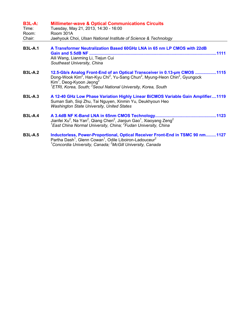| <b>B3L-A:</b><br>Time:<br>Room:<br>Chair: | <b>Millimeter-wave &amp; Optical Communications Circuits</b><br>Tuesday, May 21, 2013, 14:30 - 16:00<br>Room 301A<br>Jaehyouk Choi, Ulsan National Institute of Science & Technology                                                                                                                                                        |
|-------------------------------------------|---------------------------------------------------------------------------------------------------------------------------------------------------------------------------------------------------------------------------------------------------------------------------------------------------------------------------------------------|
|                                           |                                                                                                                                                                                                                                                                                                                                             |
| <b>B3L-A.1</b>                            | A Transformer Neutralization Based 60GHz LNA in 65 nm LP CMOS with 22dB<br>Aili Wang, Lianming Li, Tiejun Cui<br>Southeast University, China                                                                                                                                                                                                |
| <b>B3L-A.2</b>                            | 12.5-Gb/s Analog Front-End of an Optical Transceiver in 0.13-um CMOS 1115<br>Dong-Wook Kim <sup>2</sup> , Han-Kyu Chi <sup>2</sup> , Yu-Sang Chun <sup>2</sup> , Myung-Heon Chin <sup>2</sup> , Gyungock<br>$Kim1$ , Deog-Kyoon Jeong <sup>2</sup><br><sup>1</sup> ETRI, Korea, South; <sup>2</sup> Seoul National University, Korea, South |
| <b>B3L-A.3</b>                            | A 12-40 GHz Low Phase Variation Highly Linear BiCMOS Variable Gain Amplifier1119<br>Suman Sah, Siqi Zhu, Tai Nguyen, Xinmin Yu, Deukhyoun Heo<br><b>Washington State University, United States</b>                                                                                                                                          |
| <b>B3L-A.4</b>                            | Jianfei Xu <sup>2</sup> , Na Yan <sup>2</sup> , Qiang Chen <sup>2</sup> , Jianjun Gao <sup>1</sup> , Xiaoyang Zeng <sup>2</sup><br><sup>1</sup> East China Normal University, China; <sup>2</sup> Fudan University, China                                                                                                                   |
| <b>B3L-A.5</b>                            | Inductorless, Power-Proportional, Optical Receiver Front-End in TSMC 90 nm1127<br>Partha Dash <sup>1</sup> , Glenn Cowan <sup>1</sup> , Odile Liboiron-Ladouceur <sup>2</sup><br>$^1$ Concordia University, Canada; $^2$ McGill University, Canada                                                                                          |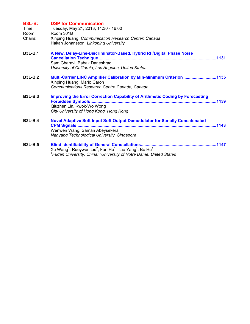| <b>B3L-B:</b><br>Time:<br>Room:<br>Chairs: | <b>DSP for Communication</b><br>Tuesday, May 21, 2013, 14:30 - 16:00<br>Room 301B<br>Xinping Huang, Communication Research Center, Canada<br>Hakan Johansson, Linkoping University                               |
|--------------------------------------------|------------------------------------------------------------------------------------------------------------------------------------------------------------------------------------------------------------------|
| <b>B3L-B.1</b>                             | A New, Delay-Line-Discriminator-Based, Hybrid RF/Digital Phase Noise<br>Sam Gharavi, Babak Daneshrad<br>University of California, Los Angeles, United States                                                     |
| <b>B3L-B.2</b>                             | Multi-Carrier LINC Amplifier Calibration by Min-Minimum Criterion1135<br>Xinping Huang, Mario Caron<br>Communications Research Centre Canada, Canada                                                             |
| <b>B3L-B.3</b>                             | <b>Improving the Error Correction Capability of Arithmetic Coding by Forecasting</b><br>Qiuzhen Lin, Kwok-Wo Wong<br>City University of Hong Kong, Hong Kong                                                     |
| <b>B3L-B.4</b>                             | <b>Novel Adaptive Soft Input Soft Output Demodulator for Serially Concatenated</b><br><b>CPM Signals</b><br>Wenwen Wang, Saman Abeysekera<br>Nanyang Technological University, Singapore                         |
| <b>B3L-B.5</b>                             | Xu Wang <sup>1</sup> , Rueywen Liu <sup>2</sup> , Fan He <sup>1</sup> , Tao Yang <sup>1</sup> , Bo Hu <sup>1</sup><br><sup>1</sup> Fudan University, China; <sup>2</sup> University of Notre Dame, United States |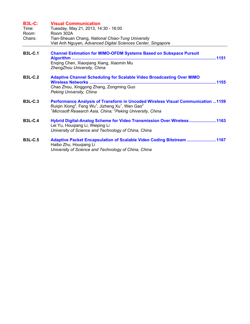| <b>B3L-C:</b><br>Time:<br>Room:<br>Chairs: | <b>Visual Communication</b><br>Tuesday, May 21, 2013, 14:30 - 16:00<br>Room 302A<br>Tian-Sheuan Chang, National Chiao-Tung University<br>Viet Anh Nguyen, Advanced Digital Sciences Center, Singapore                                                                       |
|--------------------------------------------|-----------------------------------------------------------------------------------------------------------------------------------------------------------------------------------------------------------------------------------------------------------------------------|
| <b>B3L-C.1</b>                             | <b>Channel Estimation for MIMO-OFDM Systems Based on Subspace Pursuit</b><br>Algorithm<br>Enging Chen, Xiaoqiang Xiang, Xiaomin Mu<br>ZhengZhou University, China                                                                                                           |
| <b>B3L-C.2</b>                             | <b>Adaptive Channel Scheduling for Scalable Video Broadcasting Over MIMO</b><br><b>Wireless Networks.</b><br>Chao Zhou, Xinggong Zhang, Zongming Guo<br>Peking University, China                                                                                            |
| <b>B3L-C.3</b>                             | Performance Analysis of Transform in Uncoded Wireless Visual Communication  1159<br>Ruigin Xiong <sup>2</sup> , Feng Wu <sup>1</sup> , Jizheng Xu <sup>1</sup> , Wen Gao <sup>2</sup><br><sup>1</sup> Microsoft Research Asia, China; <sup>2</sup> Peking University, China |
| <b>B3L-C.4</b>                             | Hybrid Digital-Analog Scheme for Video Transmission Over Wireless1163<br>Lei Yu, Hougiang Li, Weiping Li<br>University of Science and Technology of China, China                                                                                                            |
| <b>B3L-C.5</b>                             | Adaptive Packet Encapsulation of Scalable Video Coding Bitstream 1167<br>Haibo Zhu, Hougiang Li<br>University of Science and Technology of China, China                                                                                                                     |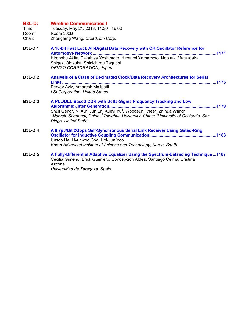| <b>B3L-D:</b><br>Time:<br>Room:<br>Chair: | <b>Wireline Communicatios I</b><br>Tuesday, May 21, 2013, 14:30 - 16:00<br>Room 302B<br>Zhongfeng Wang, Broadcom Corp.                                                                                                                                                                                                                                                                                              |
|-------------------------------------------|---------------------------------------------------------------------------------------------------------------------------------------------------------------------------------------------------------------------------------------------------------------------------------------------------------------------------------------------------------------------------------------------------------------------|
| <b>B3L-D.1</b>                            | A 10-bit Fast Lock All-Digital Data Recovery with CR Oscillator Reference for<br><b>Automotive Network.</b><br>Hironobu Akita, Takahisa Yoshimoto, Hirofumi Yamamoto, Nobuaki Matsudaira,<br>Shigeki Ohtsuka, Shinichirou Taguchi<br>DENSO CORPORATION, Japan                                                                                                                                                       |
| <b>B3L-D.2</b>                            | Analysis of a Class of Decimated Clock/Data Recovery Architectures for Serial<br>Pervez Aziz, Amaresh Malipatil<br><b>LSI Corporation, United States</b>                                                                                                                                                                                                                                                            |
| <b>B3L-D.3</b>                            | A PLL/DLL Based CDR with Delta-Sigma Frequency Tracking and Low<br><b>Algorithmic Jitter Generation.</b><br>Shuli Geng <sup>2</sup> , Ni Xu <sup>2</sup> , Jun Li <sup>3</sup> , Xueyi Yu <sup>1</sup> , Woogeun Rhee <sup>2</sup> , Zhihua Wang <sup>2</sup><br><sup>1</sup> Marvell, Shanghai, China; <sup>2</sup> Tsinghua University, China; <sup>3</sup> University of California, San<br>Diego, United States |
| <b>B3L-D.4</b>                            | A 0.7pJ/Bit 2Gbps Self-Synchronous Serial Link Receiver Using Gated-Ring<br>Unsoo Ha, Hyunwoo Cho, Hoi-Jun Yoo<br>Korea Advanced Institute of Science and Technology, Korea, South                                                                                                                                                                                                                                  |
| <b>B3L-D.5</b>                            | A Fully-Differential Adaptive Equalizer Using the Spectrum-Balancing Technique1187<br>Cecilia Gimeno, Erick Guerrero, Concepcion Aldea, Santiago Celma, Cristina<br>Azcona                                                                                                                                                                                                                                          |

*Universidad de Zaragoza, Spain*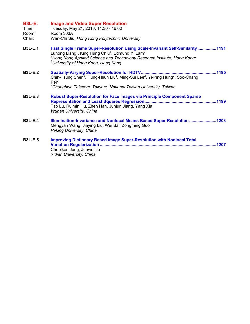| <b>B3L-E:</b><br>Time:<br>Room:<br>Chair: | <b>Image and Video Super Resolution</b><br>Tuesday, May 21, 2013, 14:30 - 16:00<br>Room 303A<br>Wan-Chi Siu, Hong Kong Polytechnic University                                                                                                                                                                   |
|-------------------------------------------|-----------------------------------------------------------------------------------------------------------------------------------------------------------------------------------------------------------------------------------------------------------------------------------------------------------------|
| <b>B3L-E.1</b>                            | Fast Single Frame Super-Resolution Using Scale-Invariant Self-Similarity1191<br>Luhong Liang <sup>1</sup> , King Hung Chiu <sup>1</sup> , Edmund Y. Lam <sup>2</sup><br><sup>1</sup> Hong Kong Applied Science and Technology Research Institute, Hong Kong;<br><sup>2</sup> University of Hong Kong, Hong Kong |
| <b>B3L-E.2</b>                            | Chih-Tsung Shen <sup>2</sup> , Hung-Hsun Liu <sup>1</sup> , Ming-Sui Lee <sup>2</sup> , Yi-Ping Hung <sup>2</sup> , Soo-Chang<br>$Pei^2$<br><sup>1</sup> Chunghwa Telecom, Taiwan; <sup>2</sup> National Taiwan University, Taiwan                                                                              |
| <b>B3L-E.3</b>                            | <b>Robust Super-Resolution for Face Images via Principle Component Sparse</b><br>Tao Lu, Ruimin Hu, Zhen Han, Junjun Jiang, Yang Xia<br>Wuhan University, China                                                                                                                                                 |
| <b>B3L-E.4</b>                            | Illumination-Invariance and Nonlocal Means Based Super Resolution1203<br>Mengyan Wang, Jiaying Liu, Wei Bai, Zongming Guo<br>Peking University, China                                                                                                                                                           |
| <b>B3L-E.5</b>                            | <b>Improving Dictionary Based Image Super-Resolution with Nonlocal Total</b><br>1207<br>Cheolkon Jung, Junwei Ju<br>Xidian University, China                                                                                                                                                                    |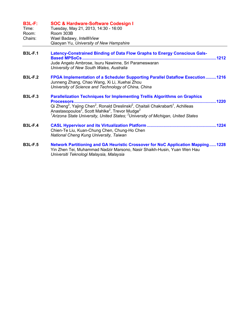| <b>B3L-F:</b><br>Time:<br>Room:<br>Chairs: | <b>SOC &amp; Hardware-Software Codesign I</b><br>Tuesday, May 21, 2013, 14:30 - 16:00<br>Room 303B<br>Wael Badawy, IntellliView<br>Qiaoyan Yu, University of New Hampshire                                                                                                                                                                                                                                                              |
|--------------------------------------------|-----------------------------------------------------------------------------------------------------------------------------------------------------------------------------------------------------------------------------------------------------------------------------------------------------------------------------------------------------------------------------------------------------------------------------------------|
| <b>B3L-F.1</b>                             | <b>Latency-Constrained Binding of Data Flow Graphs to Energy Conscious Gals-</b><br>Jude Angelo Ambrose, Isuru Nawinne, Sri Parameswaran<br>University of New South Wales, Australia                                                                                                                                                                                                                                                    |
| <b>B3L-F.2</b>                             | FPGA Implementation of a Scheduler Supporting Parallel Dataflow Execution1216<br>Junneng Zhang, Chao Wang, Xi Li, Xuehai Zhou<br>University of Science and Technology of China, China                                                                                                                                                                                                                                                   |
| <b>B3L-F.3</b>                             | <b>Parallelization Techniques for Implementing Trellis Algorithms on Graphics</b><br>Processors<br>Qi Zheng <sup>2</sup> , Yajing Chen <sup>2</sup> , Ronald Dreslinski <sup>2</sup> , Chaitali Chakrabarti <sup>1</sup> , Achilleas<br>Anastasopoulos <sup>2</sup> , Scott Mahlke <sup>2</sup> , Trevor Mudge <sup>2</sup><br><sup>1</sup> Arizona State University, United States; <sup>2</sup> University of Michigan, United States |
| <b>B3L-F.4</b>                             | Chien-Te Liu, Kuan-Chung Chen, Chung-Ho Chen<br>National Cheng Kung University, Taiwan                                                                                                                                                                                                                                                                                                                                                  |
| <b>B3L-F.5</b>                             | <b>Network Partitioning and GA Heuristic Crossover for NoC Application Mapping1228</b><br>Yin Zhen Tei, Muhammad Nadzir Marsono, Nasir Shaikh-Husin, Yuan Wen Hau<br>Universiti Teknologi Malaysia, Malaysia                                                                                                                                                                                                                            |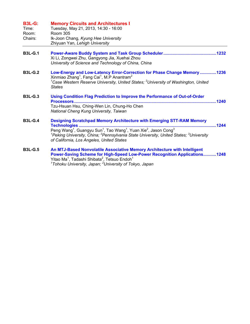| <b>B3L-G:</b><br>Time:<br>Room:<br>Chairs: | <b>Memory Circuits and Architectures I</b><br>Tuesday, May 21, 2013, 14:30 - 16:00<br><b>Room 305</b><br>Ik-Joon Chang, Kyung Hee University<br>Zhiyuan Yan, Lehigh University                                                                                                                                                                                                                 |
|--------------------------------------------|------------------------------------------------------------------------------------------------------------------------------------------------------------------------------------------------------------------------------------------------------------------------------------------------------------------------------------------------------------------------------------------------|
| <b>B3L-G.1</b>                             | Xi Li, Zongwei Zhu, Gangyong Jia, Xuehai Zhou<br>University of Science and Technology of China, China                                                                                                                                                                                                                                                                                          |
| <b>B3L-G.2</b>                             | Low-Energy and Low-Latency Error-Correction for Phase Change Memory 1236<br>Xinmiao Zhang <sup>1</sup> , Fang Cai <sup>1</sup> , M.P Anantram <sup>2</sup><br><sup>1</sup> Case Western Reserve University, United States; <sup>2</sup> University of Washington, United<br><b>States</b>                                                                                                      |
| <b>B3L-G.3</b>                             | <b>Using Condition Flag Prediction to Improve the Performance of Out-of-Order</b><br>.1240<br>Processors<br>Tzu-Hsuan Hsu, Ching-Wen Lin, Chung-Ho Chen<br>National Cheng Kung University, Taiwan                                                                                                                                                                                              |
| <b>B3L-G.4</b>                             | <b>Designing Scratchpad Memory Architecture with Emerging STT-RAM Memory</b><br>.1244<br>Peng Wang <sup>1</sup> , Guangyu Sun <sup>1</sup> , Tao Wang <sup>1</sup> , Yuan Xie <sup>2</sup> , Jason Cong <sup>3</sup><br><sup>1</sup> Peking University, China; <sup>2</sup> Pennsylvania State University, United States; <sup>3</sup> University<br>of California, Los Angeles, United States |
| <b>B3L-G.5</b>                             | An MTJ-Based Nonvolatile Associative Memory Architecture with Intelligent<br>Power-Saving Scheme for High-Speed Low-Power Recognition Applications1248<br>Yitao Ma <sup>1</sup> , Tadashi Shibata <sup>2</sup> , Tetsuo Endoh <sup>1</sup>                                                                                                                                                     |

*1 Tohoku University, Japan; <sup>2</sup> University of Tokyo, Japan*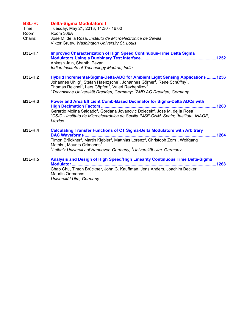## **B3L-H: Delta-Sigma Modulators I**

| Time:   | Tuesday, May 21, 2013, 14:30 - 16:00                                                                          |
|---------|---------------------------------------------------------------------------------------------------------------|
| Room:   | Room 306A                                                                                                     |
| Chairs: | Jose M. de la Rosa, Instituto de Microelectrónica de Sevilla<br>Viktor Gruev, Washington University St. Louis |

- **B3L-H.1 Improved Characterization of High Speed Continuous-Time Delta Sigma Modulators Using a Duobinary Test Interface................................................................1252**  Ankesh Jain, Shanthi Pavan *Indian Institute of Technology Madras, India*
- **B3L-H.2 Hybrid Incremental-Sigma-Delta-ADC for Ambient Light Sensing Applications ........1256**  Johannes Uhlig<sup>1</sup>, Stefan Haenzsche<sup>1</sup>, Johannes Görner<sup>1</sup>, Rene Schüffny<sup>1</sup>, Thomas Reichel<sup>2</sup>, Lars Göpfert<sup>2</sup>, Valeri Razhenikov<sup>2</sup> <sup>1</sup> Technische Universität Dresden, Germany; <sup>2</sup> ZMD AG Dresden, Germany
- **B3L-H.3 Power and Area Efficient Comb-Based Decimator for Sigma-Delta ADCs with High Decimation Factors ..................................................................................................1260**  Gerardo Molina Salgado<sup>2</sup>, Gordana Jovanovic Dolecek<sup>2</sup>, José M. de la Rosa<sup>1</sup> <sup>1</sup>CSIC - Instituto de Microelectrónica de Sevilla IMSE-CNM, Spain; <sup>2</sup>Institute, INAOE, *Mexico*
- **B3L-H.4 Calculating Transfer Functions of CT Sigma-Delta Modulators with Arbitrary DAC Waveforms ................................................................................................................1264**  Timon Brückner<sup>2</sup>, Martin Kiebler<sup>2</sup>, Matthias Lorenz<sup>2</sup>, Christoph Zorn<sup>1</sup>, Wolfgang Mathis<sup>1</sup>, Maurits Ortmanns<sup>2</sup> <sup>1</sup> Leibniz University of Hannover, Germany; <sup>2</sup> Universität Ulm, Germany
- **B3L-H.5 Analysis and Design of High Speed/High Linearity Continuous Time Delta-Sigma Modulator ...........................................................................................................................1268**  Chao Chu, Timon Brückner, John G. Kauffman, Jens Anders, Joachim Becker, Maurits Ortmanns *Universität Ulm, Germany*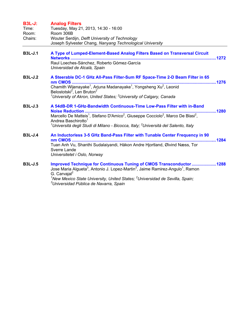| <b>B3L-J:</b><br>Time:<br>Room:<br>Chairs: | <b>Analog Filters</b><br>Tuesday, May 21, 2013, 14:30 - 16:00<br>Room 306B<br>Wouter Serdijn, Delft University of Technology<br>Joseph Sylvester Chang, Nanyang Technological University                                                                                                                                                                                                       |
|--------------------------------------------|------------------------------------------------------------------------------------------------------------------------------------------------------------------------------------------------------------------------------------------------------------------------------------------------------------------------------------------------------------------------------------------------|
| <b>B3L-J.1</b>                             | A Type of Lumped-Element-Based Analog Filters Based on Transversal Circuit<br>Raul Loeches-Sánchez, Roberto Gómez-García<br>Universidad de Alcalá, Spain                                                                                                                                                                                                                                       |
| <b>B3L-J.2</b>                             | A Steerable DC-1 GHz All-Pass Filter-Sum RF Space-Time 2-D Beam Filter in 65<br>Chamith Wijenayake <sup>1</sup> , Arjuna Madanayake <sup>1</sup> , Yongsheng Xu <sup>2</sup> , Leonid<br>Belostotski <sup>2</sup> , Len Bruton <sup>2</sup><br><sup>1</sup> University of Akron, United States; <sup>2</sup> University of Calgary, Canada                                                     |
| <b>B3L-J.3</b>                             | A 54dB-DR 1-GHz-Bandwidth Continuous-Time Low-Pass Filter with in-Band<br>1280<br><b>Noise Reduction.</b><br>Marcello De Matteis <sup>1</sup> , Stefano D'Amico <sup>2</sup> , Giuseppe Cocciolo <sup>2</sup> , Marco De Blasi <sup>2</sup> ,<br>Andrea Baschirotto <sup>1</sup><br><sup>1</sup> Università degli Studi di Milano - Bicocca, Italy; <sup>2</sup> Università del Salento, Italy |
| $B3L-J.4$                                  | An Inductorless 3-5 GHz Band-Pass Filter with Tunable Center Frequency in 90<br>nm CMOS<br>Tuan Anh Vu, Shanthi Sudalaiyandi, Håkon Andre Hjortland, Øivind Næss, Tor<br>Sverre Lande<br>Universitetet i Oslo, Norway                                                                                                                                                                          |
| <b>B3L-J.5</b>                             | Improved Technique for Continuous Tuning of CMOS Transconductor1288<br>Jose Maria Algueta <sup>3</sup> , Antonio J. Lopez-Martin <sup>3</sup> , Jaime Ramirez-Angulo <sup>1</sup> , Ramon<br>G. Carvajal <sup>2</sup><br><sup>1</sup> New Mexico State University, United States; $2$ Universidad de Sevilla, Spain;<br><sup>3</sup> Universidad Pública de Navarra, Spain                     |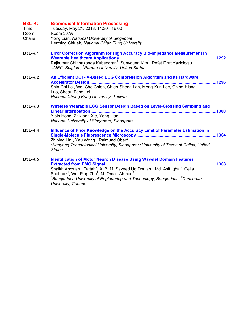| <b>B3L-K:</b><br>Time:<br>Room:<br>Chairs: | <b>Biomedical Information Processing I</b><br>Tuesday, May 21, 2013, 14:30 - 16:00<br>Room 307A<br>Yong Lian, National University of Singapore<br>Herming Chiueh, National Chiao Tung University                                                                                                                                                                                                                            |
|--------------------------------------------|-----------------------------------------------------------------------------------------------------------------------------------------------------------------------------------------------------------------------------------------------------------------------------------------------------------------------------------------------------------------------------------------------------------------------------|
| <b>B3L-K.1</b>                             | Error Correction Algorithm for High Accuracy Bio-Impedance Measurement in<br>Rajkumar Chinnakonda Kubendran <sup>2</sup> , Sunyoung Kim <sup>1</sup> , Refet Firat Yazicioglu <sup>1</sup><br>$1$ IMEC, Belgium; $2$ Purdue University, United States                                                                                                                                                                       |
| <b>B3L-K.2</b>                             | An Efficient DCT-IV-Based ECG Compression Algorithm and its Hardware<br>Shin-Chi Lai, Wei-Che Chien, Chien-Sheng Lan, Meng-Kun Lee, Ching-Hisng<br>Luo, Sheau-Fang Lei<br>National Cheng Kung University, Taiwan                                                                                                                                                                                                            |
| <b>B3L-K.3</b>                             | Wireless Wearable ECG Sensor Design Based on Level-Crossing Sampling and<br><b>Linear Interpolation</b><br>Yibin Hong, Zhixiong Xie, Yong Lian<br>National University of Singapore, Singapore                                                                                                                                                                                                                               |
| <b>B3L-K.4</b>                             | Influence of Prior Knowledge on the Accuracy Limit of Parameter Estimation in<br>Zhiping Lin <sup>1</sup> , Yau Wong <sup>1</sup> , Raimund Ober <sup>2</sup><br>$^{\prime}$ Nanyang Technological University, Singapore; $^2$ University of Texas at Dallas, United<br><b>States</b>                                                                                                                                       |
| <b>B3L-K.5</b>                             | <b>Identification of Motor Neuron Disease Using Wavelet Domain Features</b><br>1308<br>Shaikh Anowarul Fattah <sup>1</sup> , A. B. M. Sayeed Ud Doulah <sup>1</sup> , Md. Asif Iqbal <sup>1</sup> , Celia<br>Shahnaz <sup>1</sup> , Wei-Ping Zhu <sup>2</sup> , M. Omair Ahmad <sup>2</sup><br>$^{\text{1}}$ Bangladesh University of Engineering and Technology, Bangladesh; $^{\text{2}}$ Concordia<br>University, Canada |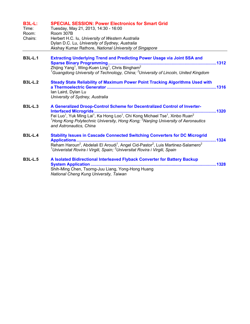| <b>B3L-L:</b><br>Time:<br>Room:<br>Chairs: | <b>SPECIAL SESSION: Power Electronics for Smart Grid</b><br>Tuesday, May 21, 2013, 14:30 - 16:00<br>Room 307B<br>Herbert H.C. Iu, University of Western Australia<br>Dylan D.C. Lu, University of Sydney, Australia<br>Akshay Kumar Rathore, National University of Singapore                                                                                         |
|--------------------------------------------|-----------------------------------------------------------------------------------------------------------------------------------------------------------------------------------------------------------------------------------------------------------------------------------------------------------------------------------------------------------------------|
| <b>B3L-L.1</b>                             | <b>Extracting Underlying Trend and Predicting Power Usage via Joint SSA and</b><br>Zhijing Yang <sup>1</sup> , Wing-Kuen Ling <sup>1</sup> , Chris Bingham <sup>2</sup><br><sup>1</sup> Guangdong University of Technology, China; <sup>2</sup> University of Lincoln, United Kingdom                                                                                 |
| <b>B3L-L.2</b>                             | Steady State Reliability of Maximum Power Point Tracking Algorithms Used with<br>Ian Laird, Dylan Lu<br>University of Sydney, Australia                                                                                                                                                                                                                               |
| <b>B3L-L.3</b>                             | A Generalized Droop-Control Scheme for Decentralized Control of Inverter-<br>1320<br>Fei Luo <sup>1</sup> , Yuk Ming Lai <sup>1</sup> , Ka Hong Loo <sup>1</sup> , Chi Kong Michael Tse <sup>1</sup> , Xinbo Ruan <sup>2</sup><br><sup>1</sup> Hong Kong Polytechnic University, Hong Kong; <sup>2</sup> Nanjing University of Aeronautics<br>and Astronautics, China |
| <b>B3L-L.4</b>                             | <b>Stability Issues in Cascade Connected Switching Converters for DC Microgrid</b><br>Applications<br>1324<br>Reham Haroun <sup>2</sup> , Abdelali El Aroudi <sup>1</sup> , Angel Cid-Pastor <sup>2</sup> , Luis Martinez-Salamero <sup>2</sup><br><sup>1</sup> Univeristat Rovira i Virgili, Spain; <sup>2</sup> Universitat Rovira i Virgili, Spain                 |
| <b>B3L-L.5</b>                             | A Isolated Bidirectional Interleaved Flyback Converter for Battery Backup<br><b>System Application</b><br>Shih-Ming Chen, Tsorng-Juu Liang, Yong-Hong Huang<br>National Cheng Kung University, Taiwan                                                                                                                                                                 |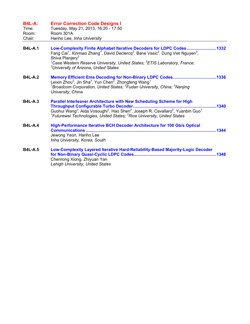| <b>B4L-A:</b><br>Time:<br>Room:<br>Chair: | <b>Error Correction Code Designs I</b><br>Tuesday, May 21, 2013, 16:20 - 17:50<br>Room 301A<br>Hanho Lee, Inha University                                                                                                                                                                                                                                                                                       |
|-------------------------------------------|-----------------------------------------------------------------------------------------------------------------------------------------------------------------------------------------------------------------------------------------------------------------------------------------------------------------------------------------------------------------------------------------------------------------|
| <b>B4L-A.1</b>                            | Low-Complexity Finite Alphabet Iterative Decoders for LDPC Codes 1332<br>Fang Cai <sup>1</sup> , Xinmiao Zhang <sup>1</sup> , David Declercq <sup>2</sup> , Bane Vasic <sup>3</sup> , Dung Viet Nguyen <sup>3</sup> ,<br>Shiva Planjery <sup>3</sup><br><sup>1</sup> Case Western Reserve University, United States; <sup>2</sup> ETIS Laboratory, France;<br><sup>3</sup> University of Arizona, United States |
| <b>B4L-A.2</b>                            | Leixin Zhou <sup>3</sup> , Jin Sha <sup>3</sup> , Yun Chen <sup>2</sup> , Zhongfeng Wang <sup>1</sup><br><sup>1</sup> Broadcom Corporation, United States; <sup>2</sup> Fudan University, China; <sup>3</sup> Nanjing<br>University, China                                                                                                                                                                      |
| <b>B4L-A.3</b>                            | Parallel Interleaver Architecture with New Scheduling Scheme for High<br>1340<br>Guohui Wang <sup>2</sup> , Aida Vosoughi <sup>2</sup> , Hao Shen <sup>2</sup> , Joseph R. Cavallaro <sup>2</sup> , Yuanbin Guo <sup>1</sup><br><sup>1</sup> Futurewei Technologies, United States; <sup>2</sup> Rice University, United States                                                                                 |
| <b>B4L-A.4</b>                            | High-Performance Iterative BCH Decoder Architecture for 100 Gb/s Optical<br>1344<br>Jewong Yeon, Hanho Lee<br>Inha University, Korea, South                                                                                                                                                                                                                                                                     |
| <b>B4L-A.5</b>                            | Low-Complexity Layered Iterative Hard-Reliability-Based Majority-Logic Decoder<br>Chenrong Xiong, Zhiyuan Yan<br>Lehigh University, United States                                                                                                                                                                                                                                                               |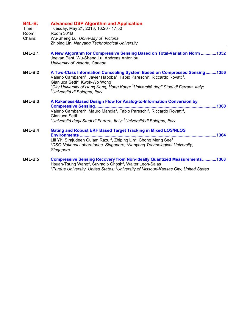## **B4L-B: Advanced DSP Algorithm and Application**

| Time:   | Tuesday, May 21, 2013, 16:20 - 17:50          |
|---------|-----------------------------------------------|
| Room:   | Room 301B                                     |
| Chairs: | Wu-Sheng Lu, University of Victoria           |
|         | Zhiping Lin, Nanyang Technological University |

- **B4L-B.1 A New Algorithm for Compressive Sensing Based on Total-Variation Norm .............1352**  Jeevan Pant, Wu-Sheng Lu, Andreas Antoniou *University of Victoria, Canada*
- **B4L-B.2 A Two-Class Information Concealing System Based on Compressed Sensing.........1356**  Valerio Cambareri<sup>3</sup>, Javier Haboba<sup>3</sup>, Fabio Pareschi<sup>2</sup>, Riccardo Rovatti<sup>3</sup>, Gianluca Setti<sup>2</sup>, Kwok-Wo Wong<sup>1</sup> <sup>1</sup>City University of Hong Kong, Hong Kong; <sup>2</sup>Università degli Studi di Ferrara, Italy; *3 Università di Bologna, Italy*
- **B4L-B.3 A Rakeness-Based Design Flow for Analog-to-Information Conversion by Compressive Sensing.......................................................................................................1360**  Valerio Cambareri<sup>2</sup>, Mauro Mangia<sup>2</sup>, Fabio Pareschi<sup>1</sup>, Riccardo Rovatti<sup>2</sup>, Gianluca Setti<sup>1</sup> <sup>1</sup>Università degli Studi di Ferrara, Italy; <sup>2</sup>Università di Bologna, Italy
- **B4L-B.4 Gating and Robust EKF Based Target Tracking in Mixed LOS/NLOS Environments ....................................................................................................................1364**  Lili Yi<sup>2</sup>, Sirajudeen Gulam Razul<sup>2</sup>, Zhiping Lin<sup>2</sup>, Chong Meng See<sup>1</sup> *1 DSO National Laboratories, Singapore; <sup>2</sup> Nanyang Technological University, Singapore*
- **B4L-B.5 Compressive Sensing Recovery from Non-Ideally Quantized Measurements............1368**  Hsuan-Tsung Wang<sup>2</sup>, Suvradip Ghosh<sup>2</sup>, Walter Leon-Salas<sup>1</sup> <sup>1</sup> Purdue University, United States; <sup>2</sup> University of Missouri-Kansas City, United States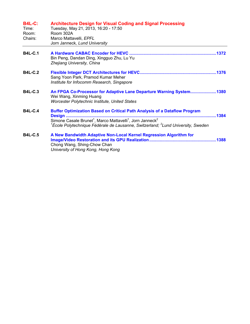| <b>B4L-C:</b><br>Time:<br>Room:<br>Chairs: | <b>Architecture Design for Visual Coding and Signal Processing</b><br>Tuesday, May 21, 2013, 16:20 - 17:50<br>Room 302A<br>Marco Mattavelli, EPFL<br>Jorn Janneck, Lund University                                                                                                            |
|--------------------------------------------|-----------------------------------------------------------------------------------------------------------------------------------------------------------------------------------------------------------------------------------------------------------------------------------------------|
| <b>B4L-C.1</b>                             | Bin Peng, Dandan Ding, Xingguo Zhu, Lu Yu<br>Zhejiang University, China                                                                                                                                                                                                                       |
| <b>B4L-C.2</b>                             | Sang Yoon Park, Pramod Kumar Meher<br>Institute for Infocomm Research, Singapore                                                                                                                                                                                                              |
| <b>B4L-C.3</b>                             | An FPGA Co-Processor for Adaptive Lane Departure Warning System1380<br>Wei Wang, Xinming Huang<br>Worcester Polytechnic Institute, United States                                                                                                                                              |
| <b>B4L-C.4</b>                             | <b>Buffer Optimization Based on Critical Path Analysis of a Dataflow Program</b><br>Simone Casale Brunet <sup>1</sup> , Marco Mattavelli <sup>1</sup> , Jorn Janneck <sup>2</sup><br><sup>1</sup> École Polytechnique Fédérale de Lausanne, Switzerland; <sup>2</sup> Lund University, Sweden |
| <b>B4L-C.5</b>                             | A New Bandwidth Adaptive Non-Local Kernel Regression Algorithm for<br>Chong Wang, Shing-Chow Chan<br>University of Hong Kong, Hong Kong                                                                                                                                                       |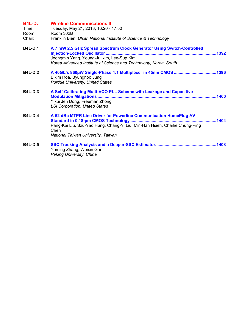| <b>B4L-D:</b><br>Time:<br>Room:<br>Chair: | <b>Wireline Communications II</b><br>Tuesday, May 21, 2013, 16:20 - 17:50<br>Room 302B<br>Franklin Bien, Ulsan National Institute of Science & Technology                                      |
|-------------------------------------------|------------------------------------------------------------------------------------------------------------------------------------------------------------------------------------------------|
|                                           |                                                                                                                                                                                                |
| <b>B4L-D.1</b>                            | A 7 mW 2.5 GHz Spread Spectrum Clock Generator Using Switch-Controlled<br>Jeongmin Yang, Young-Ju Kim, Lee-Sup Kim<br>Korea Advanced Institute of Science and Technology, Korea, South         |
| <b>B4L-D.2</b>                            | Elkim Roa, Byunghoo Jung<br><b>Purdue University, United States</b>                                                                                                                            |
| <b>B4L-D.3</b>                            | A Self-Calibrating Multi-VCO PLL Scheme with Leakage and Capacitive<br>Yikui Jen Dong, Freeman Zhong<br><b>LSI Corporation, United States</b>                                                  |
| <b>B4L-D.4</b>                            | A 52 dBc MTPR Line Driver for Powerline Communication HomePlug AV<br>Pang-Kai Liu, Szu-Yao Hung, Chang-Yi Liu, Min-Han Hsieh, Charlie Chung-Ping<br>Chen<br>National Taiwan University, Taiwan |
| <b>B4L-D.5</b>                            | Yaming Zhang, Weixin Gai<br>Peking University, China                                                                                                                                           |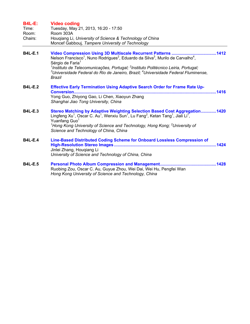| <b>B4L-E:</b>  | <b>Video coding</b>                                                                                                                                                                                                                                                                                                                                                                                        |  |
|----------------|------------------------------------------------------------------------------------------------------------------------------------------------------------------------------------------------------------------------------------------------------------------------------------------------------------------------------------------------------------------------------------------------------------|--|
| Time:          | Tuesday, May 21, 2013, 16:20 - 17:50                                                                                                                                                                                                                                                                                                                                                                       |  |
| Room:          | Room 303A                                                                                                                                                                                                                                                                                                                                                                                                  |  |
| Chairs:        | Hougiang Li, University of Science & Technology of China<br>Moncef Gabbouj, Tampere University of Technology                                                                                                                                                                                                                                                                                               |  |
| <b>B4L-E.1</b> | Nelson Francisco <sup>1</sup> , Nuno Rodrigues <sup>2</sup> , Eduardo da Silva <sup>3</sup> , Murilo de Carvalho <sup>4</sup> ,<br>Sérgio de Faria <sup>1</sup><br><sup>1</sup> Instituto de Telecomunicações, Portugal; <sup>2</sup> Instituto Politécnico Leiria, Portugal;<br>${}^{3}$ Universidade Federal do Rio de Janeiro, Brazil; ${}^{4}$ Universidade Federal Fluminense,<br>Brazil              |  |
| <b>B4L-E.2</b> | Effective Early Termination Using Adaptive Search Order for Frame Rate Up-<br><b>Conversion</b><br>Yong Guo, Zhiyong Gao, Li Chen, Xiaoyun Zhang<br>Shanghai Jiao Tong University, China                                                                                                                                                                                                                   |  |
| <b>B4L-E.3</b> | Stereo Matching by Adaptive Weighting Selection Based Cost Aggregation1420<br>Lingfeng $Xu^1$ , Oscar C. Au <sup>1</sup> , Wenxiu Sun <sup>1</sup> , Lu Fang <sup>2</sup> , Ketan Tang <sup>1</sup> , Jiali Li <sup>1</sup> ,<br>Yuanfang Guo <sup>1</sup><br><sup>1</sup> Hong Kong University of Science and Technology, Hong Kong; <sup>2</sup> University of<br>Science and Technology of China, China |  |
| <b>B4L-E.4</b> | Line-Based Distributed Coding Scheme for Onboard Lossless Compression of<br>Jinlei Zhang, Hougiang Li<br>University of Science and Technology of China, China                                                                                                                                                                                                                                              |  |
| <b>B4L-E.5</b> | Ruobing Zou, Oscar C. Au, Guyue Zhou, Wei Dai, Wei Hu, Pengfei Wan<br>Hong Kong University of Science and Technology, China                                                                                                                                                                                                                                                                                |  |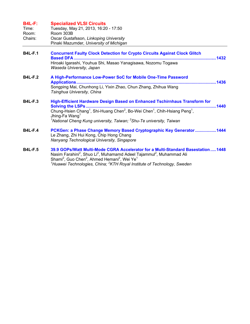## **B4L-F: Specialized VLSI Circuits**

| Time:   | Tuesday, May 21, 2013, 16:20 - 17:50    |
|---------|-----------------------------------------|
| Room:   | Room 303B                               |
| Chairs: | Oscar Gustafsson, Linkoping University  |
|         | Pinaki Mazumder, University of Michigan |

- **B4L-F.1 Concurrent Faulty Clock Detection for Crypto Circuits Against Clock Glitch Based DFA .........................................................................................................................1432**  Hiroaki Igarashi, Youhua Shi, Masao Yanagisawa, Nozomu Togawa *Waseda University, Japan*
- **B4L-F.2 A High-Performance Low-Power SoC for Mobile One-Time Password Applications.......................................................................................................................1436**  Songping Mai, Chunhong Li, Yixin Zhao, Chun Zhang, Zhihua Wang *Tsinghua University, China*
- **B4L-F.3 High-Efficient Hardware Design Based on Enhanced Tschirnhaus Transform for Solving the LSPs ...............................................................................................................1440**  Chung-Hsien Chang<sup>1</sup>, Shi-Huang Chen<sup>2</sup>, Bo-Wei Chen<sup>1</sup>, Chih-Hsiang Peng<sup>1</sup>, Jhing-Fa Wang<sup>1</sup> <sup>1</sup> National Cheng Kung university, Taiwan; <sup>2</sup> Shu-Te university, Taiwan
- **B4L-F.4 PCKGen: a Phase Change Memory Based Cryptographic Key Generator..................1444**  Le Zhang, Zhi Hui Kong, Chip Hong Chang *Nanyang Technological University, Singapore*
- **B4L-F.5 39.9 GOPs/Watt Multi-Mode CGRA Accelerator for a Multi-Standard Basestation.....1448**  Nasim Farahini<sup>2</sup>, Shuo Li<sup>2</sup>, Muhamamd Adeel Tajammul<sup>2</sup>, Muhammad Ali Shami<sup>2</sup>, Guo Chen<sup>2</sup>, Ahmed Hemani<sup>2</sup>, Wei Ye<sup>1</sup> *1 Huawei Technologies, China; <sup>2</sup> KTH Royal Institute of Technology, Sweden*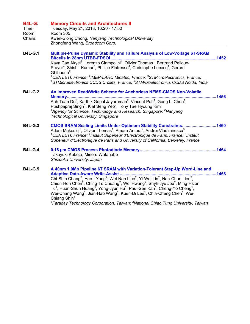| <b>B4L-G:</b> | <b>Memory Circuits and Architectures II</b>        |
|---------------|----------------------------------------------------|
| Time:         | Tuesday, May 21, 2013, 16:20 - 17:50               |
| Room:         | Room 305                                           |
| Chairs:       | Kwen-Siong Chong, Nanyang Technological University |
|               | Zhongfeng Wang, Broadcom Corp.                     |

- **B4L-G.1 Multiple-Pulse Dynamic Stability and Failure Analysis of Low-Voltage 6T-SRAM Bitcells in 28nm UTBB-FDSOI..........................................................................................1452**  Kaya Can Akyel<sup>3</sup>, Lorenzo Ciampolini<sup>4</sup>, Olivier Thomas<sup>1</sup>, Bertrand Pelloux-Prayer<sup>4</sup>, Shishir Kumar<sup>5</sup>, Philipe Flatresse<sup>4</sup>, Christophe Lecocq<sup>4</sup>, Gérard Ghibaudo $2$ *1 CEA LETI, France; <sup>2</sup> IMEP-LAHC Minatec, France; <sup>3</sup> STMicroelectronics, France; 4 STMicroelectronics CCDS Crolles, France; <sup>5</sup> STMicroelectronics CCDS Noida, India*
- **B4L-G.2 An Improved Read/Write Scheme for Anchorless NEMS-CMOS Non-Volatile Memory...............................................................................................................................1456**  Anh Tuan Do<sup>2</sup>, Karthik Gopal Jayaraman<sup>2</sup>, Vincent Pott<sup>1</sup>, Geng L. Chua<sup>1</sup>, Pushpapraj Singh<sup>1</sup>, Kiat Seng Yeo<sup>2</sup>, Tony Tae Hyoung Kim<sup>2</sup> <sup>1</sup> Agency for Science, Technology and Research, Singapore; <sup>2</sup> Nanyang *Technological University, Singapore*
- **B4L-G.3 CMOS SRAM Scaling Limits Under Optimum Stability Constraints.............................1460**  Adam Makosiej<sup>2</sup>, Olivier Thomas<sup>1</sup>, Amara Amara<sup>2</sup>, Andrei Vladimirescu<sup>3</sup> <sup>1</sup>CEA LETI, France; <sup>2</sup>Institut Supérieur d'Electronique de Paris, France; <sup>3</sup>Institut *Supérieur d'Electronique de Paris and University of California, Berkeley, France*
- **B4L-G.4 0.18 µm CMOS Process Photodiode Memory.................................................................1464**  Takayuki Kubota, Minoru Watanabe *Shizuoka University, Japan*
- **B4L-G.5 A 40nm 1.0Mb Pipeline 6T SRAM with Variation-Tolerant Step-Up Word-Line and Adaptive Data-Aware Write-Assist ..................................................................................1468**  Chi-Shin Chang<sup>2</sup>, Hao-I Yang<sup>2</sup>, Wei-Nan Liao<sup>2</sup>, Yi-Wei Lin<sup>2</sup>, Nan-Chun Lien<sup>2</sup>, Chien-Hen Chen<sup>2</sup>, Ching-Te Chuang<sup>2</sup>, Wei Hwang<sup>2</sup>, Shyh-Jye Jou<sup>2</sup>, Ming-Hsien Tu<sup>1</sup>, Huan-Shun Huang<sup>1</sup>, Yong-Jyun Hu<sup>1</sup>, Paul-Sen Kan<sup>1</sup>, Cheng-Yo Cheng<sup>1</sup>, Wei-Chang Wang<sup>1</sup>, Jian-Hao Wang<sup>1</sup>, Kuen-Di Lee<sup>1</sup>, Chia-Cheng Chen<sup>1</sup>, Wei-Chiang Shih $<sup>1</sup>$ </sup> <sup>1</sup> Faraday Technology Corporation, Taiwan; <sup>2</sup> National Chiao Tung University, Taiwan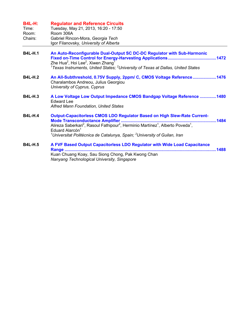| <b>B4L-H:</b> | <b>Regulator and Reference Circuits</b> |
|---------------|-----------------------------------------|
|---------------|-----------------------------------------|

| Time:   | Tuesday, May 21, 2013, 16:20 - 17:50   |
|---------|----------------------------------------|
| Room:   | Room 306A                              |
| Chairs: | Gabriel Rincon-Mora, Georgia Tech      |
|         | Igor Filanovsky, University of Alberta |

| <b>B4L-H.1</b> | An Auto-Reconfigurable Dual-Output SC DC-DC Regulator with Sub-Harmonic<br>Zhe Hua <sup>2</sup> , Hoi Lee <sup>2</sup> , Xiwen Zhang <sup>1</sup> |  |
|----------------|---------------------------------------------------------------------------------------------------------------------------------------------------|--|
|                | $1$ Texas Instruments, United States; $2$ University of Texas at Dallas, United States                                                            |  |
| <b>B4L-H.2</b> | An All-Subthreshold, 0.75V Supply, 2ppm/ C, CMOS Voltage Reference1476<br>Charalambos Andreou, Julius Georgiou<br>University of Cyprus, Cyprus    |  |
| <b>B4L-H.3</b> | A Low Voltage Low Output Impedance CMOS Bandgap Voltage Reference 1480<br><b>Edward Lee</b>                                                       |  |

*Alfred Mann Foundation, United States* 

| <b>B4L-H.4</b> | <b>Output-Capacitorless CMOS LDO Regulator Based on High Slew-Rate Current-</b>                                                                                |      |
|----------------|----------------------------------------------------------------------------------------------------------------------------------------------------------------|------|
|                |                                                                                                                                                                | 1484 |
|                | Alireza Saberkari <sup>2</sup> , Rasoul Fathipour <sup>2</sup> , Herminio Martínez <sup>1</sup> , Alberto Poveda <sup>1</sup> .<br>Eduard Alarcón <sup>1</sup> |      |
|                | <sup>1</sup> Universitat Politècnica de Catalunya, Spain; <sup>2</sup> University of Guilan, Iran                                                              |      |
|                |                                                                                                                                                                |      |

| <b>B4L-H.5</b> | A FVF Based Output Capacitorless LDO Regulator with Wide Load Capacitance |  |
|----------------|---------------------------------------------------------------------------|--|
|                |                                                                           |  |
|                | Kuan Chuang Koay, Sau Siong Chong, Pak Kwong Chan                         |  |
|                | Nanyang Technological University, Singapore                               |  |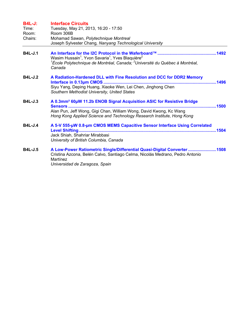| <b>B4L-J:</b><br>Time:<br>Room:<br>Chairs: | <b>Interface Circuits</b><br>Tuesday, May 21, 2013, 16:20 - 17:50<br>Room 306B<br>Mohamad Sawan, Polytechnique Montreal<br>Joseph Sylvester Chang, Nanyang Technological University                                                                 |  |
|--------------------------------------------|-----------------------------------------------------------------------------------------------------------------------------------------------------------------------------------------------------------------------------------------------------|--|
| <b>B4L-J.1</b>                             | Wasim Hussain <sup>1</sup> , Yvon Savaria <sup>1</sup> , Yves Blaquière <sup>2</sup><br><sup>1</sup> École Polytechnique de Montréal, Canada; <sup>2</sup> Université du Québec à Montréal,<br>Canada                                               |  |
| <b>B4L-J.2</b>                             | A Radiation-Hardened DLL with Fine Resolution and DCC for DDR2 Memory<br>Siyu Yang, Deping Huang, Xiaoke Wen, Lei Chen, Jinghong Chen<br>Southern Methodist University, United States                                                               |  |
| <b>B4L-J.3</b>                             | A 0.3mm <sup>2</sup> 60µW 11.2b ENOB Signal Acquisition ASIC for Resistive Bridge<br><b>Sensors</b><br>Alan Pun, Jeff Wong, Gigi Chan, William Wong, David Kwong, Kc Wang<br>Hong Kong Applied Science and Technology Research Institute, Hong Kong |  |
| <b>B4L-J.4</b>                             | A 5-V 555-µW 0.8-µm CMOS MEMS Capacitive Sensor Interface Using Correlated<br>Jack Shiah, Shahriar Mirabbasi<br>University of British Columbia, Canada                                                                                              |  |
| <b>B4L-J.5</b>                             | A Low-Power Ratiometric Single/Differential Quasi-Digital Converter 1508<br>Cristina Azcona, Belén Calvo, Santiago Celma, Nicolás Medrano, Pedro Antonio<br>Martínez<br>Universidad de Zaragoza, Spain                                              |  |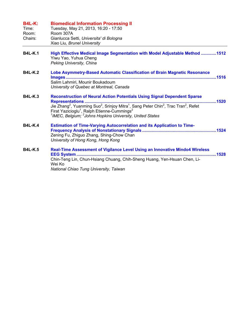| <b>B4L-K:</b><br>Time:<br>Room:<br>Chairs: | <b>Biomedical Information Processing II</b><br>Tuesday, May 21, 2013, 16:20 - 17:50<br>Room 307A<br>Gianlucca Setti, Universita' di Bologna<br>Xiao Liu, Brunel University                                               |
|--------------------------------------------|--------------------------------------------------------------------------------------------------------------------------------------------------------------------------------------------------------------------------|
| <b>B4L-K.1</b>                             | High Effective Medical Image Segmentation with Model Adjustable Method 1512<br>Yiwu Yao, Yuhua Cheng<br>Peking University, China                                                                                         |
| <b>B4L-K.2</b>                             | Lobe Asymmetry-Based Automatic Classification of Brain Magnetic Resonance<br>Salim Lahmiri, Mounir Boukadoum<br>University of Quebec at Montreal, Canada                                                                 |
| <b>B4L-K.3</b>                             | <b>Reconstruction of Neural Action Potentials Using Signal Dependent Sparse</b><br>Firat Yazicioglu <sup>1</sup> , Ralph Etienne-Cummings <sup>2</sup><br>$1$ IMEC, Belgium; $2$ Johns Hopkins University, United States |
| <b>B4L-K.4</b>                             | <b>Estimation of Time-Varying Autocorrelation and its Application to Time-</b><br>Zening Fu, Zhiguo Zhang, Shing-Chow Chan<br>University of Hong Kong, Hong Kong                                                         |
| <b>B4L-K.5</b>                             | <b>Real-Time Assessment of Vigilance Level Using an Innovative Mindo4 Wireless</b><br>Chin-Teng Lin, Chun-Hsiang Chuang, Chih-Sheng Huang, Yen-Hsuan Chen, Li-<br>Wei Ko<br>National Chiao Tung University, Taiwan       |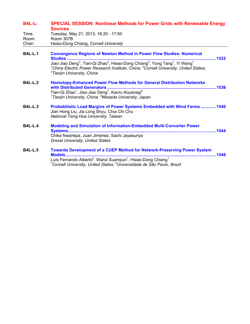| B4L-L: | <b>SPECIAL SESSION: Nonlinear Methods for Power Grids with Renewable Energy</b> |
|--------|---------------------------------------------------------------------------------|
|        | <b>Sources</b>                                                                  |
|        |                                                                                 |

| Time:  | Tuesday, May 21, 2013, 16:20 - 17:50  |
|--------|---------------------------------------|
| Room:  | Room 307B                             |
| Chair: | Hsiao-Dong Chiang, Cornell University |

| <b>B4L-L.1</b> | <b>Convergence Regions of Newton Method in Power Flow Studies: Numerical</b><br>Studies                                                                                                                                                                                                            | .1532 |
|----------------|----------------------------------------------------------------------------------------------------------------------------------------------------------------------------------------------------------------------------------------------------------------------------------------------------|-------|
|                | Jiao-Jiao Deng <sup>3</sup> , Tian-Qi Zhao <sup>3</sup> , Hsiao-Dong Chiang <sup>2</sup> , Yong Tang <sup>1</sup> , Yi Wang <sup>1</sup><br><sup>1</sup> China Electric Power Research Institute, China; <sup>2</sup> Cornell University, United States;<br><sup>3</sup> Tianjin University, China |       |
| <b>B4L-L.2</b> | <b>Homotopy-Enhanced Power Flow Methods for General Distribution Networks</b><br>with Distributed Generators.<br>Tian-Qi Zhao <sup>1</sup> , Jiao-Jiao Deng <sup>1</sup> , Kaoru Koyanagi <sup>2</sup><br><sup>1</sup> Tianjin University, China; <sup>2</sup> Waseda University, Japan            |       |
| <b>B4L-L.3</b> | Probabilistic Load Margins of Power Systems Embedded with Wind Farms 1540<br>Jian Hong Liu, Jia Long Shyu, Chia Chi Chu<br>National Tsing Hua University, Taiwan                                                                                                                                   |       |
| <b>B4L-L.4</b> | <b>Modeling and Simulation of Information-Embedded Multi-Converter Power</b><br>Chika Nwankpa, Juan Jimenez, Sachi Jayasuriya<br><b>Drexel University, United States</b>                                                                                                                           |       |
| <b>B4L-L.5</b> | <b>Towards Development of a CUEP Method for Network-Preserving Power System</b><br>Models<br>Luís Fernando Alberto <sup>2</sup> , Warut Suampun <sup>1</sup> , Hsiao-Dong Chiang <sup>1</sup><br><sup>1</sup> Cornell University, United States; <sup>2</sup> Universidade de São Paulo, Brazil    | 1548  |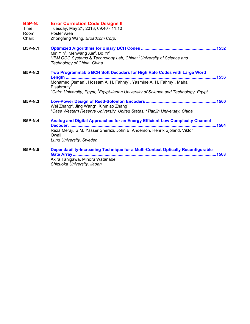| <b>B5P-N:</b><br>Time:<br>Room:<br>Chair: | <b>Error Correction Code Designs II</b><br>Tuesday, May 21, 2013, 09:40 - 11:10<br>Poster Area<br>Zhongfeng Wang, Broadcom Corp.                                                                                                                                                                                                            |
|-------------------------------------------|---------------------------------------------------------------------------------------------------------------------------------------------------------------------------------------------------------------------------------------------------------------------------------------------------------------------------------------------|
| <b>B5P-N.1</b>                            | Min Yin <sup>1</sup> , Menwang Xie <sup>2</sup> , Bo Yi <sup>2</sup><br><sup>1</sup> IBM GCG Systems & Technology Lab, China; <sup>2</sup> University of Science and<br>Technology of China, China                                                                                                                                          |
| <b>B5P-N.2</b>                            | Two Programmable BCH Soft Decoders for High Rate Codes with Large Word<br>1556<br>Length<br>Mohamed Osman <sup>1</sup> , Hossam A. H. Fahmy <sup>1</sup> , Yasmine A. H. Fahmy <sup>1</sup> , Maha<br>Elsabrouty <sup>2</sup><br><sup>1</sup> Cairo University, Egypt; <sup>2</sup> Egypt-Japan University of Science and Technology, Egypt |
| <b>B5P-N.3</b>                            | Wei Zhang <sup>2</sup> , Jing Wang <sup>2</sup> , Xinmiao Zhang <sup>1</sup><br>${}^{1}$ Case Western Reserve University, United States; ${}^{2}$ Tianjin University, China                                                                                                                                                                 |
| <b>B5P-N.4</b>                            | Analog and Digital Approaches for an Energy Efficient Low Complexity Channel<br>Decoder<br>.1564<br>Reza Meraji, S.M. Yasser Sherazi, John B. Anderson, Henrik Sjöland, Viktor<br>Öwall<br><b>Lund University, Sweden</b>                                                                                                                   |
| <b>B5P-N.5</b>                            | Dependability-Increasing Technique for a Multi-Context Optically Reconfigurable<br>Akira Tanigawa, Minoru Watanabe<br>Shizuoka University, Japan                                                                                                                                                                                            |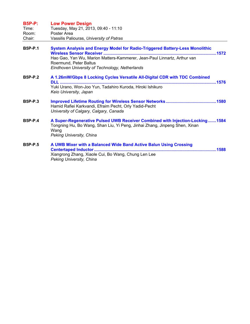| <b>B5P-P:</b><br>Time:<br>Room:<br>Chair: | <b>Low Power Design</b><br>Tuesday, May 21, 2013, 09:40 - 11:10<br>Poster Area<br>Vassilis Paliouras, University of Patras                                                                                                            |
|-------------------------------------------|---------------------------------------------------------------------------------------------------------------------------------------------------------------------------------------------------------------------------------------|
| <b>B5P-P.1</b>                            | System Analysis and Energy Model for Radio-Triggered Battery-Less Monolithic<br>Hao Gao, Yan Wu, Marion Matters-Kammerer, Jean-Paul Linnartz, Arthur van<br>Roermund, Peter Baltus<br>Eindhoven University of Technology, Netherlands |
| <b>B5P-P.2</b>                            | A 1.26mW/Gbps 8 Locking Cycles Versatile All-Digital CDR with TDC Combined<br><b>DLL</b><br>Yuki Urano, Won-Joo Yun, Tadahiro Kuroda, Hiroki Ishikuro<br>Keio University, Japan                                                       |
| <b>B5P-P.3</b>                            | Hamid Rafiei Karkvandi, Efraim Pecht, Orly Yadid-Pecht<br>University of Calgary, Calgary, Canada                                                                                                                                      |
| <b>B5P-P.4</b>                            | A Super-Regenerative Pulsed UWB Receiver Combined with Injection-Locking1584<br>Tongning Hu, Bo Wang, Shan Liu, Yi Peng, Jinhai Zhang, Jinpeng Shen, Xinan<br>Wang<br>Peking University, China                                        |
| <b>B5P-P.5</b>                            | A UWB Mixer with a Balanced Wide Band Active Balun Using Crossing<br>Xiangrong Zhang, Xiaole Cui, Bo Wang, Chung Len Lee                                                                                                              |

*Peking University, China*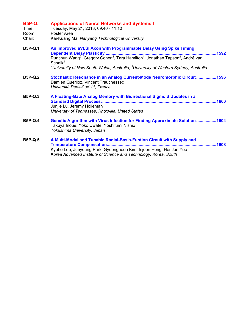| <b>B5P-Q:</b><br>Time:<br>Room:<br>Chair: | <b>Applications of Neural Networks and Systems I</b><br>Tuesday, May 21, 2013, 09:40 - 11:10<br>Poster Area<br>Kai-Kuang Ma, Nanyang Technological University                                                    |
|-------------------------------------------|------------------------------------------------------------------------------------------------------------------------------------------------------------------------------------------------------------------|
| <b>B5P-Q.1</b>                            | An Improved aVLSI Axon with Programmable Delay Using Spike Timing<br>Schaik <sup>2</sup><br><sup>1</sup> University of New South Wales, Australia; <sup>2</sup> University of Western Sydney, Australia          |
| <b>B5P-Q.2</b>                            | Stochastic Resonance in an Analog Current-Mode Neuromorphic Circuit1596<br>Damien Querlioz, Vincent Trauchessec<br>Université Paris-Sud 11, France                                                               |
| <b>B5P-Q.3</b>                            | A Floating-Gate Analog Memory with Bidirectional Sigmoid Updates in a<br>Junjie Lu, Jeremy Holleman<br>University of Tennessee, Knoxville, United States                                                         |
| <b>B5P-Q.4</b>                            | <b>Genetic Algorithm with Virus Infection for Finding Approximate Solution 1604</b><br>Takuya Inoue, Yoko Uwate, Yoshifumi Nishio<br>Tokushima University, Japan                                                 |
| <b>B5P-Q.5</b>                            | A Multi-Modal and Tunable Radial-Basis-Funtion Circuit with Supply and<br>Kyuho Lee, Junyoung Park, Gyeonghoon Kim, Injoon Hong, Hoi-Jun Yoo<br>Korea Advanced Institute of Science and Technology, Korea, South |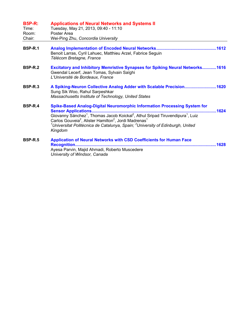| <b>B5P-R:</b><br>Time:<br>Room:<br>Chair: | <b>Applications of Neural Networks and Systems II</b><br>Tuesday, May 21, 2013, 09:40 - 11:10<br>Poster Area<br>Wei-Ping Zhu, Concordia University                                                                                                                                                                                                                                                                                |
|-------------------------------------------|-----------------------------------------------------------------------------------------------------------------------------------------------------------------------------------------------------------------------------------------------------------------------------------------------------------------------------------------------------------------------------------------------------------------------------------|
| <b>B5P-R.1</b>                            | Benoit Larras, Cyril Lahuec, Matthieu Arzel, Fabrice Seguin<br>Télécom Bretagne, France                                                                                                                                                                                                                                                                                                                                           |
| <b>B5P-R.2</b>                            | <b>Excitatory and Inhibitory Memristive Synapses for Spiking Neural Networks1616</b><br>Gwendal Lecerf, Jean Tomas, Sylvain Saïghi<br>L'Université de Bordeaux, France                                                                                                                                                                                                                                                            |
| <b>B5P-R.3</b>                            | A Spiking-Neuron Collective Analog Adder with Scalable Precision1620<br>Sung Sik Woo, Rahul Sarpeshkar<br>Massachusetts Institute of Technology, United States                                                                                                                                                                                                                                                                    |
| <b>B5P-R.4</b>                            | <b>Spike-Based Analog-Digital Neuromorphic Information Processing System for</b><br>.1624<br>Giovanny Sánchez <sup>1</sup> , Thomas Jacob Koickal <sup>2</sup> , Athul Sripad Tiruvendipura <sup>1</sup> , Luiz<br>Carlos Gouveia <sup>2</sup> , Alister Hamilton <sup>2</sup> , Jordi Madrenas <sup>1</sup><br><sup>1</sup> Universitat Politècnica de Catalunya, Spain; <sup>2</sup> University of Edinburgh, United<br>Kingdom |
| <b>B5P-R.5</b>                            | <b>Application of Neural Networks with CSD Coefficients for Human Face</b><br>.1628<br>Ayesa Parvin, Majid Ahmadi, Roberto Muscedere<br>University of Windsor, Canada                                                                                                                                                                                                                                                             |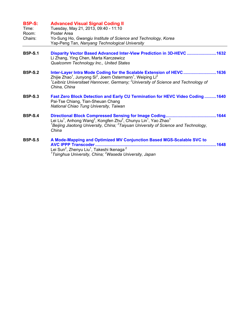| <b>B5P-S:</b><br>Time:<br>Room:<br>Chairs: | <b>Advanced Visual Signal Coding II</b><br>Tuesday, May 21, 2013, 09:40 - 11:10<br>Poster Area<br>Yo-Sung Ho, Gwangju Institute of Science and Technology, Korea<br>Yap-Peng Tan, Nanyang Technological University                                                                                                 |
|--------------------------------------------|--------------------------------------------------------------------------------------------------------------------------------------------------------------------------------------------------------------------------------------------------------------------------------------------------------------------|
| <b>B5P-S.1</b>                             | Disparity Vector Based Advanced Inter-View Prediction in 3D-HEVC 1632<br>Li Zhang, Ying Chen, Marta Karczewicz<br>Qualcomm Technology Inc., United States                                                                                                                                                          |
| <b>B5P-S.2</b>                             | Inter-Layer Intra Mode Coding for the Scalable Extension of HEVC  1636<br>Zhijie Zhao <sup>1</sup> , Junyong Si <sup>2</sup> , Joern Ostermann <sup>1</sup> , Weiping Li <sup>2</sup><br><sup>1</sup> Leibniz Universitaet Hannover, Germany; <sup>2</sup> University of Science and Technology of<br>China, China |
| <b>B5P-S.3</b>                             | Fast Zero Block Detection and Early CU Termination for HEVC Video Coding  1640<br>Pai-Tse Chiang, Tian-Sheuan Chang<br>National Chiao Tung University, Taiwan                                                                                                                                                      |
| <b>B5P-S.4</b>                             | Lei Liu <sup>1</sup> , Anhong Wang <sup>2</sup> , Kongfen Zhu <sup>2</sup> , Chunyu Lin <sup>1</sup> , Yao Zhao <sup>1</sup><br>${}^{1}$ Beijing Jiaotong University, China; ${}^{2}$ Taiyuan University of Science and Technology,<br>China                                                                       |
| <b>B5P-S.5</b>                             | A Mode-Mapping and Optimized MV Conjunction Based MGS-Scalable SVC to<br><b>AVC IPPP Transcoder</b><br>1648<br>Lei Sun <sup>2</sup> , Zhenyu Liu <sup>1</sup> , Takeshi Ikenaga <sup>2</sup><br><sup>1</sup> Tsinghua University, China; <sup>2</sup> Waseda University, Japan                                     |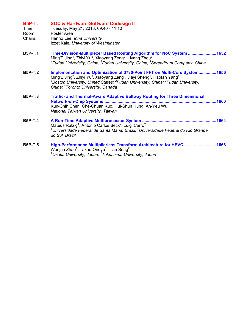| <b>B5P-T:</b><br>Time:<br>Room:<br>Chairs: | <b>SOC &amp; Hardware-Software Codesign II</b><br>Tuesday, May 21, 2013, 09:40 - 11:10<br>Poster Area<br>Hanho Lee, Inha University.<br>Izzet Kale, University of Westminster                                                                                                                                                                                       |
|--------------------------------------------|---------------------------------------------------------------------------------------------------------------------------------------------------------------------------------------------------------------------------------------------------------------------------------------------------------------------------------------------------------------------|
| <b>B5P-T.1</b>                             | Time-Division-Multiplexer Based Routing Algorithm for NoC System 1652<br>Ming'E Jing <sup>1</sup> , Zhiyi Yu <sup>2</sup> , Xiaoyang Zeng <sup>2</sup> , Liyang Zhou <sup>3</sup><br><sup>1</sup> Fudan Univerisity, China; <sup>2</sup> Fudan University, China; <sup>3</sup> Spreadtrum Company, China                                                            |
| <b>B5P-T.2</b>                             | Implementation and Optimization of 3780-Point FFT on Multi-Core System1656<br>Ming'E Jing <sup>2</sup> , Zhiyi Yu <sup>3</sup> , Xiaoyang Zeng <sup>3</sup> , Jiayi Sheng <sup>1</sup> , Haofan Yang <sup>4</sup><br>$^1$ Boston University, United States; $^2$ Fudan Univerisity, China; $^3$ Fudan University,<br>China; <sup>4</sup> Toronto University, Canada |
| <b>B5P-T.3</b>                             | Traffic- and Thermal-Aware Adaptive Beltway Routing for Three Dimensional<br>Kun-Chih Chen, Che-Chuan Kuo, Hui-Shun Hung, An-Yeu Wu<br>National Taiwan University, Taiwan                                                                                                                                                                                           |
| <b>B5P-T.4</b>                             | Mateus Rutzig <sup>1</sup> , Antonio Carlos Beck <sup>2</sup> , Luigi Carro <sup>2</sup><br><sup>1</sup> Universidade Federal de Santa Maria, Brazil; <sup>2</sup> Universidade Federal do Rio Grande<br>do Sul, Brazil                                                                                                                                             |
| <b>B5P-T.5</b>                             | High-Performance Multiplierless Transform Architecture for HEVC1668<br>Wenjun Zhao <sup>1</sup> , Takao Onoye <sup>1</sup> , Tian Song <sup>2</sup><br><sup>1</sup> Osaka University, Japan; <sup>2</sup> Tokushima University, Japan                                                                                                                               |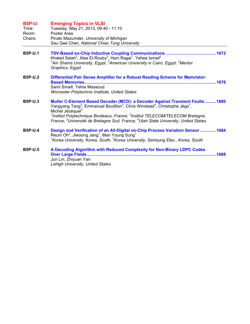| <b>B5P-U:</b><br>Time:<br>Room:<br>Chairs: | <b>Emerging Topics in VLSI</b><br>Tuesday, May 21, 2013, 09:40 - 11:10<br>Poster Area<br>Pinaki Mazumder, University of Michigan<br>Sau Gee Chen, National Chiao Tung University                                                                                                                                                                                                                                                                                          |
|--------------------------------------------|---------------------------------------------------------------------------------------------------------------------------------------------------------------------------------------------------------------------------------------------------------------------------------------------------------------------------------------------------------------------------------------------------------------------------------------------------------------------------|
| <b>B5P-U.1</b>                             | Khaled Salah <sup>3</sup> , Alaa El-Rouby <sup>3</sup> , Hani Ragai <sup>1</sup> , Yehea Ismail <sup>2</sup><br><sup>1</sup> Ain Shams University, Egypt; <sup>2</sup> American University in Cairo, Egypt; <sup>3</sup> Mentor<br>Graphics, Egypt                                                                                                                                                                                                                        |
| <b>B5P-U.2</b>                             | Differential Pair Sense Amplifier for a Robust Reading Scheme for Memristor-<br>Sami Smaili, Yehia Massoud<br><b>Worcester Polytechnic Institute, United States</b>                                                                                                                                                                                                                                                                                                       |
| <b>B5P-U.3</b>                             | <b>Muller C-Element Based Decoder (MCD): a Decoder Against Transient Faults1680</b><br>Yangyang Tang <sup>3</sup> , Emmanuel Boutillon <sup>3</sup> , Chris Winstead <sup>4</sup> , Christophe Jégo <sup>1</sup> ,<br>Michel Jézéquel <sup>2</sup><br><sup>1</sup> Institut Polytechnique Bordeaux, France; <sup>2</sup> Institut TELECOM/TELECOM Bretagne,<br>France; <sup>3</sup> Université de Bretagne Sud, France; <sup>4</sup> Utah State University, United States |
| <b>B5P-U.4</b>                             | Design and Verification of an All-Digital on-Chip Process Variation Sensor1684<br>Reum Oh <sup>2</sup> , Jiwoong Jang <sup>1</sup> , Man Young Sung <sup>1</sup><br><sup>1</sup> Korea University, Korea, South; <sup>2</sup> Korea University, Samsung Elec., Korea, South                                                                                                                                                                                               |
| <b>B5P-U.5</b>                             | A Decoding Algorithm with Reduced Complexity for Non-Binary LDPC Codes<br>1688<br>Jun Lin, Zhiyuan Yan<br>Lehigh University, United States                                                                                                                                                                                                                                                                                                                                |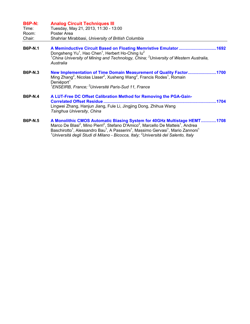| <b>B6P-N:</b><br>Time:<br>Room:<br>Chair: | <b>Analog Circuit Techniques III</b><br>Tuesday, May 21, 2013, 11:30 - 13:00<br>Poster Area<br>Shahriar Mirabbasi, University of British Columbia                                                                                                                                                                                                       |
|-------------------------------------------|---------------------------------------------------------------------------------------------------------------------------------------------------------------------------------------------------------------------------------------------------------------------------------------------------------------------------------------------------------|
| <b>B6P-N.1</b>                            | A Meminductive Circuit Based on Floating Memristive Emulator1692<br>Dongsheng Yu <sup>1</sup> , Hao Chen <sup>1</sup> , Herbert Ho-Ching Iu <sup>2</sup><br><sup>1</sup> China University of Mining and Technology, China; <sup>2</sup> University of Western Australia,<br>Australia                                                                   |
| <b>B6P-N.3</b>                            | New Implementation of Time Domain Measurement of Quality Factor1700<br>Ming Zhang <sup>2</sup> , Nicolas Llaser <sup>2</sup> , Xusheng Wang <sup>2</sup> , Francis Rodes <sup>1</sup> , Romain<br>Deniéport <sup>1</sup><br><sup>1</sup> ENSEIRB, France; <sup>2</sup> Université Paris-Sud 11, France                                                  |
| <b>B6P-N.4</b>                            | A LUT-Free DC Offset Calibration Method for Removing the PGA-Gain-<br><b>Correlated Offset Residue</b><br>1704<br>Lingwei Zhang, Hanjun Jiang, Fule Li, Jingjing Dong, Zhihua Wang<br>Tsinghua University, China                                                                                                                                        |
| <b>B6P-N.5</b>                            | A Monolithic CMOS Automatic Biasing System for 40GHz Multistage HEMT1708<br>Marco De Blasi <sup>2</sup> , Mino Pierri <sup>2</sup> , Stefano D'Amico <sup>2</sup> , Marcello De Matteis <sup>1</sup> , Andrea<br>$\textsf{Basechirotta}^1$ Alessandro Rau <sup>1</sup> A Dasserini <sup>1</sup> Massimo Cenvasi <sup>1</sup> Mario Zannoni <sup>1</sup> |

Baschirotto<sup>1</sup>, Alessandro Bau<sup>1</sup>, A Passerini<sup>1</sup>, Massimo Gervasi<sup>1</sup>, Mario Zannoni<sup>1</sup><br><sup>1</sup>Università degli Studi di Milano - Bicocca*, Italy; <sup>2</sup>Università del Salento, Italy*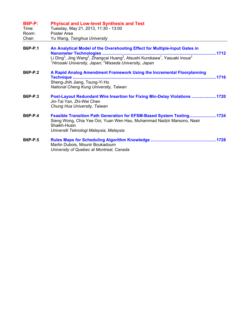| <b>B6P-P:</b><br>Time:<br>Room:<br>Chair: | <b>Phyiscal and Low-level Synthesis and Test</b><br>Tuesday, May 21, 2013, 11:30 - 13:00<br>Poster Area<br>Yu Wang, Tsinghua University                                                                    |
|-------------------------------------------|------------------------------------------------------------------------------------------------------------------------------------------------------------------------------------------------------------|
| <b>B6P-P.1</b>                            | An Analytical Model of the Overshooting Effect for Multiple-Input Gates in<br><sup>1</sup> Hirosaki University, Japan; <sup>2</sup> Waseda University, Japan                                               |
| <b>B6P-P.2</b>                            | A Rapid Analog Amendment Framework Using the Incremental Floorplanning<br>Sheng-Jhih Jiang, Tsung-Yi Ho<br>National Cheng Kung University, Taiwan                                                          |
| <b>B6P-P.3</b>                            | Post-Layout Redundant Wire Insertion for Fixing Min-Delay Violations 1720<br>Jin-Tai Yan, Zhi-Wei Chen<br>Chung Hua University, Taiwan                                                                     |
| <b>B6P-P.4</b>                            | Feasible Transition Path Generation for EFSM-Based System Testing1724<br>Sieng Wong, Chia Yee Ooi, Yuan Wen Hau, Muhammad Nadzir Marsono, Nasir<br>Shaikh-Husin<br>Universiti Teknologi Malaysia, Malaysia |
| <b>B6P-P.5</b>                            | Martin Dubois, Mounir Boukadoum<br>University of Quebec at Montreal, Canada                                                                                                                                |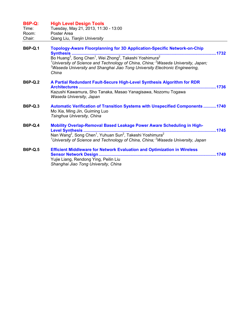| <b>B6P-Q:</b><br>Time:<br>Room:<br>Chair: | <b>High Level Design Tools</b><br>Tuesday, May 21, 2013, 11:30 - 13:00<br>Poster Area<br>Qiang Liu, Tianjin University                                                                                                                                                                                                                                                                                                            |  |
|-------------------------------------------|-----------------------------------------------------------------------------------------------------------------------------------------------------------------------------------------------------------------------------------------------------------------------------------------------------------------------------------------------------------------------------------------------------------------------------------|--|
| <b>B6P-Q.1</b>                            | <b>Topology-Aware Floorplanning for 3D Application-Specific Network-on-Chip</b><br><b>Synthesis</b><br>Bo Huang <sup>3</sup> , Song Chen <sup>1</sup> , Wei Zhong <sup>2</sup> , Takeshi Yoshimura <sup>2</sup><br><sup>1</sup> University of Science and Technology of China, China; <sup>2</sup> Waseda University, Japan;<br><sup>3</sup> Waseda University and Shanghai Jiao Tong University Electronic Engineering,<br>China |  |
| <b>B6P-Q.2</b>                            | A Partial Redundant Fault-Secure High-Level Synthesis Algorithm for RDR<br>Kazushi Kawamura, Sho Tanaka, Masao Yanagisawa, Nozomu Togawa<br>Waseda University, Japan                                                                                                                                                                                                                                                              |  |
| <b>B6P-Q.3</b>                            | <b>Automatic Verification of Transition Systems with Unspecified Components 1740</b><br>Mo Xia, Ming Jin, Guiming Luo<br>Tsinghua University, China                                                                                                                                                                                                                                                                               |  |
| <b>B6P-Q.4</b>                            | Mobility Overlap-Removal Based Leakage Power Aware Scheduling in High-<br>Nan Wang <sup>2</sup> , Song Chen <sup>1</sup> , Yuhuan Sun <sup>2</sup> , Takeshi Yoshimura <sup>2</sup><br>$1$ University of Science and Technology of China, China; $2$ Waseda University, Japan                                                                                                                                                     |  |
| <b>B6P-Q.5</b>                            | <b>Efficient Middleware for Network Evaluation and Optimization in Wireless</b><br><b>Sensor Network Design</b><br>Yujie Liang, Rendong Ying, Peilin Liu<br>Shanghai Jiao Tong University, China                                                                                                                                                                                                                                  |  |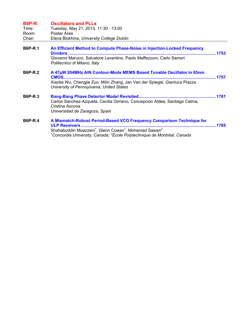| <b>B6P-R:</b><br>Time:<br>Room: | <b>Oscillators and PLLs</b><br>Tuesday, May 21, 2013, 11:30 - 13:00<br>Poster Area                                                                                                               |       |
|---------------------------------|--------------------------------------------------------------------------------------------------------------------------------------------------------------------------------------------------|-------|
| Chair:                          | Elena Blokhina, University College Dublin                                                                                                                                                        |       |
| <b>B6P-R.1</b>                  | An Efficient Method to Compute Phase-Noise in Injection-Locked Frequency<br>Giovanni Marucci, Salvatore Levantino, Paolo Maffezzoni, Carlo Samori<br>Politecnico di Milano, Italy                |       |
| <b>B6P-R.2</b>                  | A 47µW 204MHz AIN Contour-Mode MEMS Based Tunable Oscillator in 65nm<br>Xiaotie Wu, Chengjie Zuo, Milin Zhang, Jan Van der Spiegel, Gianluca Piazza<br>University of Pennsylvania, United States | .1757 |
| <b>B6P-R.3</b>                  | Carlos Sánchez-Azqueta, Cecilia Gimeno, Concepcion Aldea, Santiago Celma,<br>Cristina Azcona<br>Universidad de Zaragoza, Spain                                                                   |       |
| <b>B6P-R.4</b>                  | A Mismatch-Robust Period-Based VCO Frequency Comparison Technique for<br>Chebekeeldig Meersoni Clean Courant Mehemed Courant                                                                     |       |

Shahaboddin Moazzeni<sup>1</sup>, Glenn Cowan<sup>1</sup>, Mohamad Sawan<sup>2</sup><br><sup>1</sup>Concordia University*, Canada; <sup>2</sup>École Polytechnique de Montréal, Canada*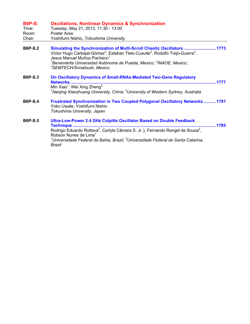## **B6P-S: Oscillations, Nonlinear Dynamics & Synchronization**

Time: Tuesday, May 21, 2013, 11:30 - 13:00

Room: Poster Area<br>Chair: Yoshifumi Ni Yoshifumi Nishio, *Tokushima University* 

| <b>B6P-S.2</b> | Simulating the Synchronization of Multi-Scroll Chaotic Oscillators<br>.1773<br>Victor Hugo Carbajal-Gómez <sup>2</sup> , Esteban Tlelo-Cuautle <sup>2</sup> , Rodolfo Trejo-Guerra <sup>3</sup> ,<br>Jesus Manuel Muñoz-Pacheco <sup>1</sup><br><sup>1</sup> Benemérita Universidad Autónoma de Puebla, Mexico; <sup>2</sup> INAOE, Mexico;<br><sup>3</sup> SEMTECH/Snowbush, Mexico |
|----------------|--------------------------------------------------------------------------------------------------------------------------------------------------------------------------------------------------------------------------------------------------------------------------------------------------------------------------------------------------------------------------------------|
| <b>B6P-S.3</b> | <b>On Oscillatory Dynamics of Small-RNAs-Mediated Two-Gene Regulatory</b><br><b>Networks</b> .<br>1777<br>Min Xiao <sup>1</sup> , Wei Xing Zheng <sup>2</sup><br><sup>1</sup> Nanjing Xiaozhuang University, China; $2$ University of Western Sydney, Australia                                                                                                                      |
| <b>B6P-S.4</b> | Frustrated Synchronization in Two Coupled Polygonal Oscillatory Networks1781<br>Yoko Uwate, Yoshifumi Nishio<br>Tokushima University, Japan                                                                                                                                                                                                                                          |
|                | <u> Liliya Law Daway 9 4 Cile Calvitte Osaillatay Dasad an Dauble Fasdhask</u>                                                                                                                                                                                                                                                                                                       |

**B6P-S.5 Ultra-Low-Power 2.4 GHz Colpitts Oscillator Based on Double Feedback Technique ..........................................................................................................................1785**  Rodrigo Eduardo Rottava<sup>2</sup>, Carlyle Câmara S. Jr. }, Fernando Rangel de Sousa<sup>2</sup>, Robson Nunes de Lima<sup>1</sup> *1 Universidade Federal da Bahia, Brazil; <sup>2</sup> Universidade Federal de Santa Catarina, Brazil*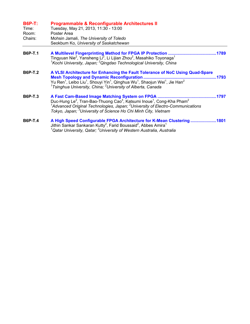| <b>B6P-T:</b><br>Time:<br>Room:<br>Chairs: | Programmable & Reconfigurable Architectures II<br>Tuesday, May 21, 2013, 11:30 - 13:00<br>Poster Area<br>Mohsin Jamali, The University of Toledo<br>Seokbum Ko, University of Saskatchewan                                                                                                                                                                                              |
|--------------------------------------------|-----------------------------------------------------------------------------------------------------------------------------------------------------------------------------------------------------------------------------------------------------------------------------------------------------------------------------------------------------------------------------------------|
| <b>B6P-T.1</b>                             | Tingyuan Nie <sup>2</sup> , Yansheng Li <sup>2</sup> , Li Lijian Zhou <sup>2</sup> , Masahiko Toyonaga <sup>1</sup><br><sup>1</sup> Kochi University, Japan; <sup>2</sup> Qingdao Technological University, China                                                                                                                                                                       |
| <b>B6P-T.2</b>                             | A VLSI Architecture for Enhancing the Fault Tolerance of NoC Using Quad-Spare<br><b>Mesh Topology and Dynamic Reconfiguration</b><br>.1793<br>Yu Ren <sup>1</sup> , Leibo Liu <sup>1</sup> , Shouyi Yin <sup>1</sup> , Qinghua Wu <sup>1</sup> , Shaojun Wei <sup>1</sup> , Jie Han <sup>2</sup><br><sup>1</sup> Tsinghua University, China; <sup>2</sup> University of Alberta, Canada |
| <b>B6P-T.3</b>                             | A Fast Cam-Based Image Matching System on FPGA.<br>1797<br>Duc-Hung Le <sup>2</sup> , Tran-Bao-Thuong Cao <sup>3</sup> , Katsumi Inoue <sup>1</sup> , Cong-Kha Pham <sup>2</sup><br><sup>1</sup> Advanced Original Technologies, Japan; <sup>2</sup> University of Electro-Communications<br>Tokyo, Japan; <sup>3</sup> University of Science Ho Chi Minh City, Vietnam                 |
| <b>B6P-T.4</b>                             | A High Speed Configurable FPGA Architecture for K-Mean Clustering 1801<br>Jithin Sankar Sankaran Kutty <sup>2</sup> , Farid Boussaid <sup>2</sup> , Abbes Amira <sup>1</sup><br><sup>1</sup> Qatar University, Qatar; <sup>2</sup> University of Western Australia, Australia                                                                                                           |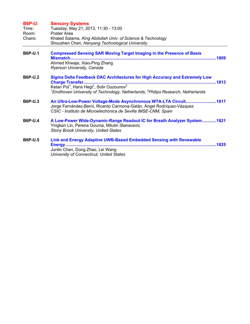| <b>B6P-U:</b><br>Time:<br>Room:<br>Chairs: | <b>Sensory Systems</b><br>Tuesday, May 21, 2013, 11:30 - 13:00<br>Poster Area<br>Khaled Salama, King Abdullah Univ. of Science & Technology<br>Shoushen Chen, Nanyang Technological University                                                                  |
|--------------------------------------------|-----------------------------------------------------------------------------------------------------------------------------------------------------------------------------------------------------------------------------------------------------------------|
| <b>B6P-U.1</b>                             | <b>Compressed Sensing SAR Moving Target Imaging in the Presence of Basis</b><br>Ahmed Khwaja, Xiao-Ping Zhang<br>Ryerson University, Canada                                                                                                                     |
| <b>B6P-U.2</b>                             | Sigma Delta Feedback DAC Architectures for High Accuracy and Extremely Low<br>Ketan Pol <sup>1</sup> , Hans Hegt <sup>1</sup> , Sotir Ouzounov <sup>2</sup><br>${}^{1}$ Eindhoven University of Technology, Netherlands; ${}^{2}$ Philips Research, Netherlands |
| <b>B6P-U.3</b>                             | An Ultra-Low-Power Voltage-Mode Asynchronous WTA-LTA Circuit1817<br>Jorge Fernández-Berni, Ricardo Carmona-Galán, Ángel Rodríquez-Vázquez<br>CSIC - Instituto de Microelectrónica de Sevilla IMSE-CNM, Spain                                                    |
| <b>B6P-U.4</b>                             | A Low-Power Wide-Dynamic-Range Readout IC for Breath Analyzer System1821<br>Yingkan Lin, Perena Gouma, Milutin Stanacevic<br><b>Stony Brook University, United States</b>                                                                                       |
| <b>B6P-U.5</b>                             | Link and Energy Adaptive UWB-Based Embedded Sensing with Renewable<br><b>Energy</b><br>Junlin Chen, Dong Zhao, Lei Wang<br>University of Connecticut, United States                                                                                             |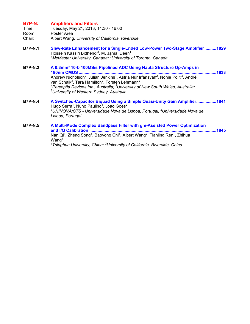## **B7P-N: Amplifiers and Filters**

| Time:  | Tuesday, May 21, 2013, 14:30 - 16:00             |
|--------|--------------------------------------------------|
| Room:  | Poster Area                                      |
| Chair: | Albert Wang, University of California, Riverside |

- **B7P-N.1 Slew-Rate Enhancement for a Single-Ended Low-Power Two-Stage Amplifier..........1829**  Hossein Kassiri Bidhendi<sup>2</sup>, M. Jamal Deen<sup>1</sup> *1 McMaster University, Canada; <sup>2</sup> University of Toronto, Canada*
- **B7P-N.2 A 0.3mm² 10-b 100MS/s Pipelined ADC Using Nauta Structure Op-Amps in 180nm CMOS .....................................................................................................................1833**  Andrew Nicholson<sup>2</sup>, Julian Jenkins<sup>1</sup>, Astria Nur Irfansyah<sup>2</sup>, Nonie Politi<sup>2</sup>, André van Schaik<sup>3</sup>, Tara Hamilton<sup>2</sup>, Torsten Lehmann<sup>2</sup> *1 Perceptia Devices Inc., Australia; <sup>2</sup> University of New South Wales, Australia; 3 University of Western Sydney, Australia*
- **B7P-N.4 A Switched-Capacitor Biquad Using a Simple Quasi-Unity Gain Amplifier.................1841**  Hugo Serra<sup>1</sup>, Nuno Paulino<sup>1</sup>, Joao Goes<sup>2</sup> *1 UNINOVA/CTS - Universidade Nova de Lisboa, Portugal; <sup>2</sup> Universidade Nova de Lisboa, Portugal*
- **B7P-N.5 A Multi-Mode Complex Bandpass Filter with gm-Assisted Power Optimization and I/Q Calibration ............................................................................................................1845**  Nan Qi<sup>1</sup>, Zheng Song<sup>1</sup>, Baoyong Chi<sup>1</sup>, Albert Wang<sup>2</sup>, Tianling Ren<sup>1</sup>, Zhihua  $W$ ang $<sup>1</sup>$ </sup> <sup>1</sup> Tsinghua University, China; <sup>2</sup> University of California, Riverside, China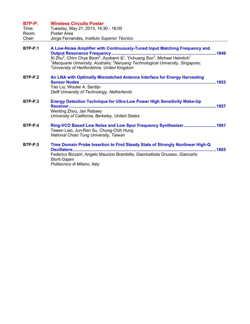| <b>B7P-P:</b><br>Time:<br>Room:<br>Chair: | <b>Wireless Circuits Poster</b><br>Tuesday, May 21, 2013, 14:30 - 16:00<br>Poster Area<br>Jorge Fernandes, Instituto Superior Técnico                                                                                                             |  |
|-------------------------------------------|---------------------------------------------------------------------------------------------------------------------------------------------------------------------------------------------------------------------------------------------------|--|
| <b>B7P-P.1</b>                            | A Low-Noise Amplifier with Continuously-Tuned Input Matching Frequency and<br><sup>1</sup> Macquarie University, Australia; <sup>2</sup> Nanyang Technological University, Singapore;<br><sup>3</sup> University of Hertfordshire, United Kingdom |  |
| <b>B7P-P.2</b>                            | An LNA with Optimally Mismatched Antenna Interface for Energy Harvesting<br>Yao Liu, Wouter A. Serdijn<br>Delft University of Technology, Netherlands                                                                                             |  |
| <b>B7P-P.3</b>                            | <b>Energy Detection Technique for Ultra-Low Power High Sensitivity Wake-Up</b><br>Wenting Zhou, Jan Rabaey<br>University of California, Berkeley, United States                                                                                   |  |
| <b>B7P-P.4</b>                            | Ring-VCO Based Low Noise and Low Spur Frequency Synthesizer1861<br>Tewen Liao, Jun-Ren Su, Chung-Chih Hung<br>National Chiao Tung University, Taiwan                                                                                              |  |
| <b>B7P-P.5</b>                            | Time Domain Probe Insertion to Find Steady State of Strongly Nonlinear High-Q<br>Federico Bizzarri, Angelo Maurizio Brambilla, Giambattista Gruosso, Giancarlo<br>Storti Gajani<br>Politecnico di Milano, Italy                                   |  |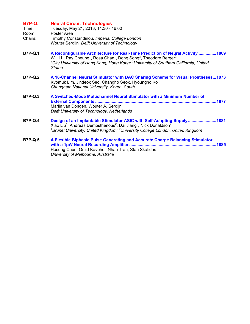## **B7P-Q: Neural Circuit Technologies**  Time: Tuesday, May 21, 2013, 14:30 - 16:00

| Time.   | Tuesday, May 21, 2013, 14:30 - 16:00           |
|---------|------------------------------------------------|
| Room:   | Poster Area                                    |
| Chairs: | Timothy Constandinou, Imperial College London  |
|         | Wouter Serdijn, Delft University of Technology |

- **B7P-Q.1 A Reconfigurable Architecture for Real-Time Prediction of Neural Activity ...............1869**  Will Li<sup>1</sup>, Ray Cheung<sup>1</sup>, Rosa Chan<sup>1</sup>, Dong Song<sup>2</sup>, Theodore Berger<sup>2</sup> <sup>1</sup> City University of Hong Kong, Hong Kong; <sup>2</sup> University of Southern California, United *States*
- **B7P-Q.2 A 16-Channel Neural Stimulator with DAC Sharing Scheme for Visual Prostheses...1873**  Kyomuk Lim, Jindeok Seo, Changho Seok, Hyoungho Ko *Chungnam National University, Korea, South*
- **B7P-Q.3 A Switched-Mode Multichannel Neural Stimulator with a Minimum Number of External Components .......................................................................................................1877**  Marijn van Dongen, Wouter A. Serdijn *Delft University of Technology, Netherlands*
- **B7P-Q.4 Design of an Implantable Stimulator ASIC with Self-Adapting Supply........................1881**  Xiao Liu<sup>1</sup>, Andreas Demosthenous<sup>2</sup>, Dai Jiang<sup>2</sup>, Nick Donaldson<sup>2</sup> *1 Brunel University, United Kingdom; <sup>2</sup> University College London, United Kingdom*
- **B7P-Q.5 A Flexible Biphasic Pulse Generating and Accurate Charge Balancing Stimulator with a 1µW Neural Recording Amplifier ..........................................................................1885**  Hosung Chun, Omid Kavehei, Nhan Tran, Stan Skafidas *University of Melbourne, Australia*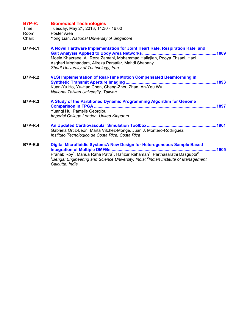| <b>B7P-R:</b><br>Time:<br>Room:<br>Chair: | <b>Biomedical Technologies</b><br>Tuesday, May 21, 2013, 14:30 - 16:00<br>Poster Area<br>Yong Lian, National University of Singapore                                                                                                                                                                                                              |  |
|-------------------------------------------|---------------------------------------------------------------------------------------------------------------------------------------------------------------------------------------------------------------------------------------------------------------------------------------------------------------------------------------------------|--|
| <b>B7P-R.1</b>                            | A Novel Hardware Implementation for Joint Heart Rate, Respiration Rate, and<br>Moein Khazraee, Ali Reza Zamani, Mohammad Hallajian, Pooya Ehsani, Hadi<br>Asghari Moghaddam, Alireza Parsafar, Mahdi Shabany<br>Sharif University of Technology, Iran                                                                                             |  |
| <b>B7P-R.2</b>                            | VLSI Implementation of Real-Time Motion Compensated Beamforming in<br>Kuan-Yu Ho, Yu-Hao Chen, Cheng-Zhou Zhan, An-Yeu Wu<br>National Taiwan University, Taiwan                                                                                                                                                                                   |  |
| <b>B7P-R.3</b>                            | A Study of the Partitioned Dynamic Programming Algorithm for Genome<br>Yuangi Hu, Pantelis Georgiou<br>Imperial College London, United Kingdom                                                                                                                                                                                                    |  |
| <b>B7P-R.4</b>                            | Gabriela Ortiz-León, Marta Vílchez-Monge, Juan J. Montero-Rodríguez<br>Instituto Tecnológico de Costa Rica, Costa Rica                                                                                                                                                                                                                            |  |
| <b>B7P-R.5</b>                            | Digital Microfluidic System: A New Design for Heterogeneous Sample Based<br>1905<br>Pranab Roy <sup>1</sup> , Mahua Raha Patra <sup>1</sup> , Hafizur Rahaman <sup>1</sup> , Parthasarathi Dasgupta <sup>2</sup><br><sup>1</sup> Bengal Engineering and Science University, India; <sup>2</sup> Indian Institute of Management<br>Calcutta, India |  |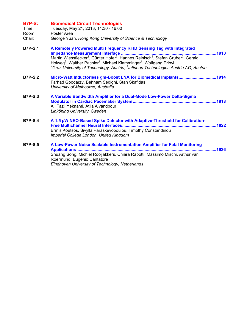| <b>B7P-S:</b><br>Time:<br>Room:<br>Chair: | <b>Biomedical Circuit Technologies</b><br>Tuesday, May 21, 2013, 14:30 - 16:00<br>Poster Area<br>George Yuan, Hong Kong University of Science & Technology                                                                                                                                                                                                                                                                                             |
|-------------------------------------------|--------------------------------------------------------------------------------------------------------------------------------------------------------------------------------------------------------------------------------------------------------------------------------------------------------------------------------------------------------------------------------------------------------------------------------------------------------|
| <b>B7P-S.1</b>                            | A Remotely Powered Multi Frequency RFID Sensing Tag with Integrated<br>1910<br>Martin Wiessflecker <sup>2</sup> , Günter Hofer <sup>2</sup> , Hannes Reinisch <sup>2</sup> , Stefan Gruber <sup>2</sup> , Gerald<br>Holweg <sup>2</sup> , Walther Pachler <sup>1</sup> , Michael Klamminger <sup>1</sup> , Wolfgang Pribyl <sup>1</sup><br><sup>1</sup> Graz University of Technology, Austria; <sup>2</sup> Infineon Technologies Austria AG, Austria |
| <b>B7P-S.2</b>                            | Micro-Watt Inductorless gm-Boost LNA for Biomedical Implants1914<br>Farhad Goodarzy, Behnam Sedighi, Stan Skafidas<br>University of Melbourne, Australia                                                                                                                                                                                                                                                                                               |
| <b>B7P-S.3</b>                            | A Variable Bandwidth Amplifier for a Dual-Mode Low-Power Delta-Sigma<br>Ali Fazli Yeknami, Atila Alvandpour<br>Linköping University, Sweden                                                                                                                                                                                                                                                                                                            |
| <b>B7P-S.4</b>                            | A 1.5 µW NEO-Based Spike Detector with Adaptive-Threshold for Calibration-<br>Ermis Koutsos, Sivylla Paraskevopoulou, Timothy Constandinou<br>Imperial College London, United Kingdom                                                                                                                                                                                                                                                                  |
| <b>B7P-S.5</b>                            | A Low-Power Noise Scalable Instrumentation Amplifier for Fetal Monitoring<br>Shuang Song, Michiel Rooijakkers, Chiara Rabotti, Massimo Mischi, Arthur van<br>Roermund, Eugenio Cantatore<br>Eindhoven University of Technology, Netherlands                                                                                                                                                                                                            |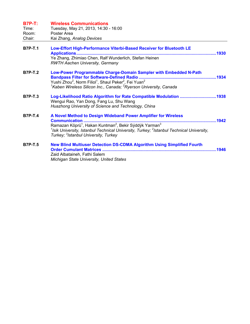| <b>B7P-T:</b>  | <b>Wireless Communications</b>                                                                                                                                                                                                                                     |  |
|----------------|--------------------------------------------------------------------------------------------------------------------------------------------------------------------------------------------------------------------------------------------------------------------|--|
| Time:          | Tuesday, May 21, 2013, 14:30 - 16:00                                                                                                                                                                                                                               |  |
| Room:          | Poster Area                                                                                                                                                                                                                                                        |  |
| Chair:         | Kai Zhang, Analog Devices                                                                                                                                                                                                                                          |  |
| <b>B7P-T.1</b> | Low-Effort High-Performance Viterbi-Based Receiver for Bluetooth LE<br>Applications                                                                                                                                                                                |  |
|                | Ye Zhang, Zhimiao Chen, Ralf Wunderlich, Stefan Heinen<br><b>RWTH Aachen University, Germany</b>                                                                                                                                                                   |  |
| <b>B7P-T.2</b> | Low-Power Programmable Charge-Domain Sampler with Embedded N-Path                                                                                                                                                                                                  |  |
|                | Yushi Zhou <sup>2</sup> , Norm Filiol <sup>1</sup> , Shaul Peker <sup>2</sup> , Fei Yuan <sup>2</sup><br><sup>1</sup> Kaben Wireless Silicon Inc., Canada; <sup>2</sup> Ryerson University, Canada                                                                 |  |
| <b>B7P-T.3</b> | Log-Likelihood Ratio Algorithm for Rate Compatible Modulation 1938<br>Wengui Rao, Yan Dong, Fang Lu, Shu Wang<br>Huazhong University of Science and Technology, China                                                                                              |  |
| <b>B7P-T.4</b> | A Novel Method to Design Wideband Power Amplifier for Wireless<br>Communication                                                                                                                                                                                    |  |
|                | Ramazan Köprü <sup>1</sup> , Hakan Kuntman <sup>2</sup> , Bekir Sýddýk Yarman <sup>3</sup><br><sup>1</sup> Isik University, Istanbul Technical University, Turkey; <sup>2</sup> Istanbul Technical University,<br>Turkey; <sup>3</sup> Istanbul University, Turkey |  |
| <b>B7P-T.5</b> | <b>New Blind Multiuser Detection DS-CDMA Algorithm Using Simplified Fourth</b>                                                                                                                                                                                     |  |
|                | Zaid Albataineh, Fathi Salem                                                                                                                                                                                                                                       |  |
|                | Michigan State University, United States                                                                                                                                                                                                                           |  |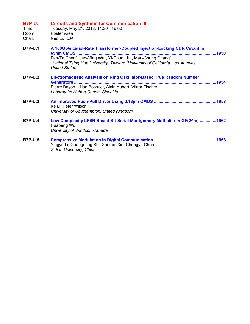| <b>B7P-U:</b><br>Time:<br>Room:<br>Chair: | <b>Circuits and Systems for Communication III</b><br>Tuesday, May 21, 2013, 14:30 - 16:00<br>Poster Area<br>Neo Li, IBM                                                                                                                                                                                                      |  |
|-------------------------------------------|------------------------------------------------------------------------------------------------------------------------------------------------------------------------------------------------------------------------------------------------------------------------------------------------------------------------------|--|
| <b>B7P-U.1</b>                            | A 100Gb/s Quad-Rate Transformer-Coupled Injection-Locking CDR Circuit in<br>Fan-Ta Chen <sup>1</sup> , Jen-Ming Wu <sup>1</sup> , Yi-Chun Liu <sup>1</sup> , Mau-Chung Chang <sup>2</sup><br><sup>1</sup> National Tsing Hua University, Taiwan; <sup>2</sup> University of California, Los Angeles,<br><b>United States</b> |  |
| <b>B7P-U.2</b>                            | <b>Electromagnetic Analysis on Ring Oscillator-Based True Random Number</b><br>Pierre Bayon, Lilian Bossuet, Alain Aubert, Viktor Fischer<br>Laboratoire Hubert Curien, Slovakia                                                                                                                                             |  |
| <b>B7P-U.3</b>                            | Ke Li, Peter Wilson<br>University of Southampton, United Kingdom                                                                                                                                                                                                                                                             |  |
| <b>B7P-U.4</b>                            | Low Complexity LFSR Based Bit-Serial Montgomery Multiplier in GF(2^m) 1962<br>Huapeng Wu<br>University of Windsor, Canada                                                                                                                                                                                                    |  |
| <b>B7P-U.5</b>                            | Yingyu Li, Guangming Shi, Xuemei Xie, Chongyu Chen<br>Xidian University, China                                                                                                                                                                                                                                               |  |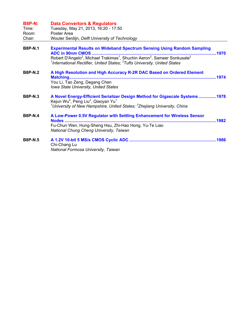| <b>B8P-N:</b><br>Time:<br>Room:<br>Chair: | <b>Data Convertors &amp; Regulators</b><br>Tuesday, May 21, 2013, 16:20 - 17:50<br>Poster Area<br>Wouter Serdijn, Delft University of Technology                                                                                                                                                                                            |
|-------------------------------------------|---------------------------------------------------------------------------------------------------------------------------------------------------------------------------------------------------------------------------------------------------------------------------------------------------------------------------------------------|
| <b>B8P-N.1</b>                            | <b>Experimental Results on Wideband Spectrum Sensing Using Random Sampling</b><br><b>ADC in 90nm CMOS</b><br>Robert D'Angelo <sup>2</sup> , Michael Trakimas <sup>1</sup> , Shuchin Aeron <sup>2</sup> , Sameer Sonkusale <sup>2</sup><br><sup>1</sup> International Rectifier, United States; <sup>2</sup> Tufts University, United States |
| <b>B8P-N.2</b>                            | A High Resolution and High Accuracy R-2R DAC Based on Ordered Element<br>You Li, Tao Zeng, Degang Chen<br>Iowa State University, United States                                                                                                                                                                                              |
| <b>B8P-N.3</b>                            | A Novel Energy-Efficient Serializer Design Method for Gigascale Systems1978<br>Kejun Wu <sup>2</sup> , Peng Liu <sup>2</sup> , Qiaoyan Yu <sup>1</sup><br><sup>1</sup> University of New Hampshire, United States; <sup>2</sup> Zhejiang University, China                                                                                  |
| <b>B8P-N.4</b>                            | A Low-Power 0.5V Regulator with Settling Enhancement for Wireless Sensor<br>Fu-Chun Wen, Hung-Sheng Hsu, Zhi-Hao Hong, Yu-Te Liao<br>National Chung Cheng University, Taiwan                                                                                                                                                                |
| <b>B8P-N.5</b>                            | Chi-Chang Lu<br>National Formosa University, Taiwan                                                                                                                                                                                                                                                                                         |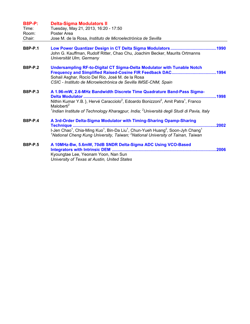| <b>B8P-P:</b><br>Time:<br>Room:<br>Chair: | <b>Delta-Sigma Modulators II</b><br>Tuesday, May 21, 2013, 16:20 - 17:50<br>Poster Area<br>Jose M. de la Rosa, Instituto de Microelectrónica de Sevilla                                                                                                                                                                                                 |
|-------------------------------------------|---------------------------------------------------------------------------------------------------------------------------------------------------------------------------------------------------------------------------------------------------------------------------------------------------------------------------------------------------------|
| <b>B8P-P.1</b>                            | John G. Kauffman, Rudolf Ritter, Chao Chu, Joachim Becker, Maurits Ortmanns<br>Universität Ulm, Germany                                                                                                                                                                                                                                                 |
| <b>B8P-P.2</b>                            | <b>Undersampling RF-to-Digital CT Sigma-Delta Modulator with Tunable Notch</b><br>Sohail Asghar, Rocío Del Río, José M. de la Rosa<br>CSIC - Instituto de Microelectrónica de Sevilla IMSE-CNM, Spain                                                                                                                                                   |
| <b>B8P-P.3</b>                            | A 1.96-mW, 2.6-MHz Bandwidth Discrete Time Quadrature Band-Pass Sigma-<br>1998<br>Nithin Kumar Y.B. }, Hervé Caracciolo <sup>2</sup> , Edoardo Bonizzoni <sup>2</sup> , Amit Patra <sup>1</sup> , Franco<br>Maloberti <sup>2</sup><br><sup>1</sup> Indian Institute of Technology Kharagpur, India; <sup>2</sup> Università degli Studi di Pavia, Italy |
| <b>B8P-P.4</b>                            | A 3rd-Order Delta-Sigma Modulator with Timing-Sharing Opamp-Sharing<br>2002<br>Technique<br>I-Jen Chao <sup>1</sup> , Chia-Ming Kuo <sup>1</sup> , Bin-Da Liu <sup>1</sup> , Chun-Yueh Huang <sup>2</sup> , Soon-Jyh Chang <sup>1</sup><br><sup>1</sup> National Cheng Kung University, Taiwan; <sup>2</sup> National University of Tainan, Taiwan      |
| <b>B8P-P.5</b>                            | A 10MHz-Bw, 5.6mW, 70dB SNDR Delta-Sigma ADC Using VCO-Based<br>Integrators with Intrinsic DEM<br>2006<br>Kyoungtae Lee, Yeonam Yoon, Nan Sun<br>University of Texas at Austin, United States                                                                                                                                                           |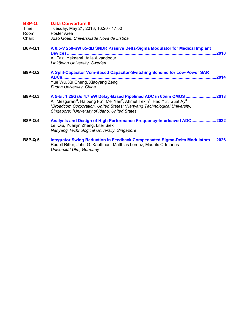| <b>B8P-Q:</b><br>Time:<br>Room:<br>Chair: | <b>Data Convertors III</b><br>Tuesday, May 21, 2013, 16:20 - 17:50<br>Poster Area<br>João Goes, Universidade Nova de Lisboa                                                                                                                                                                                                                                                                 |       |
|-------------------------------------------|---------------------------------------------------------------------------------------------------------------------------------------------------------------------------------------------------------------------------------------------------------------------------------------------------------------------------------------------------------------------------------------------|-------|
| <b>B8P-Q.1</b>                            | A 0.5-V 250-nW 65-dB SNDR Passive Delta-Sigma Modulator for Medical Implant<br>Ali Fazli Yeknami, Atila Alvandpour<br>Linköping University, Sweden                                                                                                                                                                                                                                          |       |
| <b>B8P-Q.2</b>                            | A Split-Capacitor Vcm-Based Capacitor-Switching Scheme for Low-Power SAR<br>Yue Wu, Xu Cheng, Xiaoyang Zeng<br>Fudan University, China                                                                                                                                                                                                                                                      | .2014 |
| <b>B8P-Q.3</b>                            | A 5-bit 1.25Gs/s 4.7mW Delay-Based Pipelined ADC in 65nm CMOS 2018<br>Ali Mesgarani <sup>3</sup> , Haipeng Fu <sup>2</sup> , Mei Yan <sup>2</sup> , Ahmet Tekin <sup>1</sup> , Hao Yu <sup>2</sup> , Suat Ay <sup>3</sup><br><sup>1</sup> Broadcom Corporation, United States; <sup>2</sup> Nanyang Technological University,<br>Singapore; <sup>3</sup> University of Idaho, United States |       |
| <b>B8P-Q.4</b>                            | Analysis and Design of High Performance Frequency-Interleaved ADC2022<br>Lei Qiu, Yuanjin Zheng, Liter Siek<br>Nanyang Technological University, Singapore                                                                                                                                                                                                                                  |       |
| <b>B8P-Q.5</b>                            | Integrator Swing Reduction in Feedback Compensated Sigma-Delta Modulators2026<br>Rudolf Ritter, John G. Kauffman, Matthias Lorenz, Maurits Ortmanns<br>Universität Ulm, Germany                                                                                                                                                                                                             |       |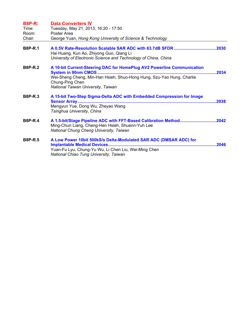| <b>B8P-R:</b><br>Time:<br>Room:<br>Chair: | <b>Data Converters IV</b><br>Tuesday, May 21, 2013, 16:20 - 17:50<br>Poster Area<br>George Yuan, Hong Kong University of Science & Technology                                                            |
|-------------------------------------------|----------------------------------------------------------------------------------------------------------------------------------------------------------------------------------------------------------|
| <b>B8P-R.1</b>                            | Hai Huang, Kun Ao, Zhiyong Guo, Qiang Li<br>University of Electronic Science and Technology of China, China                                                                                              |
| <b>B8P-R.2</b>                            | A 10-bit Current-Steering DAC for HomePlug AV2 Powerline Communication<br>Wei-Sheng Cheng, Min-Han Hsieh, Shuo-Hong Hung, Szu-Yao Hung, Charlie<br>Chung-Ping Chen<br>National Taiwan University, Taiwan |
| <b>B8P-R.3</b>                            | A 15-bit Two-Step Sigma-Delta ADC with Embedded Compression for Image<br>Mengyun Yue, Dong Wu, Zheyao Wang<br>Tsinghua University, China                                                                 |
| <b>B8P-R.4</b>                            | A 1.5-bit/Stage Pipeline ADC with FFT-Based Calibration Method2042<br>Ming-Chun Liang, Cheng-Hen Hsieh, Shuenn-Yuh Lee<br>National Chung Cheng University, Taiwan                                        |
| <b>B8P-R.5</b>                            | A Low Power 10bit 500kS/s Delta-Modulated SAR ADC (DMSAR ADC) for<br>Yuan-Fu Lyu, Chung-Yu Wu, Li Chen Liu, Wei-Ming Chen<br>National Chiao Tung University, Taiwan                                      |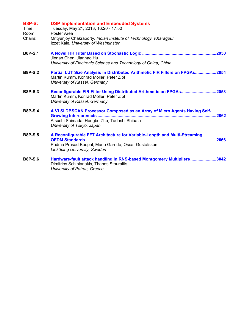| <b>B8P-S:</b><br>Time:<br>Room:<br>Chairs: | <b>DSP Implementation and Embedded Systems</b><br>Tuesday, May 21, 2013, 16:20 - 17:50<br>Poster Area<br>Mrityunjoy Chakraborty, Indian Institute of Technology, Kharagpur<br>Izzet Kale, University of Westminster |
|--------------------------------------------|---------------------------------------------------------------------------------------------------------------------------------------------------------------------------------------------------------------------|
| <b>B8P-S.1</b>                             | Jienan Chen, Jianhao Hu<br>University of Electronic Science and Technology of China, China                                                                                                                          |
| <b>B8P-S.2</b>                             | Partial LUT Size Analysis in Distributed Arithmetic FIR Filters on FPGAs2054<br>Martin Kumm, Konrad Möller, Peter Zipf<br>University of Kassel, Germany                                                             |
| <b>B8P-S.3</b>                             | Reconfigurable FIR Filter Using Distributed Arithmetic on FPGAs2058<br>Martin Kumm, Konrad Möller, Peter Zipf<br>University of Kassel, Germany                                                                      |
| <b>B8P-S.4</b>                             | A VLSI DBSCAN Processor Composed as an Array of Micro Agents Having Self-<br>Atsushi Shimada, Hongbo Zhu, Tadashi Shibata<br>University of Tokyo, Japan                                                             |
| <b>B8P-S.5</b>                             | A Reconfigurable FFT Architecture for Variable-Length and Multi-Streaming<br>.2066<br>Padma Prasad Boopal, Mario Garrido, Oscar Gustafsson<br>Linköping University, Sweden                                          |
| <b>B8P-S.6</b>                             | Hardware-fault attack handling in RNS-based Montgomery Multipliers3042<br>Dimitrios Schinianakis, Thanos Stouraitis<br>University of Patras, Greece                                                                 |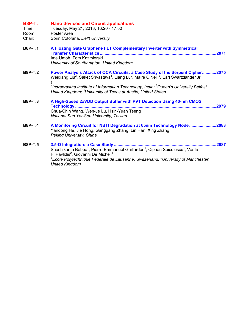| <b>B8P-T:</b><br>Time:<br>Room:<br>Chair: | <b>Nano devices and Circuit applications</b><br>Tuesday, May 21, 2013, 16:20 - 17:50<br>Poster Area<br>Sorin Cotofana, Delft University                                                                                                                                                                                                                                                              |
|-------------------------------------------|------------------------------------------------------------------------------------------------------------------------------------------------------------------------------------------------------------------------------------------------------------------------------------------------------------------------------------------------------------------------------------------------------|
| <b>B8P-T.1</b>                            | A Floating Gate Graphene FET Complementary Inverter with Symmetrical<br><b>Transfer Characteristics.</b><br>.2071<br>Ime Umoh, Tom Kazmierski<br>University of Southampton, United Kingdom                                                                                                                                                                                                           |
| <b>B8P-T.2</b>                            | Power Analysis Attack of QCA Circuits: a Case Study of the Serpent Cipher2075<br>Weiqiang Liu <sup>2</sup> , Saket Srivastava <sup>1</sup> , Liang Lu <sup>2</sup> , Maire O'Neill <sup>2</sup> , Earl Swartzlander Jr.<br>$1$ Indraprastha Institute of Information Technology, India; $2$ Queen's University Belfast,<br>United Kingdom; <sup>3</sup> University of Texas at Austin, United States |
| <b>B8P-T.3</b>                            | A High-Speed 2xVDD Output Buffer with PVT Detection Using 40-nm CMOS<br>.2079<br>Chua-Chin Wang, Wen-Je Lu, Hsin-Yuan Tseng<br>National Sun Yat-Sen University, Taiwan                                                                                                                                                                                                                               |
| <b>B8P-T.4</b>                            | A Monitoring Circuit for NBTI Degradation at 65nm Technology Node2083<br>Yandong He, Jie Hong, Ganggang Zhang, Lin Han, Xing Zhang<br>Peking University, China                                                                                                                                                                                                                                       |
| <b>B8P-T.5</b>                            | .2087<br>Shashikanth Bobba <sup>1</sup> , Pierre-Emmanuel Gaillardon <sup>1</sup> , Ciprian Seiculescu <sup>1</sup> , Vasilis<br>F. Pavlidis <sup>2</sup> , Giovanni De Micheli <sup>1</sup><br><sup>1</sup> École Polytechnique Fédérale de Lausanne, Switzerland; <sup>2</sup> University of Manchester,<br><b>United Kingdom</b>                                                                  |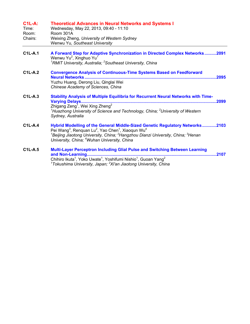| <b>C1L-A:</b><br>Time:<br>Room:<br>Chairs: | <b>Theoretical Advances in Neural Networks and Systems I</b><br>Wednesday, May 22, 2013, 09:40 - 11:10<br>Room 301A<br>Weixing Zheng, University of Western Sydney                                        |
|--------------------------------------------|-----------------------------------------------------------------------------------------------------------------------------------------------------------------------------------------------------------|
|                                            | Wenwu Yu, Southeast University                                                                                                                                                                            |
| <b>C1L-A.1</b>                             | A Forward Step for Adaptive Synchronization in Directed Complex Networks2091<br>Wenwu Yu <sup>2</sup> , Xinghuo Yu <sup>1</sup>                                                                           |
|                                            | <sup>1</sup> RMIT University, Australia; <sup>2</sup> Southeast University, China                                                                                                                         |
| $C1L-A.2$                                  | <b>Convergence Analysis of Continuous-Time Systems Based on Feedforward</b><br><b>Neural Networks</b><br>2095                                                                                             |
|                                            | Yuzhu Huang, Derong Liu, Qinglai Wei<br>Chinese Academy of Sciences, China                                                                                                                                |
| $C1L-A.3$                                  | <b>Stability Analysis of Multiple Equilibria for Recurrent Neural Networks with Time-</b><br><b>Varying Delays</b><br>.2099                                                                               |
|                                            | Zhigang Zeng <sup>1</sup> , Wei Xing Zheng <sup>2</sup><br><sup>1</sup> Huazhong University of Science and Technology, China; $2$ University of Western<br>Sydney, Australia                              |
| $C1L-A.4$                                  | Hybrid Modelling of the General Middle-Sized Genetic Regulatory Networks2103<br>Pei Wang <sup>3</sup> , Renguan Lu <sup>2</sup> , Yao Chen <sup>1</sup> , Xiaoqun Wu <sup>4</sup>                         |
|                                            | <sup>1</sup> Beijing Jiaotong University, China; <sup>2</sup> Hangzhou Dianzi University, China; <sup>3</sup> Henan<br>University, China; <sup>4</sup> Wuhan University, China                            |
| $C1L-A.5$                                  | <b>Multi-Layer Perceptron Including Glial Pulse and Switching Between Learning</b><br>and Non-Learning                                                                                                    |
|                                            | Chihiro Ikuta <sup>1</sup> , Yoko Uwate <sup>1</sup> , Yoshifumi Nishio <sup>1</sup> , Guoan Yang <sup>2</sup><br><sup>1</sup> Tokushima University, Japan; <sup>2</sup> Xi'an Jiaotong University, China |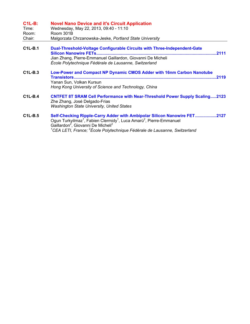| $C1L-B$ :      | <b>Novel Nano Device and it's Circuit Application</b>                                                                                                                                                                                                                                                                                                  |
|----------------|--------------------------------------------------------------------------------------------------------------------------------------------------------------------------------------------------------------------------------------------------------------------------------------------------------------------------------------------------------|
| Time:<br>Room: | Wednesday, May 22, 2013, 09:40 - 11:10<br>Room 301B                                                                                                                                                                                                                                                                                                    |
| Chair:         | Malgorzata Chrzanowska-Jeske, Portland State University                                                                                                                                                                                                                                                                                                |
| $C1L-B.1$      | <b>Dual-Threshold-Voltage Configurable Circuits with Three-Independent-Gate</b><br>Silicon Nanowire FETs<br>.2111                                                                                                                                                                                                                                      |
|                | Jian Zhang, Pierre-Emmanuel Gaillardon, Giovanni De Micheli<br>École Polytechnique Fédérale de Lausanne, Switzerland                                                                                                                                                                                                                                   |
| $C1L-B.3$      | Low-Power and Compact NP Dynamic CMOS Adder with 16nm Carbon Nanotube<br>.2119<br>Yanan Sun, Volkan Kursun<br>Hong Kong University of Science and Technology, China                                                                                                                                                                                    |
| $C1L-B.4$      | <b>CNTFET 8T SRAM Cell Performance with Near-Threshold Power Supply Scaling2123</b><br>Zhe Zhang, José Delgado-Frias<br><b>Washington State University, United States</b>                                                                                                                                                                              |
| $C1L-B.5$      | Self-Checking Ripple-Carry Adder with Ambipolar Silicon Nanowire FET2127<br>Ogun Turkyilmaz <sup>1</sup> , Fabien Clermidy <sup>1</sup> , Luca Amarù <sup>2</sup> , Pierre-Emmanuel<br>Gaillardon <sup>2</sup> , Giovanni De Micheli <sup>2</sup><br><sup>1</sup> CEA LETI, France; <sup>2</sup> École Polytechnique Fédérale de Lausanne, Switzerland |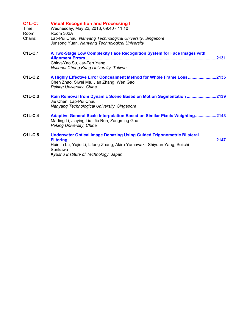| <b>C1L-C:</b><br>Time:<br>Room:<br>Chairs: | <b>Visual Recognition and Processing I</b><br>Wednesday, May 22, 2013, 09:40 - 11:10<br>Room 302A<br>Lap-Pui Chau, Nanyang Technological University, Singapore<br>Junsong Yuan, Nanyang Technological University                    |
|--------------------------------------------|-------------------------------------------------------------------------------------------------------------------------------------------------------------------------------------------------------------------------------------|
| $C1L-C.1$                                  | A Two-Stage Low Complexity Face Recognition System for Face Images with<br>Ching-Yao Su, Jar-Ferr Yang<br>National Cheng Kung University, Taiwan                                                                                    |
| <b>C1L-C.2</b>                             | A Highly Effective Error Concealment Method for Whole Frame Loss2135<br>Chen Zhao, Siwei Ma, Jian Zhang, Wen Gao<br>Peking University, China                                                                                        |
| $C1L-C.3$                                  | Rain Removal from Dynamic Scene Based on Motion Segmentation 2139<br>Jie Chen, Lap-Pui Chau<br>Nanyang Technological University, Singapore                                                                                          |
| <b>C1L-C.4</b>                             | Adaptive General Scale Interpolation Based on Similar Pixels Weighting2143<br>Mading Li, Jiaying Liu, Jie Ren, Zongming Guo<br>Peking University, China                                                                             |
| $C1L-C.5$                                  | <b>Underwater Optical Image Dehazing Using Guided Trigonometric Bilateral</b><br>2147<br>Filtering<br>Huimin Lu, Yujie Li, Lifeng Zhang, Akira Yamawaki, Shiyuan Yang, Seiichi<br>Serikawa<br>Kyushu Institute of Technology, Japan |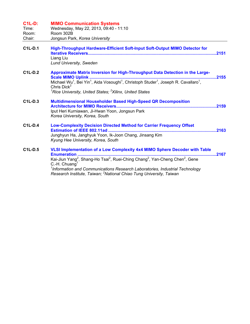| <b>C1L-D:</b><br>Time:<br>Room:<br>Chair: | <b>MIMO Communication Systems</b><br>Wednesday, May 22, 2013, 09:40 - 11:10<br>Room 302B<br>Jongsun Park, Korea University                                                                                                                                                                                                                                                                                                                            |
|-------------------------------------------|-------------------------------------------------------------------------------------------------------------------------------------------------------------------------------------------------------------------------------------------------------------------------------------------------------------------------------------------------------------------------------------------------------------------------------------------------------|
| <b>C1L-D.1</b>                            | High-Throughput Hardware-Efficient Soft-Input Soft-Output MIMO Detector for<br>Liang Liu<br><b>Lund University, Sweden</b>                                                                                                                                                                                                                                                                                                                            |
| $C1L-D.2$                                 | Approximate Matrix Inversion for High-Throughput Data Detection in the Large-<br>2155<br>Michael Wu <sup>1</sup> , Bei Yin <sup>1</sup> , Aida Vosoughi <sup>1</sup> , Christoph Studer <sup>1</sup> , Joseph R. Cavallaro <sup>1</sup> ,<br>Chris Dick $^2$<br><sup>1</sup> Rice University, United States; <sup>2</sup> Xilinx, United States                                                                                                       |
| C1L-D.3                                   | <b>Multidimensional Householder Based High-Speed QR Decomposition</b><br>Iput Heri Kurniawan, Ji-Hwan Yoon, Jongsun Park<br>Korea University, Korea, South                                                                                                                                                                                                                                                                                            |
| <b>C1L-D.4</b>                            | <b>Low-Complexity Decision Directed Method for Carrier Frequency Offset</b><br>Estimation of IEEE 802.11ad<br>Junghyun Ha, Janghyuk Yoon, Ik-Joon Chang, Jinsang Kim<br>Kyung Hee University, Korea, South                                                                                                                                                                                                                                            |
| C <sub>1</sub> L-D <sub>.5</sub>          | VLSI Implementation of a Low Complexity 4x4 MIMO Sphere Decoder with Table<br><b>Enumeration</b><br>.2167<br>Kai-Jiun Yang <sup>2</sup> , Shang-Ho Tsai <sup>2</sup> , Ruei-Ching Chang <sup>2</sup> , Yan-Cheng Chen <sup>2</sup> , Gene<br>C.-H. Chuang <sup>1</sup><br><sup>1</sup> Information and Communications Research Laboratories, Industrial Technology<br>Research Institute, Taiwan; <sup>2</sup> National Chiao Tung University, Taiwan |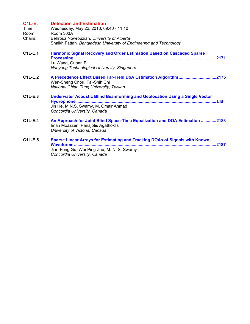| $C1L-E$ :<br>Time:<br>Room:<br>Chairs: | <b>Detection and Estimation</b><br>Wednesday, May 22, 2013, 09:40 - 11:10<br>Room 303A<br>Behrouz Nowrouzian, University of Alberta<br>Shaikh Fattah, Bangladesh University of Engineering and Technology |
|----------------------------------------|-----------------------------------------------------------------------------------------------------------------------------------------------------------------------------------------------------------|
| $C1L-E.1$                              | <b>Harmonic Signal Recovery and Order Estimation Based on Cascaded Sparse</b><br>Lu Wang, Guoan Bi<br>Nanyang Technological University, Singapore                                                         |
| $C1L-E.2$                              | A Precedence Effect Based Far-Field DoA Estimation Algorithm2175<br>Wen-Sheng Chou, Tai-Shih Chi<br>National Chiao Tung University, Taiwan                                                                |
| $C1L-E.3$                              | <b>Underwater Acoustic Blind Beamforming and Geolocation Using a Single Vector</b><br>Jin He, M.N.S. Swamy, M. Omair Ahmad<br>Concordia University, Canada                                                |
| <b>C1L-E.4</b>                         | An Approach for Joint Blind Space-Time Equalization and DOA Estimation 2183<br>Iman Moazzen, Panajotis Agathoklis<br>University of Victoria, Canada                                                       |
| <b>C1L-E.5</b>                         | <b>Sparse Linear Arrays for Estimating and Tracking DOAs of Signals with Known</b><br>Jian-Feng Gu, Wei-Ping Zhu, M. N. S. Swamy<br>Concordia University, Canada                                          |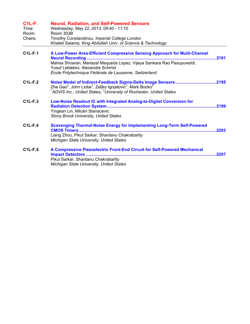| $C1L-F:$<br>Time:<br>Room:<br>Chairs: | <b>Neural, Radiation, and Self-Powered Sensors</b><br>Wednesday, May 22, 2013, 09:40 - 11:10<br>Room 303B<br>Timothy Constandinou, Imperial College London<br>Khaled Salama, King Abdullah Univ. of Science & Technology                                                      |       |
|---------------------------------------|-------------------------------------------------------------------------------------------------------------------------------------------------------------------------------------------------------------------------------------------------------------------------------|-------|
| <b>C1L-F.1</b>                        | A Low-Power Area-Efficient Compressive Sensing Approach for Multi-Channel<br><b>Neural Recording </b><br>Mahsa Shoaran, Mariazel Maqueda Lopez, Vijaya Sankara Rao Pasupureddi,<br>Yusuf Leblebici, Alexandre Schmid<br>École Polytechnique Fédérale de Lausanne, Switzerland | .2191 |
| $C1L-F.2$                             | Zhe Gao <sup>2</sup> , John Liobe <sup>1</sup> , Zeljko Ignjatovic <sup>2</sup> , Mark Bocko <sup>2</sup><br><sup>1</sup> ADVIS Inc., United States; <sup>2</sup> University of Rochester, United States                                                                      |       |
| $C1L-F.3$                             | Low-Noise Readout IC with Integrated Analog-to-Digital Conversion for<br>Yingkan Lin, Milutin Stanacevic<br><b>Stony Brook University, United States</b>                                                                                                                      |       |
| $C1L-F.4$                             | <b>Scavenging Thermal-Noise Energy for Implementing Long-Term Self-Powered</b><br>Liang Zhou, Pikul Sarkar, Shantanu Chakrabartty<br>Michigan State University, United States                                                                                                 | 2203  |
| $C1L-F.5$                             | A Compressive Piezoelectric Front-End Circuit for Self-Powered Mechanical<br>Pikul Sarkar, Shantanu Chakrabartty<br>Michigan State University, United States                                                                                                                  | .2207 |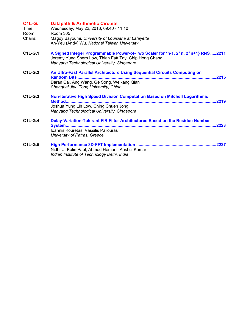| <b>C1L-G:</b><br>Time:<br>Room:<br>Chairs: | <b>Datapath &amp; Arithmetic Circuits</b><br>Wednesday, May 22, 2013, 09:40 - 11:10<br><b>Room 305</b><br>Magdy Bayoumi, University of Louisiana at Lafayette<br>An-Yeu (Andy) Wu, National Taiwan University                 |  |
|--------------------------------------------|-------------------------------------------------------------------------------------------------------------------------------------------------------------------------------------------------------------------------------|--|
| $C1L-G.1$                                  | A Signed Integer Programmable Power-of-Two Scaler for <sup>2</sup> n-1, 2 <sup>n</sup> n, 2 <sup>n+1</sup> } RNS2211<br>Jeremy Yung Shern Low, Thian Fatt Tay, Chip Hong Chang<br>Nanyang Technological University, Singapore |  |
| $C1L-G.2$                                  | An Ultra-Fast Parallel Architecture Using Sequential Circuits Computing on<br><b>Random Bits</b><br>.2215<br>Daran Cai, Ang Wang, Ge Song, Weikang Qian<br>Shanghai Jiao Tong University, China                               |  |
| $C1L-G.3$                                  | Non-Iterative High Speed Division Computation Based on Mitchell Logarithmic<br>2219<br><b>Method</b><br>Joshua Yung Lih Low, Ching Chuen Jong<br>Nanyang Technological University, Singapore                                  |  |
| $C1L-G.4$                                  | Delay-Variation-Tolerant FIR Filter Architectures Based on the Residue Number<br>2223<br><b>System</b><br>Ioannis Kouretas, Vassilis Paliouras<br>University of Patras, Greece                                                |  |
| <b>C1L-G.5</b>                             | Nidhi U, Kolin Paul, Ahmed Hemani, Anshul Kumar<br>Indian Institute of Technology Delhi, India                                                                                                                                |  |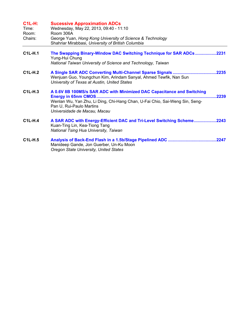| <b>C1L-H:</b><br>Time:<br>Room:<br>Chairs: | <b>Sucessive Approximation ADCs</b><br>Wednesday, May 22, 2013, 09:40 - 11:10<br>Room 306A<br>George Yuan, Hong Kong University of Science & Technology<br>Shahriar Mirabbasi, University of British Columbia                                           |
|--------------------------------------------|---------------------------------------------------------------------------------------------------------------------------------------------------------------------------------------------------------------------------------------------------------|
| <b>C1L-H.1</b>                             | The Swapping Binary-Window DAC Switching Technique for SAR ADCs2231<br>Yung-Hui Chung<br>National Taiwan University of Science and Technology, Taiwan                                                                                                   |
| $C1L-H.2$                                  | Wenjuan Guo, Youngchun Kim, Arindam Sanyal, Ahmed Tewfik, Nan Sun<br>University of Texas at Austin, United States                                                                                                                                       |
| $C1L-H.3$                                  | A 0.6V 8B 100MS/s SAR ADC with Minimized DAC Capacitance and Switching<br><b>Energy in 65nm CMOS</b><br>2239<br>Wenlan Wu, Yan Zhu, Li Ding, Chi-Hang Chan, U-Fai Chio, Sai-Weng Sin, Seng-<br>Pan U, Rui-Paulo Martins<br>Universidade de Macau, Macau |
| $C1L-H.4$                                  | A SAR ADC with Energy-Efficient DAC and Tri-Level Switching Scheme2243<br>Kuan-Ting Lin, Kea-Tiong Tang<br>National Tsing Hua University, Taiwan                                                                                                        |
| <b>C1L-H.5</b>                             | Manideep Gande, Jon Guerber, Un-Ku Moon<br>Oregon State University, United States                                                                                                                                                                       |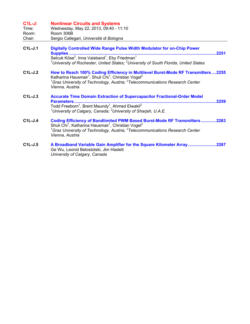## **C1L-J: Nonlinear Circuits and Systems**

| Time:  | Wednesday, May 22, 2013, 09:40 - 11:10  |
|--------|-----------------------------------------|
| Room:  | Room 306B                               |
| Chair: | Sergio Callegari, Università di Bologna |

- **C1L-J.1 Digitally Controlled Wide Range Pulse Width Modulator for on-Chip Power Supplies .............................................................................................................................2251**  Selcuk Köse<sup>2</sup>, Inna Vaisband<sup>1</sup>, Eby Friedman<sup>1</sup> *1 University of Rochester, United States; <sup>2</sup> University of South Florida, United States*
- **C1L-J.2 How to Reach 100% Coding Efficiency in Multilevel Burst-Mode RF Transmitters....2255**  Katharina Hausmair<sup>1</sup>, Shuli Chi<sup>1</sup>, Christian Vogel<sup>2</sup> *1 Graz University of Technology, Austria; <sup>2</sup> Telecommunications Research Center Vienna, Austria*
- **C1L-J.3 Accurate Time Domain Extraction of Supercapacitor Fractional-Order Model Parameters.........................................................................................................................2259**  Todd Freeborn<sup>1</sup>, Brent Maundy<sup>1</sup>, Ahmed Elwakil<sup>2</sup> *1 University of Calgary, Canada; <sup>2</sup> University of Sharjah, U.A.E.*
- **C1L-J.4 Coding Efficiency of Bandlimited PWM Based Burst-Mode RF Transmitters.............2263**  Shuli Chi<sup>1</sup>, Katharina Hausmair<sup>1</sup>, Christian Vogel<sup>2</sup> *1 Graz University of Technology, Austria; <sup>2</sup> Telecommunications Research Center Vienna, Austria*
- **C1L-J.5 A Broadband Variable Gain Amplifier for the Square Kilometer Array........................2267**  Ge Wu, Leonid Belostotski, Jim Haslett *University of Calgary, Canada*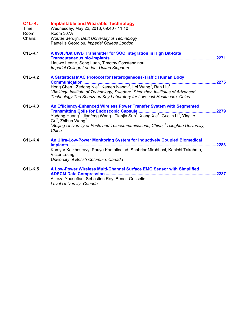| <b>C1L-K:</b><br>Time:<br>Room:<br>Chairs: | <b>Implantable and Wearable Technology</b><br>Wednesday, May 22, 2013, 09:40 - 11:10<br>Room 307A<br>Wouter Serdijn, Delft University of Technology<br>Pantellis Georgiou, Imperial College London                                                                                                                                                                    |  |
|--------------------------------------------|-----------------------------------------------------------------------------------------------------------------------------------------------------------------------------------------------------------------------------------------------------------------------------------------------------------------------------------------------------------------------|--|
| $C1L-K.1$                                  | A 890fJ/Bit UWB Transmitter for SOC Integration in High Bit-Rate<br>Lieuwe Leene, Song Luan, Timothy Constandinou<br>Imperial College London, United Kingdom                                                                                                                                                                                                          |  |
| $C1L-K.2$                                  | A Statistical MAC Protocol for Heterogeneous-Traffic Human Body<br>2275<br>${}^{1}$ Blekinge Institute of Technology, Sweden; ${}^{2}$ Shenzhen Institutes of Advanced<br>Technology, The Shenzhen Key Laboratory for Low-cost Healthcare, China                                                                                                                      |  |
| <b>C1L-K.3</b>                             | An Efficiency-Enhanced Wireless Power Transfer System with Segmented<br>Yadong Huang <sup>2</sup> , Jianfeng Wang <sup>1</sup> , Tianjia Sun <sup>2</sup> , Xiang Xie <sup>2</sup> , Guolin Li <sup>2</sup> , Yingke<br>$Gu2$ , Zhihua Wang <sup>2</sup><br><sup>1</sup> Beijing University of Posts and Telecommunications, China; $2$ Tsinghua University,<br>China |  |
| $C1L-K.4$                                  | An Ultra-Low-Power Monitoring System for Inductively Coupled Biomedical<br>Kamyar Keikhosravy, Pouya Kamalinejad, Shahriar Mirabbasi, Kenichi Takahata,<br>Victor Leung<br>University of British Columbia, Canada                                                                                                                                                     |  |
| <b>C1L-K.5</b>                             | A Low-Power Wireless Multi-Channel Surface EMG Sensor with Simplified<br>Alireza Yousefian, Sébastien Roy, Benoit Gosselin<br>Laval University, Canada                                                                                                                                                                                                                |  |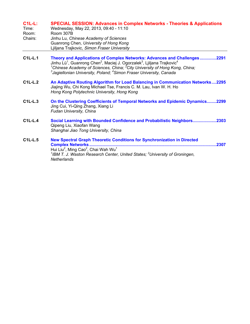## **C1L-L: SPECIAL SESSION: Advances in Complex Networks - Theories & Applications**

| Time:   | Wednesday, May 22, 2013, 09:40 - 11:10      |
|---------|---------------------------------------------|
| Room:   | Room 307B                                   |
| Chairs: | Jinhu Lu, Chinese Academy of Sciences       |
|         | Guanrong Chen, University of Hong Kong      |
|         | Ljiljana Trajkovic, Simon Fraser University |

- **C1L-L.1 Theory and Applications of Complex Networks: Advances and Challenges..............2291**  Jinhu Lü<sup>1</sup>, Guanrong Chen<sup>2</sup>, Maciej J. Ogorzalek<sup>3</sup>, Ljiljana Trajkovic<sup>4</sup> <sup>1</sup>Chinese Academy of Sciences, China; <sup>2</sup>City University of Hong Kong, China; *3 Jagiellonian University, Poland; <sup>4</sup> Simon Fraser University, Canada*
- **C1L-L.2 An Adaptive Routing Algorithm for Load Balancing in Communication Networks....2295**  Jiajing Wu, Chi Kong Michael Tse, Francis C. M. Lau, Ivan W. H. Ho *Hong Kong Polytechnic University, Hong Kong*
- **C1L-L.3 On the Clustering Coefficients of Temporal Networks and Epidemic Dynamics........2299**  Jing Cui, Yi-Qing Zhang, Xiang Li *Fudan University, China*
- **C1L-L.4 Social Learning with Bounded Confidence and Probabilistic Neighbors....................2303**  Qipeng Liu, Xiaofan Wang *Shanghai Jiao Tong University, China*
- **C1L-L.5 New Spectral Graph Theoretic Conditions for Synchronization in Directed Complex Networks............................................................................................................2307**  Hui Liu<sup>2</sup>, Ming Cao<sup>2</sup>, Chai Wah Wu<sup>1</sup> <sup>1</sup> IBM T. J. Waston Research Center, United States; <sup>2</sup> University of Groningen, *Netherlands*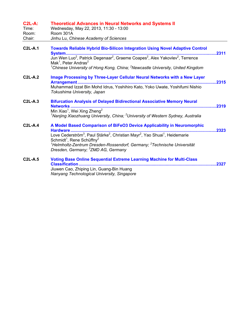| $C2L-A$ :<br>Time:<br>Room: | <b>Theoretical Advances in Neural Networks and Systems II</b><br>Wednesday, May 22, 2013, 11:30 - 13:00<br>Room 301A                                                             |       |
|-----------------------------|----------------------------------------------------------------------------------------------------------------------------------------------------------------------------------|-------|
| Chair:                      | Jinhu Lu, Chinese Academy of Sciences                                                                                                                                            |       |
| $C2L-A.1$                   | <b>Towards Reliable Hybrid Bio-Silicon Integration Using Novel Adaptive Control</b>                                                                                              |       |
|                             | Mak <sup>1</sup> , Peter Andras <sup>2</sup>                                                                                                                                     |       |
|                             | <sup>1</sup> Chinese University of Hong Kong, China; <sup>2</sup> Newcastle University, United Kingdom                                                                           |       |
| $C2L-A.2$                   | Image Processing by Three-Layer Cellular Neural Networks with a New Layer                                                                                                        | .2315 |
|                             | Muhammad Izzat Bin Mohd Idrus, Yoshihiro Kato, Yoko Uwate, Yoshifumi Nishio<br>Tokushima University, Japan                                                                       |       |
| $C2L-A.3$                   | <b>Bifurcation Analysis of Delayed Bidirectional Associative Memory Neural</b><br><b>Networks </b>                                                                               | .2319 |
|                             | Min Xiao <sup>1</sup> , Wei Xing Zheng <sup>2</sup><br><sup>1</sup> Nanjing Xiaozhuang University, China; $^2$ University of Western Sydney, Australia                           |       |
| $C2L-A.4$                   | A Model Based Comparison of BiFeO3 Device Applicability in Neuromorphic<br>2323<br>Hardware                                                                                      |       |
|                             | Love Cederström <sup>3</sup> , Paul Stärke <sup>2</sup> , Christian Mayr <sup>2</sup> , Yao Shuai <sup>1</sup> , Heidemarie<br>Schmidt <sup>1</sup> , Rene Schüffny <sup>2</sup> |       |
|                             | <sup>1</sup> Helmholtz-Zentrum Dresden-Rossendorf, Germany; <sup>2</sup> Technische Universität<br>Dresden, Germany; <sup>3</sup> ZMD AG, Germany                                |       |
| $C2L-A.5$                   | <b>Voting Base Online Sequential Extreme Learning Machine for Multi-Class</b><br><b>Classification</b>                                                                           | 2327  |
|                             | Jiuwen Cao, Zhiping Lin, Guang-Bin Huang                                                                                                                                         |       |
|                             | Nanyang Technological University, Singapore                                                                                                                                      |       |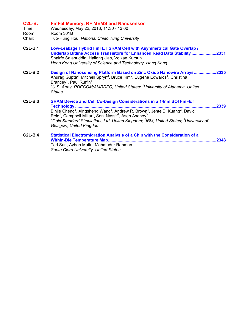## **C2L-B: FinFet Memory, RF MEMS and Nanosensor**

| Time:  | Wednesday, May 22, 2013, 11:30 - 13:00       |
|--------|----------------------------------------------|
| Room:  | Room 301B                                    |
| Chair: | Tuo-Hung Hou, National Chiao Tung University |

- **C2L-B.1 Low-Leakage Hybrid FinFET SRAM Cell with Asymmetrical Gate Overlap / Underlap Bitline Access Transistors for Enhanced Read Data Stability .....................2331**  Shairfe Salahuddin, Hailong Jiao, Volkan Kursun *Hong Kong University of Science and Technology, Hong Kong*  **C2L-B.2 Design of Nanosensing Platform Based on Zinc Oxide Nanowire Arrays...................2335**  Anurag Gupta<sup>2</sup>, Mitchell Spryn<sup>2</sup>, Bruce Kim<sup>2</sup>, Eugene Edwards<sup>1</sup>, Christina Brantley<sup>1</sup>, Paul Ruffin<sup>1</sup> <sup>1</sup>U.S. Army, RDECOM/AMRDEC, United States; <sup>2</sup>University of Alabama, United *States*  **C2L-B.3 SRAM Device and Cell Co-Design Considerations in a 14nm SOI FinFET Technology ........................................................................................................................2339**  Binjie Cheng<sup>3</sup>, Xingsheng Wang<sup>3</sup>, Andrew R. Brown<sup>1</sup>, Jente B. Kuang<sup>2</sup>, David Reid<sup>1</sup>, Campbell Millar<sup>1</sup>, Sani Nassif<sup>2</sup>, Asen Asenov<sup>3</sup> <sup>1</sup>Gold Standard Simulations Ltd, United Kingdom; <sup>2</sup>IBM, United States; <sup>3</sup>University of *Glasgow, United Kingdom*
- **C2L-B.4 Statistical Electromigration Analysis of a Chip with the Consideration of a Within-Die Temperature Map............................................................................................2343**  Ted Sun, Ayhan Mutlu, Mahmudur Rahman *Santa Clara University, United States*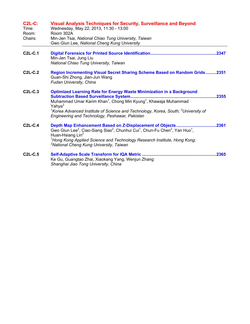| <b>C2L-C:</b><br>Time:<br>Room:<br>Chairs: | <b>Visual Analysis Techniques for Security, Surveillance and Beyond</b><br>Wednesday, May 22, 2013, 11:30 - 13:00<br>Room 302A<br>Min-Jen Tsai, National Chiao Tung University, Taiwan<br>Gwo Giun Lee, National Cheng Kung University                                                                                                                                                              |
|--------------------------------------------|-----------------------------------------------------------------------------------------------------------------------------------------------------------------------------------------------------------------------------------------------------------------------------------------------------------------------------------------------------------------------------------------------------|
| <b>C2L-C.1</b>                             | Min-Jen Tsai, Jung Liu<br>National Chiao Tung University, Taiwan                                                                                                                                                                                                                                                                                                                                    |
| $C2L-C.2$                                  | <b>Region Incrementing Visual Secret Sharing Scheme Based on Random Grids2351</b><br>Guan-Shi Zhong, Jian-Jun Wang<br>Fudan University, China                                                                                                                                                                                                                                                       |
| <b>C2L-C.3</b>                             | <b>Optimized Learning Rate for Energy Waste Minimization in a Background</b><br><b>Subtraction Based Surveillance System</b><br>Muhammad Umar Karim Khan <sup>1</sup> , Chong Min Kyung <sup>1</sup> , Khawaja Muhammad<br>Yahya <sup>2</sup><br><sup>1</sup> Korea Advanced Institute of Science and Technology, Korea, South; $2$ University of<br>Engineering and Technology, Peshawar, Pakistan |
| $C2L-C.4$                                  | Depth Map Enhancement Based on Z-Displacement of Objects<br>2361<br>Gwo Giun Lee <sup>2</sup> , Ciao-Siang Siao <sup>2</sup> , Chunhui Cui <sup>1</sup> , Chun-Fu Chen <sup>2</sup> , Yan Huo <sup>1</sup> ,<br>Huan-Hsiang Lin <sup>2</sup><br><sup>1</sup> Hong Kong Applied Science and Technology Research Institute, Hong Kong;<br><sup>2</sup> National Cheng Kung University, Taiwan         |
| $C2L-C.5$                                  | Ke Gu, Guangtao Zhai, Xiaokang Yang, Wenjun Zhang<br>Shanghai Jiao Tong University, China                                                                                                                                                                                                                                                                                                           |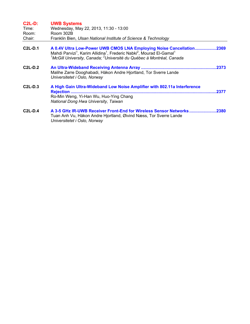| $C2L-D$ :      | <b>UWB Systems</b>                                                                                                                                                                                                                                                                            |
|----------------|-----------------------------------------------------------------------------------------------------------------------------------------------------------------------------------------------------------------------------------------------------------------------------------------------|
| Time:          | Wednesday, May 22, 2013, 11:30 - 13:00                                                                                                                                                                                                                                                        |
| Room:          | Room 302B                                                                                                                                                                                                                                                                                     |
| Chair:         | Franklin Bien, Ulsan National Institute of Science & Technology                                                                                                                                                                                                                               |
| <b>C2L-D.1</b> | A 0.4V Ultra Low-Power UWB CMOS LNA Employing Noise Cancellation2369<br>Mahdi Parvizi <sup>1</sup> , Karim Allidina <sup>1</sup> , Frederic Nabki <sup>2</sup> , Mourad El-Gamal <sup>1</sup><br><sup>1</sup> McGill University, Canada; <sup>2</sup> Université du Québec à Montréal, Canada |
| $C2L-D.2$      | Malihe Zarre Dooghabadi, Håkon Andre Hjortland, Tor Sverre Lande<br>Universitetet i Oslo, Norway                                                                                                                                                                                              |
| $C2L-D.3$      | A High Gain Ultra-Wideband Low Noise Amplifier with 802.11a Interference<br>.2377<br>Ro-Min Weng, Yi-Han Wu, Huo-Ying Chang<br>National Dong Hwa University, Taiwan                                                                                                                           |
| $C2L-D.4$      | A 3-5 GHz IR-UWB Receiver Front-End for Wireless Sensor Networks<br>2380<br>Tuan Anh Vu, Håkon Andre Hjortland, Øivind Næss, Tor Sverre Lande<br>Universitetet i Oslo, Norway                                                                                                                 |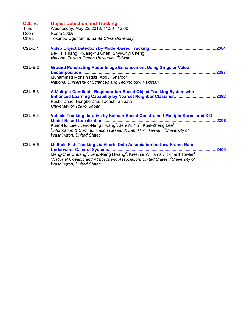| <b>C2L-E:</b><br>Time:<br>Room:<br>Chair: | <b>Object Detection and Tracking</b><br>Wednesday, May 22, 2013, 11:30 - 13:00<br>Room 303A<br>Tokunbo Ogunfunmi, Santa Clara University                                                                                                                                                                                                                 |  |
|-------------------------------------------|----------------------------------------------------------------------------------------------------------------------------------------------------------------------------------------------------------------------------------------------------------------------------------------------------------------------------------------------------------|--|
| <b>C2L-E.1</b>                            | De-Kai Huang, Kwang-Yu Chen, Shyi-Chyi Cheng<br>National Taiwan Ocean University, Taiwan                                                                                                                                                                                                                                                                 |  |
| $C2L-E.2$                                 | <b>Ground Penetrating Radar Image Enhancement Using Singular Value</b><br>.2388<br><b>Decomposition </b><br>Muhammad Mohsin Riaz, Abdul Ghafoor<br>National University of Sciences and Technology, Pakistan                                                                                                                                              |  |
| $C2L-E.3$                                 | A Multiple-Candidate-Regeneration-Based Object Tracking System with<br>Pushe Zhao, Hongbo Zhu, Tadashi Shibata<br>University of Tokyo, Japan                                                                                                                                                                                                             |  |
| $C2L-E.4$                                 | Vehicle Tracking Iterative by Kalman-Based Constrained Multiple-Kernel and 3-D<br>.2396<br>Kuan-Hui Lee <sup>2</sup> , Jenq-Neng Hwang <sup>2</sup> , Jen-Yu Yu <sup>1</sup> , Kual-Zheng Lee <sup>1</sup><br><sup>1</sup> Information & Communication Research Lab, ITRI, Taiwan; <sup>2</sup> University of<br><b>Washington, United States</b>        |  |
| $C2L-E.5$                                 | Multiple Fish Tracking via Viterbi Data Association for Low-Frame-Rate<br>2400<br>Meng-Che Chuang <sup>2</sup> , Jeng-Neng Hwang <sup>2</sup> , Kresimir Williams <sup>1</sup> , Richard Towler <sup>1</sup><br><sup>1</sup> National Oceanic and Atmospheric Association, United States; <sup>2</sup> University of<br><b>Washington, United States</b> |  |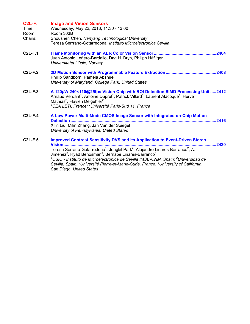| $C2L-F$ :<br>Time:<br>Room:<br>Chairs: | <b>Image and Vision Sensors</b><br>Wednesday, May 22, 2013, 11:30 - 13:00<br>Room 303B<br>Shoushen Chen, Nanyang Technological University<br>Teresa Serrrano-Gotarredona, Instituto Microelectronica Sevilla                                                                                                                                                                                                                                                                                                                                                                              |
|----------------------------------------|-------------------------------------------------------------------------------------------------------------------------------------------------------------------------------------------------------------------------------------------------------------------------------------------------------------------------------------------------------------------------------------------------------------------------------------------------------------------------------------------------------------------------------------------------------------------------------------------|
| $C2L-F.1$                              | Juan Antonio Leñero-Bardallo, Dag H. Bryn, Philipp Häfliger<br>Universitetet i Oslo, Norway                                                                                                                                                                                                                                                                                                                                                                                                                                                                                               |
| $C2L-F.2$                              | Phillip Sandborn, Pamela Abshire<br>University of Maryland, College Park, United States                                                                                                                                                                                                                                                                                                                                                                                                                                                                                                   |
| $C2L-F.3$                              | A 120µW 240×110@25fps Vision Chip with ROI Detection SIMD Processing Unit 2412<br>Arnaud Verdant <sup>1</sup> , Antoine Dupret <sup>1</sup> , Patrick Villard <sup>1</sup> , Laurent Alacoque <sup>1</sup> , Herve<br>Mathias <sup>2</sup> , Flavien Delgehier <sup>2</sup><br><sup>1</sup> CEA LETI, France; <sup>2</sup> Université Paris-Sud 11, France                                                                                                                                                                                                                                |
| $C2L-F.4$                              | A Low Power Multi-Mode CMOS Image Sensor with Integrated on-Chip Motion<br>.2416<br><b>Detection</b><br>Xilin Liu, Milin Zhang, Jan Van der Spiegel<br>University of Pennsylvania, United States                                                                                                                                                                                                                                                                                                                                                                                          |
| $C2L-F.5$                              | <b>Improved Contrast Sensitivity DVS and its Application to Event-Driven Stereo</b><br>2420<br><u>Vision</u><br>Teresa Serrano-Gotarredona <sup>1</sup> , Jongkil Park <sup>4</sup> , Alejandro Linares-Barranco <sup>2</sup> , A.<br>Jiménez <sup>2</sup> , Ryad Benosman <sup>3</sup> , Bernabe Linares-Barranco <sup>1</sup><br><sup>1</sup> CSIC - Instituto de Microelectrónica de Sevilla IMSE-CNM, Spain; <sup>2</sup> Universidad de<br>Sevilla, Spain; <sup>3</sup> Université Pierre-et-Marie-Curie, France; <sup>4</sup> University of California,<br>San Diego, United States |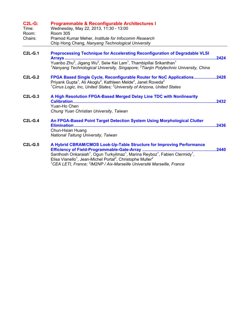| $C2L-G$ :<br>Time:<br>Room:<br>Chairs: | <b>Programmable &amp; Reconfigurable Architectures I</b><br>Wednesday, May 22, 2013, 11:30 - 13:00<br><b>Room 305</b><br>Pramod Kumar Meher, Institute for Infocomm Research<br>Chip Hong Chang, Nanyang Technological University                                                                                                                                                                  |
|----------------------------------------|----------------------------------------------------------------------------------------------------------------------------------------------------------------------------------------------------------------------------------------------------------------------------------------------------------------------------------------------------------------------------------------------------|
| $C2L-G.1$                              | Preprocessing Technique for Accelerating Reconfiguration of Degradable VLSI<br>2424<br>Yuanbo Zhu <sup>2</sup> , Jigang Wu <sup>2</sup> , Seiw Kei Lam <sup>1</sup> , Thambipillai Srikanthan <sup>1</sup><br><sup>1</sup> Nanyang Technological University, Singapore; <sup>2</sup> Tianjin Polytechnic University, China                                                                         |
| $C2L-G.2$                              | FPGA Based Single Cycle, Reconfigurable Router for NoC Applications2428<br>Priyank Gupta <sup>1</sup> , Ali Akoglu <sup>2</sup> , Kathleen Melde <sup>2</sup> , Janet Roveda <sup>2</sup><br><sup>1</sup> Cirrus Logic, Inc, United States; <sup>2</sup> University of Arizona, United States                                                                                                      |
| $C2L-G.3$                              | A High Resolution FPGA-Based Merged Delay Line TDC with Nonlinearity<br>.2432<br>Yuan-Ho Chen<br>Chung Yuan Christian University, Taiwan                                                                                                                                                                                                                                                           |
| $C2L-G.4$                              | An FPGA-Based Point Target Detection System Using Morphological Clutter<br>Chun-Hsian Huang<br>National Taitung University, Taiwan                                                                                                                                                                                                                                                                 |
| <b>C2L-G.5</b>                         | A Hybrid CBRAM/CMOS Look-Up-Table Structure for Improving Performance<br>.2440<br>Santhosh Onkaraiah <sup>1</sup> , Ogun Turkyilmaz <sup>1</sup> , Marina Reyboz <sup>1</sup> , Fabien Clermidy <sup>1</sup> ,<br>Elisa Vianello <sup>1</sup> , Jean-Michel Portal <sup>2</sup> , Christophe Muller <sup>2</sup><br>$^1$ CEA LETI, France; $^2$ IM2NP / Aix-Marseille Université Marseille, France |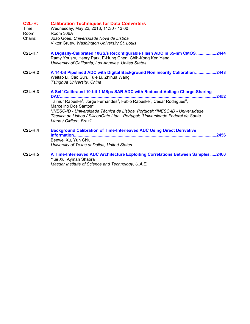| <b>C2L-H:</b><br>Time:<br>Room:<br>Chairs: | <b>Calibration Techniques for Data Converters</b><br>Wednesday, May 22, 2013, 11:30 - 13:00<br>Room 306A<br>João Goes, Universidade Nova de Lisboa<br>Viktor Gruev, Washington University St. Louis                                                                                                                                                                                                                                                                                  |
|--------------------------------------------|--------------------------------------------------------------------------------------------------------------------------------------------------------------------------------------------------------------------------------------------------------------------------------------------------------------------------------------------------------------------------------------------------------------------------------------------------------------------------------------|
| <b>C2L-H.1</b>                             | A Digitally-Calibrated 10GS/s Reconfigurable Flash ADC in 65-nm CMOS 2444<br>Ramy Yousry, Henry Park, E-Hung Chen, Chih-Kong Ken Yang<br>University of California, Los Angeles, United States                                                                                                                                                                                                                                                                                        |
| $C2L-H.2$                                  | A 14-bit Pipelined ADC with Digital Background Nonlinearity Calibration2448<br>Weitao Li, Cao Sun, Fule Li, Zhihua Wang<br>Tsinghua University, China                                                                                                                                                                                                                                                                                                                                |
| $C2L-H.3$                                  | A Self-Calibrated 10-bit 1 MSps SAR ADC with Reduced-Voltage Charge-Sharing<br><b>DAC</b><br>.2452<br>Taimur Rabuske <sup>1</sup> , Jorge Fernandes <sup>1</sup> , Fabio Rabuske <sup>3</sup> , Cesar Rodrigues <sup>3</sup> ,<br>Marcelino Dos Santos <sup>2</sup><br>$1$ INESC-ID - Universidade Técnica de Lisboa, Portugal; $2$ INESC-ID - Universidade<br>Técnica de Lisboa / SiliconGate Ltda., Portugal; <sup>3</sup> Universidade Federal de Santa<br>Maria / GMicro, Brazil |
| $C2L-H.4$                                  | <b>Background Calibration of Time-Interleaved ADC Using Direct Derivative</b><br>Benwei Xu, Yun Chiu<br>University of Texas at Dallas, United States                                                                                                                                                                                                                                                                                                                                 |
| <b>C2L-H.5</b>                             | A Time-Interleaved ADC Architecture Exploiting Correlations Between Samples  2460<br>Yue Xu, Ayman Shabra                                                                                                                                                                                                                                                                                                                                                                            |

*Masdar Institute of Science and Technology, U.A.E.*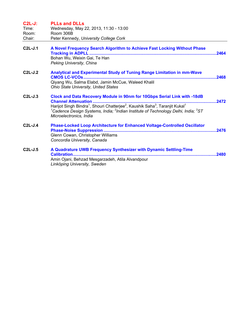| $C2L-J:$<br>Time:<br>Room:<br>Chair: | <b>PLLs and DLLs</b><br>Wednesday, May 22, 2013, 11:30 - 13:00<br>Room 306B<br>Peter Kennedy, University College Cork                                                                                                                                                                                                                                        |       |
|--------------------------------------|--------------------------------------------------------------------------------------------------------------------------------------------------------------------------------------------------------------------------------------------------------------------------------------------------------------------------------------------------------------|-------|
| $C2L-J.1$                            | A Novel Frequency Search Algorithm to Achieve Fast Locking Without Phase<br>Bohan Wu, Weixin Gai, Te Han<br>Peking University, China                                                                                                                                                                                                                         |       |
| $C2L-J.2$                            | Analytical and Experimental Study of Tuning Range Limitation in mm-Wave<br>Qiyang Wu, Salma Elabd, Jamin McCue, Waleed Khalil<br><b>Ohio State University, United States</b>                                                                                                                                                                                 |       |
| $C2L-J.3$                            | Clock and Data Recovery Module in 90nm for 10Gbps Serial Link with -18dB<br>Harijot Singh Bindra <sup>1</sup> , Shouri Chatterjee <sup>2</sup> , Kaushik Saha <sup>3</sup> , Taranjit Kukal <sup>1</sup><br><sup>1</sup> Cadence Design Systems, India; <sup>2</sup> Indian Institute of Technology Delhi, India; <sup>3</sup> ST<br>Microelectronics, India | .2472 |
| $C2L-J.4$                            | <b>Phase-Locked Loop Architecture for Enhanced Voltage-Controlled Oscillator</b><br>Glenn Cowan, Christopher Williams<br>Concordia University, Canada                                                                                                                                                                                                        |       |
| $C2L-J.5$                            | A Quadrature UWB Frequency Synthesizer with Dynamic Settling-Time<br>Calibration<br>Amin Ojani, Behzad Mesgarzadeh, Atila Alvandpour<br>Linköping University, Sweden                                                                                                                                                                                         |       |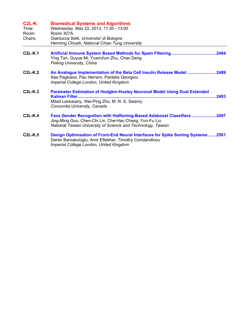| $C2L-K:$<br>Time:<br>Room:<br>Chairs: | <b>Biomedical Systems and Algorithms</b><br>Wednesday, May 22, 2013, 11:30 - 13:00<br>Room 307A<br>Gianlucca Setti, Universita' di Bologna<br>Herming Chiueh, National Chiao Tung University      |
|---------------------------------------|---------------------------------------------------------------------------------------------------------------------------------------------------------------------------------------------------|
| $C2L-K.1$                             | Ying Tan, Guyue Mi, Yuanchun Zhu, Chao Deng<br>Peking University, China                                                                                                                           |
| $C2L-K.2$                             | An Analogue Implementation of the Beta Cell Insulin Release Model2489<br>Ilias Pagkalos, Pau Herrero, Pantelis Georgiou<br>Imperial College London, United Kingdom                                |
| $C2L-K.3$                             | Parameter Estimation of Hodgkin-Huxley Neuronal Model Using Dual Extended<br>.2493<br>Milad Lankarany, Wei-Ping Zhu, M. N. S. Swamy<br>Concordia University, Canada                               |
| $C2L-K.4$                             | Face Gender Recognition with Halftoning-Based Adaboost Classifiers 2497<br>Jing-Ming Guo, Chen-Chi Lin, Che-Hao Chang, Yun-Fu Liu<br>National Taiwan University of Science and Technology, Taiwan |
| $C2L-K.5$                             | Design Optimisation of Front-End Neural Interfaces for Spike Sorting Systems2501<br>Deren Barsakcioglu, Amir Eftekhar, Timothy Constandinou<br>Imperial College London, United Kingdom            |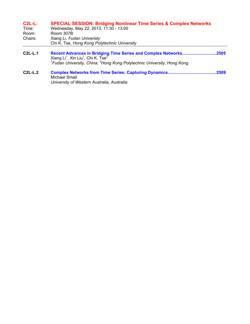| $C2L-L$ : | <b>SPECIAL SESSION: Bridging Nonlinear Time Series &amp; Complex Networks</b> |
|-----------|-------------------------------------------------------------------------------|
| Timo.     | $M_{\odot}$ deedeu Meu 22 2012 11:20 12:00                                    |

| Time:   | Wednesday, May 22, 2013, 11:30 - 13:00       |
|---------|----------------------------------------------|
| Room:   | Room 307B                                    |
| Chairs: | Xiang Li, Fudan Univeristy                   |
|         | Chi K. Tse, Hong Kong Polytechnic University |

- **C2L-L.1 Recent Advances in Bridging Time Series and Complex Networks.............................2505**  Xiang Li<sup>1</sup>, Xin Liu<sup>1</sup>, Chi K. Tse<sup>2</sup><br><sup>1</sup>Fudan University, China; <sup>2</sup>Hong Kong Polytechnic University, Hong Kong
- **C2L-L.2 Complex Networks from Time Series: Capturing Dynamics.........................................2509**  Michael Small *University of Western Australia, Australia*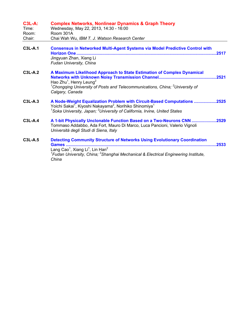| <b>C3L-A:</b><br>Time:<br>Room:<br>Chair: | <b>Complex Networks, Nonlinear Dynamics &amp; Graph Theory</b><br>Wednesday, May 22, 2013, 14:30 - 16:00<br>Room 301A<br>Chai Wah Wu, IBM T. J. Watson Research Center                                                                                                          |
|-------------------------------------------|---------------------------------------------------------------------------------------------------------------------------------------------------------------------------------------------------------------------------------------------------------------------------------|
| <b>C3L-A.1</b>                            | <b>Consensus in Networked Multi-Agent Systems via Model Predictive Control with</b><br><b>Horizon One </b><br>.2517<br>Jingyuan Zhan, Xiang Li<br>Fudan University, China                                                                                                       |
| <b>C3L-A.2</b>                            | A Maximum Likelihood Approach to State Estimation of Complex Dynamical<br>Hao Zhu <sup>1</sup> , Henry Leung <sup>2</sup><br><sup>1</sup> Chongqing University of Posts and Telecommunications, China; <sup>2</sup> University of<br>Calgary, Canada                            |
| C3L-A.3                                   | A Node-Weight Equalization Problem with Circuit-Based Computations 2525<br>Yoichi Sakai <sup>1</sup> , Kiyoshi Nakayama <sup>2</sup> , Norihiko Shinomiya <sup>1</sup><br><sup>1</sup> Soka University, Japan; <sup>2</sup> University of California, Irvine, United States     |
| $C3L-A.4$                                 | A 1-bit Physically Unclonable Function Based on a Two-Neurons CNN 2529<br>Tommaso Addabbo, Ada Fort, Mauro Di Marco, Luca Pancioni, Valerio Vignoli<br>Università degli Studi di Siena, Italy                                                                                   |
| <b>C3L-A.5</b>                            | <b>Detecting Community Structure of Networks Using Evolutionary Coordination</b><br>.2533<br>Lang Cao <sup>1</sup> , Xiang Li <sup>1</sup> , Lin Han <sup>2</sup><br><sup>1</sup> Fudan University, China; $2$ Shanghai Mechanical & Electrical Engineering Institute,<br>China |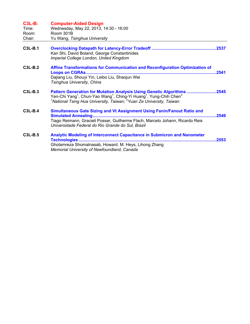| <b>C3L-B:</b><br>Time:<br>Room:<br>Chair: | <b>Computer-Aided Design</b><br>Wednesday, May 22, 2013, 14:30 - 16:00<br>Room 301B<br>Yu Wang, Tsinghua University                                                                                                                                                                         |
|-------------------------------------------|---------------------------------------------------------------------------------------------------------------------------------------------------------------------------------------------------------------------------------------------------------------------------------------------|
| $C3L-B.1$                                 | Kan Shi, David Boland, George Constantinides<br>Imperial College London, United Kingdom                                                                                                                                                                                                     |
| $C3L-B.2$                                 | Affine Transformations for Communication and Reconfiguration Optimization of<br>.2541<br><b>Loops on CGRAs</b><br>Dajiang Liu, Shouyi Yin, Leibo Liu, Shaojun Wei<br>Tsinghua University, China                                                                                             |
| C3L-B.3                                   | Pattern Generation for Mutation Analysis Using Genetic Algorithms 2545<br>Yen-Chi Yang <sup>1</sup> , Chun-Yao Wang <sup>1</sup> , Ching-Yi Huang <sup>1</sup> , Yung-Chih Chen <sup>2</sup><br><sup>1</sup> National Tsing Hua University, Taiwan; <sup>2</sup> Yuan Ze University, Taiwan |
| $C3L-B.4$                                 | Simultaneous Gate Sizing and Vt Assignment Using Fanin/Fanout Ratio and<br>2549<br>Tiago Reimann, Gracieli Posser, Guilherme Flach, Marcelo Johann, Ricardo Reis<br>Universidade Federal do Rio Grande do Sul, Brazil                                                                       |
| $C3L-B.5$                                 | <b>Analytic Modeling of Interconnect Capacitance in Submicron and Nanometer</b><br>2553<br><b>Technologies </b><br>Gholamreza Shomalnasab, Howard. M. Heys, Lihong Zhang<br>Memorial University of Newfoundland, Canada                                                                     |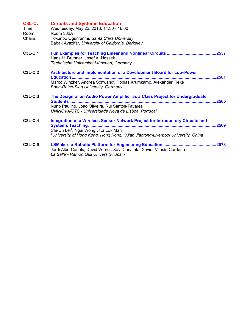| <b>C3L-C:</b><br>Time:<br>Room:<br>Chairs: | <b>Circuits and Systems Education</b><br>Wednesday, May 22, 2013, 14:30 - 16:00<br>Room 302A<br>Tokunbo Ogunfunmi, Santa Clara University<br>Babak Ayazifar, University of California, Berkeley                                                                          |       |
|--------------------------------------------|--------------------------------------------------------------------------------------------------------------------------------------------------------------------------------------------------------------------------------------------------------------------------|-------|
| C3L-C.1                                    | Hans H. Brunner, Josef A. Nossek<br>Technische Universität München, Germany                                                                                                                                                                                              |       |
| $C3L-C.2$                                  | Architecture and Implementation of a Development Board for Low-Power<br><b>Education</b><br>Marco Winzker, Andrea Schwandt, Tobias Krumkamp, Alexander Tieke<br>Bonn-Rhine-Sieg University, Germany                                                                      | .2561 |
| C3L-C.3                                    | The Design of an Audio Power Amplifier as a Class Project for Undergraduate<br>Nuno Paulino, Joao Oliveira, Rui Santos-Tavares<br>UNINOVA/CTS - Universidade Nova de Lisboa, Portugal                                                                                    | .2565 |
| C3L-C.4                                    | Integration of a Wireless Sensor Network Project for Introductory Circuits and<br>Chi-Un Lei <sup>1</sup> , Ngai Wong <sup>1</sup> , Ka Lok Man <sup>2</sup><br><sup>1</sup> University of Hong Kong, Hong Kong; <sup>2</sup> Xi'an Jiaotong-Liverpool University, China | .2569 |
| C3L-C.5                                    | Jordi Albo-Canals, David Vernet, Xavi Canaleta, Xavier Vilasís-Cardona<br>La Salle - Ramon Llull University, Spain                                                                                                                                                       |       |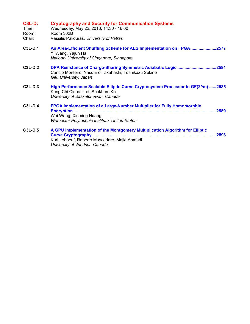| <b>C3L-D:</b><br>Time:<br>Room:<br>Chair: | <b>Cryptography and Security for Communication Systems</b><br>Wednesday, May 22, 2013, 14:30 - 16:00<br>Room 302B<br>Vassilis Paliouras, University of Patras                                        |
|-------------------------------------------|------------------------------------------------------------------------------------------------------------------------------------------------------------------------------------------------------|
| C3L-D.1                                   | An Area-Efficient Shuffling Scheme for AES Implementation on FPGA2577<br>Yi Wang, Yajun Ha<br>National University of Singapore, Singapore                                                            |
| $C3L-D.2$                                 | DPA Resistance of Charge-Sharing Symmetric Adiabatic Logic 2581<br>Cancio Monteiro, Yasuhiro Takahashi, Toshikazu Sekine<br>Gifu University, Japan                                                   |
| C3L-D.3                                   | High Performance Scalable Elliptic Curve Cryptosystem Processor in GF(2^m) 2585<br>Kung Chi Cinnati Loi, Seokbum Ko<br>University of Saskatchewan, Canada                                            |
| <b>C3L-D.4</b>                            | <b>FPGA Implementation of a Large-Number Multiplier for Fully Homomorphic</b><br>Encryption<br>Wei Wang, Xinming Huang<br>Worcester Polytechnic Institute, United States                             |
| C3L-D.5                                   | A GPU Implementation of the Montgomery Multiplication Algorithm for Elliptic<br>.2593<br><b>Curve Cryptography</b><br>Karl Leboeuf, Roberto Muscedere, Majid Ahmadi<br>University of Windsor, Canada |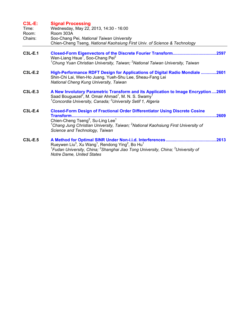| $C3L-E$ :<br>Time:<br>Room:<br>Chairs: | <b>Signal Processing</b><br>Wednesday, May 22, 2013, 14:30 - 16:00<br>Room 303A<br>Soo-Chang Pei, National Taiwan University<br>Chien-Cheng Tseng, National Kaohsiung First Univ. of Science & Technology                                                                                                                  |
|----------------------------------------|----------------------------------------------------------------------------------------------------------------------------------------------------------------------------------------------------------------------------------------------------------------------------------------------------------------------------|
| <b>C3L-E.1</b>                         | Wen-Liang Hsue <sup>1</sup> , Soo-Chang Pei <sup>2</sup><br><sup>1</sup> Chung Yuan Christian University, Taiwan; <sup>2</sup> National Taiwan University, Taiwan                                                                                                                                                          |
| C3L-E.2                                | High-Performance RDFT Design for Applications of Digital Radio Mondiale 2601<br>Shin-Chi Lai, Wen-Ho Juang, Yueh-Shu Lee, Sheau-Fang Lei<br>National Cheng Kung University, Taiwan                                                                                                                                         |
| $C3L-E.3$                              | A New Involutory Parametric Transform and its Application to Image Encryption2605<br>Saad Bouguezel <sup>2</sup> , M. Omair Ahmad <sup>1</sup> , M. N. S. Swamy <sup>1</sup><br><sup>1</sup> Concordia University, Canada; <sup>2</sup> University Setif 1, Algeria                                                        |
| <b>C3L-E.4</b>                         | <b>Closed-Form Design of Fractional Order Differentiator Using Discrete Cosine</b><br><b>Transform</b><br>2609<br>Chien-Cheng Tseng <sup>2</sup> , Su-Ling Lee <sup>1</sup><br><sup>1</sup> Chang Jung Christian University, Taiwan; <sup>2</sup> National Kaohsiung First University of<br>Science and Technology, Taiwan |
| C3L-E.5                                | .2613<br>Rueywen Liu <sup>3</sup> , Xu Wang <sup>1</sup> , Rendong Ying <sup>2</sup> , Bo Hu <sup>1</sup><br><sup>1</sup> Fudan University, China; <sup>2</sup> Shanghai Jiao Tong University, China; <sup>3</sup> University of<br>Notre Dame, United States                                                              |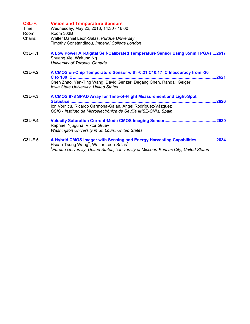| <b>C3L-F:</b><br>Time:<br>Room:<br>Chairs: | <b>Vision and Temperature Sensors</b><br>Wednesday, May 22, 2013, 14:30 - 16:00<br>Room 303B<br>Walter Daniel Leon-Salas, Purdue University<br>Timothy Constandinou, Imperial College London                                                             |
|--------------------------------------------|----------------------------------------------------------------------------------------------------------------------------------------------------------------------------------------------------------------------------------------------------------|
| <b>C3L-F.1</b>                             | A Low Power All-Digital Self-Calibrated Temperature Sensor Using 65nm FPGAs  2617<br>Shuang Xie, Waitung Ng<br>University of Toronto, Canada                                                                                                             |
| $C3L-F.2$                                  | A CMOS on-Chip Temperature Sensor with -0.21 C/ 0.17 C Inaccuracy from -20<br>C to 100 C<br>2621<br>Chen Zhao, Yen-Ting Wang, David Genzer, Degang Chen, Randall Geiger<br>Iowa State University, United States                                          |
| <b>C3L-F.3</b>                             | A CMOS 8×8 SPAD Array for Time-of-Flight Measurement and Light-Spot<br><b>Statistics </b><br>Ion Vornicu, Ricardo Carmona-Galán, Ángel Rodríguez-Vázquez<br>CSIC - Instituto de Microelectrónica de Sevilla IMSE-CNM, Spain                              |
| <b>C3L-F.4</b>                             | Raphael Njuguna, Viktor Gruev<br><b>Washington University in St. Louis, United States</b>                                                                                                                                                                |
| <b>C3L-F.5</b>                             | A Hybrid CMOS Imager with Sensing and Energy Harvesting Capabilities 2634<br>Hsuan-Tsung Wang <sup>2</sup> , Walter Leon-Salas <sup>1</sup><br>$^{\rm 1}$ Purdue University, United States; $^{\rm 2}$ University of Missouri-Kansas City, United States |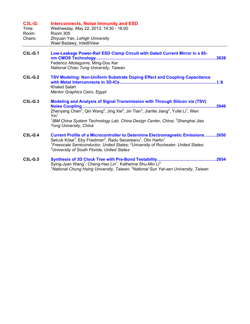| <b>C3L-G:</b><br>Time:<br>Room:<br>Chairs: | <b>Interconnects, Noise Immunity and ESD</b><br>Wednesday, May 22, 2013, 14:30 - 16:00<br><b>Room 305</b><br>Zhiyuan Yan, Lehigh University<br>Wael Badawy, IntellliView                                                                                                                                                                                                                                                    |      |
|--------------------------------------------|-----------------------------------------------------------------------------------------------------------------------------------------------------------------------------------------------------------------------------------------------------------------------------------------------------------------------------------------------------------------------------------------------------------------------------|------|
| C3L-G.1                                    | Low-Leakage Power-Rail ESD Clamp Circuit with Gated Current Mirror in a 65-<br>Federico Altolaguirre, Ming-Dou Ker<br>National Chiao Tung University, Taiwan                                                                                                                                                                                                                                                                |      |
| <b>C3L-G.2</b>                             | <b>TSV Modeling: Non-Uniform Substrate Doping Effect and Coupling Capacitance</b><br><b>Khaled Salah</b><br><b>Mentor Graphics Cairo, Egypt</b>                                                                                                                                                                                                                                                                             |      |
| C3L-G.3                                    | Modeling and Analysis of Signal Transmission with Through Silicon via (TSV)<br><b>Noise Coupling</b><br>Zhenyang Chen <sup>2</sup> , Qin Wang <sup>2</sup> , Jing Xie <sup>2</sup> , Jin Tian <sup>2</sup> , Jianfei Jiang <sup>2</sup> , Yufei Li <sup>1</sup> , Wen<br>$\mathsf{Yin}^1$<br><sup>1</sup> IBM China System Technology Lab, China Design Center, China; <sup>2</sup> Shanghai Jiao<br>Tong University, China | 2646 |
| <b>C3L-G.4</b>                             | <b>Current Profile of a Microcontroller to Determine Electromagnetic Emissions2650</b><br>Selcuk Köse <sup>3</sup> , Eby Friedman <sup>2</sup> , Radu Secareanu <sup>1</sup> , Olin Hartin <sup>1</sup><br><sup>1</sup> Freescale Semiconductor, United States; <sup>2</sup> University of Rochester, United States;<br><sup>3</sup> University of South Florida, United States                                             |      |
| <b>C3L-G.5</b>                             | Sying-Jyan Wang <sup>1</sup> , Cheng-Hao Lin <sup>1</sup> , Katherine Shu-Min Li <sup>2</sup><br><sup>1</sup> National Chung Hsing University, Taiwan; <sup>2</sup> National Sun Yat-sen University, Taiwan                                                                                                                                                                                                                 | 2654 |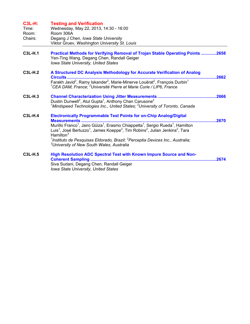| <b>C3L-H:</b><br>Time:<br>Room:<br>Chairs: | <b>Testing and Verification</b><br>Wednesday, May 22, 2013, 14:30 - 16:00<br>Room 306A<br>Degang J Chen, Iowa State University<br>Viktor Gruev, Washington University St. Louis                                                                                                                                                                                                                                                                                                                                                                                    |       |
|--------------------------------------------|--------------------------------------------------------------------------------------------------------------------------------------------------------------------------------------------------------------------------------------------------------------------------------------------------------------------------------------------------------------------------------------------------------------------------------------------------------------------------------------------------------------------------------------------------------------------|-------|
| <b>C3L-H.1</b>                             | Practical Methods for Verifying Removal of Trojan Stable Operating Points 2658<br>Yen-Ting Wang, Degang Chen, Randall Geiger<br><b>Iowa State University, United States</b>                                                                                                                                                                                                                                                                                                                                                                                        |       |
| $C3L-H.2$                                  | A Structured DC Analysis Methodology for Accurate Verification of Analog<br>Circuits<br>Farakh Javid <sup>2</sup> , Ramy Iskander <sup>2</sup> , Marie-Minerve Louërat <sup>2</sup> , François Durbin <sup>1</sup><br><sup>1</sup> CEA DAM, France; <sup>2</sup> Université Pierre et Marie Curie / LIP6, France                                                                                                                                                                                                                                                   | 2662  |
| $C3L-H.3$                                  | Dustin Dunwell <sup>2</sup> , Atul Gupta <sup>1</sup> , Anthony Chan Carusone <sup>2</sup><br><sup>1</sup> Mindspeed Technologies Inc., United States; $2$ University of Toronto, Canada                                                                                                                                                                                                                                                                                                                                                                           | .2666 |
| $C3L-H.4$                                  | <b>Electronically Programmable Test Points for on-Chip Analog/Digital</b><br><b>Measurements </b><br>Murillo Franco <sup>1</sup> , Jairo Güiza <sup>1</sup> , Erasmo Chiappetta <sup>1</sup> , Sergio Rueda <sup>1</sup> , Hamilton<br>Luis <sup>1</sup> , José Bertuzzo <sup>1</sup> , James Koeppe <sup>2</sup> , Tim Robins <sup>2</sup> , Julian Jenkins <sup>2</sup> , Tara<br>Hamilton $3$<br><sup>1</sup> Instituto de Pesquisas Eldorado, Brazil; <sup>2</sup> Perceptia Devices Inc., Australia;<br><sup>3</sup> University of New South Wales, Australia | .2670 |
| <b>C3L-H.5</b>                             | High Resolution ADC Spectral Test with Known Impure Source and Non-<br><b>Coherent Sampling </b><br>Siva Sudani, Degang Chen, Randall Geiger<br><b>Iowa State University, United States</b>                                                                                                                                                                                                                                                                                                                                                                        | 2674  |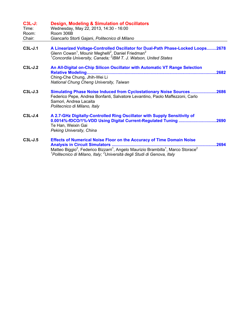| $C3L-J:$<br>Time:<br>Room:<br>Chair: | Design, Modeling & Simulation of Oscillators<br>Wednesday, May 22, 2013, 14:30 - 16:00<br>Room 306B<br>Giancarlo Storti Gajani, Politecnico di Milano                                                                                                                                                                |       |
|--------------------------------------|----------------------------------------------------------------------------------------------------------------------------------------------------------------------------------------------------------------------------------------------------------------------------------------------------------------------|-------|
| C3L-J.1                              | A Linearized Voltage-Controlled Oscillator for Dual-Path Phase-Locked Loops2678<br>Glenn Cowan <sup>1</sup> , Mounir Meghelli <sup>2</sup> , Daniel Friedman <sup>2</sup><br><sup>1</sup> Concordia University, Canada; <sup>2</sup> IBM T. J. Watson, United States                                                 |       |
| $C3L-J.2$                            | An All-Digital on-Chip Silicon Oscillator with Automatic VT Range Selection<br>Ching-Che Chung, Jhih-Wei Li<br>National Chung Cheng University, Taiwan                                                                                                                                                               | .2682 |
| $C3L-J.3$                            | Simulating Phase Noise Induced from Cyclostationary Noise Sources2686<br>Federico Pepe, Andrea Bonfanti, Salvatore Levantino, Paolo Maffezzoni, Carlo<br>Samori, Andrea Lacaita<br>Politecnico di Milano, Italy                                                                                                      |       |
| $C3L-J.4$                            | A 2.7-GHz Digitally-Controlled Ring Oscillator with Supply Sensitivity of<br>0.0014%-fDCO/1%-VDD Using Digital Current-Regulated Tuning 2690<br>Te Han, Weixin Gai<br>Peking University, China                                                                                                                       |       |
| C3L-J.5                              | <b>Effects of Numerical Noise Floor on the Accuracy of Time Domain Noise</b><br>Matteo Biggio <sup>2</sup> , Federico Bizzarri <sup>1</sup> , Angelo Maurizio Brambilla <sup>1</sup> , Marco Storace <sup>2</sup><br><sup>1</sup> Politecnico di Milano, Italy; <sup>2</sup> Università degli Studi di Genova, Italy | 2694  |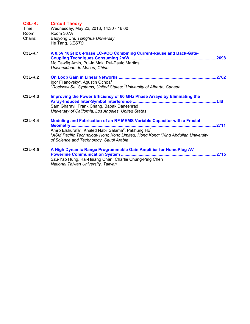| <b>C3L-K:</b><br>Time:<br>Room:<br>Chairs: | <b>Circuit Theory</b><br>Wednesday, May 22, 2013, 14:30 - 16:00<br>Room 307A<br>Baoyong Chi, Tsinghua University<br>He Tang, UESTC                                                                                                                                                                                         |  |
|--------------------------------------------|----------------------------------------------------------------------------------------------------------------------------------------------------------------------------------------------------------------------------------------------------------------------------------------------------------------------------|--|
| <b>C3L-K.1</b>                             | A 0.5V 10GHz 8-Phase LC-VCO Combining Current-Reuse and Back-Gate-<br>Md. Tawfiq Amin, Pui-In Mak, Rui-Paulo Martins<br>Universidade de Macau, China                                                                                                                                                                       |  |
| <b>C3L-K.2</b>                             | Igor Filanovsky <sup>2</sup> , Agustin Ochoa <sup>1</sup><br><sup>1</sup> Rockwell Se. Systems, United States; <sup>2</sup> University of Alberta, Canada                                                                                                                                                                  |  |
| C3L-K.3                                    | Improving the Power Efficiency of 60 GHz Phase Arrays by Eliminating the<br>Sam Gharavi, Frank Chang, Babak Daneshrad<br>University of California, Los Angeles, United States                                                                                                                                              |  |
| $C3L-K.4$                                  | Modeling and Fabrication of an RF MEMS Variable Capacitor with a Fractal<br>Amro Elshurafa <sup>2</sup> , Khaled Nabil Salama <sup>2</sup> , Pakhung Ho <sup>1</sup><br><sup>1</sup> ASM Pacific Technology Hong Kong Limited, Hong Kong; <sup>2</sup> King Abdullah University<br>of Science and Technology, Saudi Arabia |  |
| <b>C3L-K.5</b>                             | A High Dynamic Range Programmable Gain Amplifier for HomePlug AV<br>Szu-Yao Hung, Kai-Hsiang Chan, Charlie Chung-Ping Chen<br>National Taiwan University, Taiwan                                                                                                                                                           |  |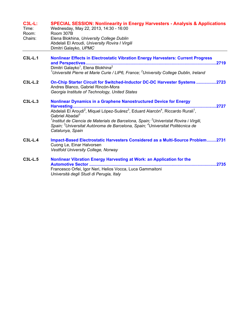| <b>C3L-L:</b><br>Time:<br>Room:<br>Chairs: | <b>SPECIAL SESSION: Nonlinearity in Energy Harvesters - Analysis &amp; Applications</b><br>Wednesday, May 22, 2013, 14:30 - 16:00<br>Room 307B<br>Elena Blokhina, University College Dublin<br>Abdelali El Aroudi, University Rovira I Virgili<br>Dimitri Galayko, UPMC                                                                                                                                                                                                                                           |
|--------------------------------------------|-------------------------------------------------------------------------------------------------------------------------------------------------------------------------------------------------------------------------------------------------------------------------------------------------------------------------------------------------------------------------------------------------------------------------------------------------------------------------------------------------------------------|
| C3L-L.1                                    | <b>Nonlinear Effects in Electrostatic Vibration Energy Harvesters: Current Progress</b><br>and Perspectives<br>.2719<br>Dimitri Galayko <sup>1</sup> , Elena Blokhina <sup>2</sup><br><sup>1</sup> Université Pierre et Marie Curie / LIP6, France; <sup>2</sup> University College Dublin, Ireland                                                                                                                                                                                                               |
| C3L-L.2                                    | On-Chip Starter Circuit for Switched-Inductor DC-DC Harvester Systems 2723<br>Andres Blanco, Gabriel Rincón-Mora<br>Georgia Institute of Technology, United States                                                                                                                                                                                                                                                                                                                                                |
| $C3L-L.3$                                  | <b>Nonlinear Dynamics in a Graphene Nanostructured Device for Energy</b><br>.2727<br>Harvesting<br>Abdelali El Aroudi <sup>2</sup> , Miquel López-Suárez <sup>3</sup> , Eduard Alarcón <sup>4</sup> , Riccardo Rurali <sup>1</sup> ,<br>Gabriel Abadal <sup>3</sup><br><sup>1</sup> Institut de Ciencia de Materials de Barcelona, Spain; <sup>2</sup> Univeristat Rovira i Virgili,<br>Spain; <sup>3</sup> Universitat Autònoma de Barcelona, Spain; <sup>4</sup> Universitat Politècnica de<br>Catalunya, Spain |
| C3L-L.4                                    | <b>Impact-Based Electrostatic Harvesters Considered as a Multi-Source Problem2731</b><br>Cuong Le, Einar Halvorsen<br><b>Vestfold University College, Norway</b>                                                                                                                                                                                                                                                                                                                                                  |
| C3L-L.5                                    | Nonlinear Vibration Energy Harvesting at Work: an Application for the<br>.2735<br>Francesco Orfei, Igor Neri, Helios Vocca, Luca Gammaitoni                                                                                                                                                                                                                                                                                                                                                                       |

*Università degli Studi di Perugia, Italy*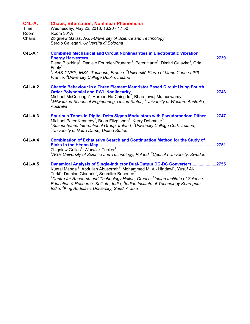| <b>C4L-A:</b><br>Time:<br>Room:<br>Chairs: | <b>Chaos, Bifurcation, Nonlinear Phenomena</b><br>Wednesday, May 22, 2013, 16:20 - 17:50<br>Room 301A<br>Zbigniew Galias, AGH-University of Science and Technology<br>Sergio Callegari, Università di Bologna                                                                                                                                                                                                                                                                                                                                              |
|--------------------------------------------|------------------------------------------------------------------------------------------------------------------------------------------------------------------------------------------------------------------------------------------------------------------------------------------------------------------------------------------------------------------------------------------------------------------------------------------------------------------------------------------------------------------------------------------------------------|
| $C4L-A.1$                                  | <b>Combined Mechanical and Circuit Nonlinearities in Electrostatic Vibration</b><br>2739<br>Feel $v^3$<br><sup>1</sup> LAAS-CNRS, INSA, Toulouse, France; <sup>2</sup> Université Pierre et Marie Curie / LIP6,<br>France; <sup>3</sup> University College Dublin, Ireland                                                                                                                                                                                                                                                                                 |
| $C4L-A.2$                                  | <b>Chaotic Behaviour in a Three Element Memristor Based Circuit Using Fourth</b><br>.2743<br>Michael McCullough <sup>2</sup> , Herbert Ho-Ching lu <sup>2</sup> , Bharathwaj Muthuswamy <sup>1</sup><br><sup>1</sup> Milwaukee School of Engineering, United States; <sup>2</sup> University of Western Australia,<br>Australia                                                                                                                                                                                                                            |
| <b>C4L-A.3</b>                             | Spurious Tones in Digital Delta Sigma Modulators with Pseudorandom Dither 2747<br>Michael Peter Kennedy <sup>2</sup> , Brian Fitzgibbon <sup>1</sup> , Kerry Dobmeier <sup>3</sup><br><sup>1</sup> Susquehanna International Group, Ireland; <sup>2</sup> University College Cork, Ireland;<br><sup>3</sup> University of Notre Dame, United States                                                                                                                                                                                                        |
| $C4L-A.4$                                  | <b>Combination of Exhaustive Search and Continuation Method for the Study of</b><br>Sinks in the Hénon Map<br>2751<br>Zbigniew Galias <sup>1</sup> , Warwick Tucker <sup>2</sup><br>${}^{1}$ AGH University of Science and Technology, Poland; ${}^{2}$ Uppsala University, Sweden                                                                                                                                                                                                                                                                         |
| $C4L-A.5$                                  | Dynamical Analysis of Single-Inductor Dual-Output DC-DC Converters2755<br>Kuntal Mandal <sup>3</sup> , Abdullah Abusorrah <sup>4</sup> , Mohammed M. Al- Hindawi <sup>4</sup> , Yusuf Al-<br>Turki <sup>4</sup> , Damian Giaouris <sup>1</sup> , Soumitro Banerjee <sup>2</sup><br><sup>1</sup> Centre for Research and Technology Hellas, Greece; <sup>2</sup> Indian Institute of Science<br>Education & Research -Kolkata, India; <sup>3</sup> Indian Institute of Technology Kharagpur,<br>India; <sup>4</sup> King Abdulaziz University, Saudi Arabia |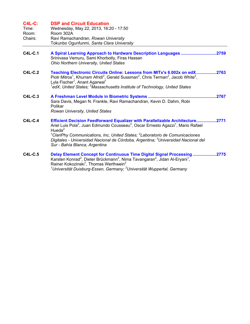## **C4L-C: DSP and Circuit Education**

| Time:   | Wednesday, May 22, 2013, 16:20 - 17:50    |
|---------|-------------------------------------------|
| Room:   | Room 302A                                 |
| Chairs: | Ravi Ramachandran, Rowan University       |
|         | Tokunbo Ogunfunmi, Santa Clara University |

- **C4L-C.1 A Spiral Learning Approach to Hardware Description Languages ..............................2759**  Srinivasa Vemuru, Sami Khorbotly, Firas Hassan *Ohio Northern University, United States*
- **C4L-C.2 Teaching Electronic Circuits Online: Lessons from MITx's 6.002x on edX.................2763**  Piotr Mitros<sup>1</sup>, Khurram Afridi<sup>2</sup>, Gerald Sussman<sup>2</sup>, Chris Terman<sup>2</sup>, Jacob White<sup>2</sup>, Lyla Fischer<sup>1</sup>, Anant Agarwal<sup>1</sup> <sup>1</sup>edX, United States; <sup>2</sup>Massachusetts Institute of Technology, United States
- **C4L-C.3 A Freshman Level Module in Biometric Systems ..........................................................2767**  Sara Davis, Megan N. Frankle, Ravi Ramachandran, Kevin D. Dahm, Robi Polikar *Rowan University, United States*
- **C4L-C.4 Efficient Decision Feedforward Equalizer with Parallelizable Architecture.................2771**  Ariel Luis Pola<sup>2</sup>, Juan Edmundo Cousseau<sup>3</sup>, Oscar Ernesto Agazzi<sup>1</sup>, Mario Rafael Hueda $2$ *1 ClariPhy Communications, Inc, United States; <sup>2</sup> Laboratorio de Comunicaciones Digitales - Universidad Nacional de Córdoba, Argentina; <sup>3</sup> Universidad Nacional del Sur - Bahía Blanca, Argentina*
- **C4L-C.5 Delay Element Concept for Continuous Time Digital Signal Processing ....................2775**  Karsten Konrad<sup>2</sup>, Dieter Brückmann<sup>2</sup>, Nima Tavangaran<sup>2</sup>, Jidan Al-Eryani<sup>1</sup>, Rainer Kokozinski<sup>1</sup>, Thomas Werthwein<sup>2</sup> <sup>1</sup>Universität Duisburg-Essen, Germany; <sup>2</sup>Universität Wuppertal, Germany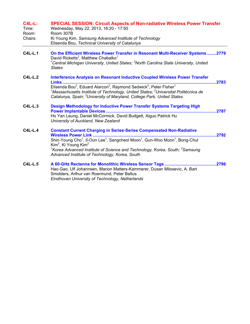| <b>C4L-L:</b><br>Time:<br>Room:<br>Chairs: | <b>SPECIAL SESSION: Circuit Aspects of Non-radiative Wireless Power Transfer</b><br>Wednesday, May 22, 2013, 16:20 - 17:50<br>Room 307B<br>Ki Young Kim, Samsung Advanced Institute of Technology                                                                                                                                                                                                                                      |  |
|--------------------------------------------|----------------------------------------------------------------------------------------------------------------------------------------------------------------------------------------------------------------------------------------------------------------------------------------------------------------------------------------------------------------------------------------------------------------------------------------|--|
|                                            | Elisenda Bou, Technical University of Catalunya                                                                                                                                                                                                                                                                                                                                                                                        |  |
| <b>C4L-L.1</b>                             | On the Efficient Wireless Power Transfer in Resonant Multi-Receiver Systems2779<br>David Ricketts <sup>2</sup> , Matthew Chabalko <sup>1</sup><br><sup>1</sup> Central Michigan University, United States; <sup>2</sup> North Carolina State University, United<br><b>States</b>                                                                                                                                                       |  |
| <b>C4L-L.2</b>                             | <b>Interference Analysis on Resonant Inductive Coupled Wireless Power Transfer</b><br>2783<br><b>Links</b><br>Elisenda Bou <sup>2</sup> , Eduard Alarcon <sup>2</sup> , Raymond Sedwick <sup>3</sup> , Peter Fisher <sup>1</sup><br>$^{\text{1}}$ Massachusetts Institute of Technology, United States; $^{\text{2}}$ Universitat Politècnica de<br>Catalunya, Spain; <sup>3</sup> University of Maryland, College Park, United States |  |
| $C4L-L.3$                                  | Design Methodology for Inductive Power Transfer Systems Targeting High<br>Ho Yan Leung, Daniel McCormick, David Budgett, Aiguo Patrick Hu<br>University of Auckland, New Zealand                                                                                                                                                                                                                                                       |  |
| $C4L-L.4$                                  | <b>Constant Current Charging in Series-Series Compensated Non-Radiative</b><br>2792<br>Shin-Young Cho <sup>1</sup> , Il-Oun Lee <sup>1</sup> , Sangcheol Moon <sup>1</sup> , Gun-Woo Moon <sup>1</sup> , Bong-Chul<br>Kim <sup>2</sup> , Ki Young Kim <sup>2</sup><br><sup>1</sup> Korea Advanced Institute of Science and Technology, Korea, South; <sup>2</sup> Samsung<br>Advanced Institute of Technology, Korea, South            |  |
| <b>C4L-L.5</b>                             | Hao Gao, Ulf Johannsen, Marion Matters-Kammerer, Dusan Milosevic, A. Bart<br>Smolders, Arthur van Roermund, Peter Baltus<br>Eindhoven University of Technology, Netherlands                                                                                                                                                                                                                                                            |  |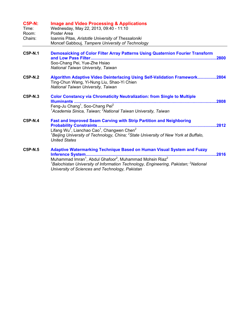| <b>C5P-N:</b><br>Time:<br>Room:<br>Chairs: | <b>Image and Video Processing &amp; Applications</b><br>Wednesday, May 22, 2013, 09:40 - 11:10<br>Poster Area<br>Ioannis Pitas, Aristotle University of Thessaloniki<br>Moncef Gabbouj, Tampere University of Technology                                                                                                                   |       |
|--------------------------------------------|--------------------------------------------------------------------------------------------------------------------------------------------------------------------------------------------------------------------------------------------------------------------------------------------------------------------------------------------|-------|
| <b>C5P-N.1</b>                             | Demosaicking of Color Filter Array Patterns Using Quaternion Fourier Transform<br>Soo-Chang Pei, Yue-Zhe Hsiao<br>National Taiwan University, Taiwan                                                                                                                                                                                       | .2800 |
| <b>C5P-N.2</b>                             | Algorithm Adaptive Video Deinterlacing Using Self-Validation Framework2804<br>Ting-Chun Wang, Yi-Nung Liu, Shao-Yi Chien<br>National Taiwan University, Taiwan                                                                                                                                                                             |       |
| C5P-N.3                                    | <b>Color Constancy via Chromaticity Neutralization: from Single to Multiple</b><br>Feng-Ju Chang <sup>1</sup> , Soo-Chang Pei <sup>2</sup><br>$^1$ Academia Sinica, Taiwan; $^2$ National Taiwan University, Taiwan                                                                                                                        | .2808 |
| C5P-N.4                                    | <b>Fast and Improved Seam Carving with Strip Partition and Neighboring</b><br><b>Probability Constraints</b><br><br>Lifang Wu <sup>1</sup> , Lianchao Cao <sup>1</sup> , Changwen Chen <sup>2</sup><br><sup>1</sup> Beijing University of Technology, China; <sup>2</sup> State University of New York at Buffalo,<br><b>United States</b> |       |
| <b>C5P-N.5</b>                             | Adaptive Watermarking Technique Based on Human Visual System and Fuzzy<br>Muhammad Imran <sup>1</sup> , Abdul Ghafoor <sup>2</sup> , Muhammad Mohsin Riaz <sup>2</sup><br>${}^{1}$ Balochistan University of Information Technology, Engineering, Pakistan; ${}^{2}$ National<br>University of Sciences and Technology, Pakistan           |       |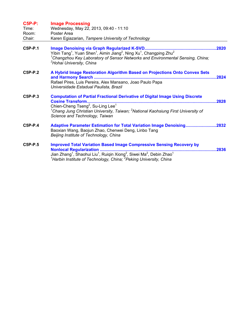| <b>C5P-P:</b><br>Time:<br>Room: | <b>Image Processing</b><br>Wednesday, May 22, 2013, 09:40 - 11:10<br>Poster Area                                                                                                                                                                                                                                                    |
|---------------------------------|-------------------------------------------------------------------------------------------------------------------------------------------------------------------------------------------------------------------------------------------------------------------------------------------------------------------------------------|
| Chair:                          | Karen Egiazarian, Tampere University of Technology                                                                                                                                                                                                                                                                                  |
| C5P-P.1                         | Yibin Tang <sup>1</sup> , Yuan Shen <sup>1</sup> , Aimin Jiang <sup>2</sup> , Ning Xu <sup>1</sup> , Changping Zhu <sup>2</sup><br><sup>1</sup> Changzhou Key Laboratory of Sensor Networks and Environmental Sensing, China;<br><sup>2</sup> Hohai University, China                                                               |
| C5P-P.2                         | A Hybrid Image Restoration Algorithm Based on Projections Onto Convex Sets<br>Rafael Pires, Luis Pereira, Alex Mansano, Joao Paulo Papa<br>Universidade Estadual Paulista, Brazil                                                                                                                                                   |
| C5P-P.3                         | <b>Computation of Partial Fractional Derivative of Digital Image Using Discrete</b><br><b>Cosine Transform.</b><br>2828<br>Chien-Cheng Tseng <sup>2</sup> , Su-Ling Lee <sup>1</sup><br><sup>1</sup> Chang Jung Christian University, Taiwan; <sup>2</sup> National Kaohsiung First University of<br>Science and Technology, Taiwan |
| C5P-P.4                         | Adaptive Parameter Estimation for Total Variation Image Denoising2832<br>Baoxian Wang, Baojun Zhao, Chenwei Deng, Linbo Tang<br>Beijing Institute of Technology, China                                                                                                                                                              |
| C5P-P.5                         | <b>Improved Total Variation Based Image Compressive Sensing Recovery by</b><br>.2836<br>Jian Zhang <sup>1</sup> , Shaohui Liu <sup>1</sup> , Ruiqin Xiong <sup>2</sup> , Siwei Ma <sup>2</sup> , Debin Zhao <sup>1</sup><br><sup>1</sup> Harbin Institute of Technology, China; <sup>2</sup> Peking University, China               |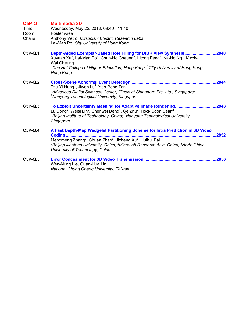| <b>C5P-Q:</b><br>Time:<br>Room: | <b>Multimedia 3D</b><br>Wednesday, May 22, 2013, 09:40 - 11:10<br>Poster Area                                                                                                                                                                                                                                                                                          |       |
|---------------------------------|------------------------------------------------------------------------------------------------------------------------------------------------------------------------------------------------------------------------------------------------------------------------------------------------------------------------------------------------------------------------|-------|
| Chairs:                         | Anthony Vetro, Mitsubishi Electric Research Labs<br>Lai-Man Po, City University of Hong Kong                                                                                                                                                                                                                                                                           |       |
| C5P-Q.1                         | Depth-Aided Exemplar-Based Hole Filling for DIBR View Synthesis<br>2840<br>Xuyuan Xu <sup>2</sup> , Lai-Man Po <sup>2</sup> , Chun-Ho Cheung <sup>2</sup> , Litong Feng <sup>2</sup> , Ka-Ho Ng <sup>2</sup> , Kwok-<br>Wai Cheung <sup>1</sup><br>${}^{1}$ Chu Hai College of Higher Education, Hong Kong; ${}^{2}$ City University of Hong Kong,<br><b>Hong Kong</b> |       |
| <b>C5P-Q.2</b>                  | Tzu-Yi Hung <sup>2</sup> , Jiwen Lu <sup>1</sup> , Yap-Peng Tan <sup>2</sup><br><sup>1</sup> Advanced Digital Sciences Center, Illinois at Singapore Pte. Ltd., Singapore;<br><sup>2</sup> Nanyang Technological University, Singapore                                                                                                                                 | 2844  |
| $C5P-Q.3$                       | <sup>1</sup> Beijing Institute of Technology, China; <sup>2</sup> Nanyang Technological University,<br>Singapore                                                                                                                                                                                                                                                       | 2848  |
| C5P-Q.4                         | A Fast Depth-Map Wedgelet Partitioning Scheme for Intra Prediction in 3D Video<br>Coding<br>Mengmeng Zhang <sup>3</sup> , Chuan Zhao <sup>3</sup> , Jizheng Xu <sup>2</sup> , Huihui Bai <sup>1</sup><br><sup>1</sup> Beijing Jiaotong University, China; <sup>2</sup> Microsoft Research Asia, China; <sup>3</sup> North China<br>University of Technology, China     | 2852  |
| $C5P-Q.5$                       | Wen-Nung Lie, Guan-Hua Lin<br>National Chung Cheng University, Taiwan                                                                                                                                                                                                                                                                                                  | .2856 |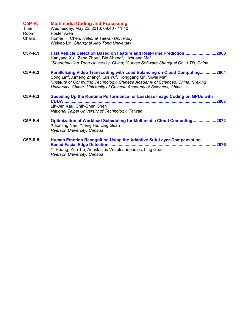| <b>C5P-R:</b><br>Time:<br>Room:<br>Chairs: | <b>Multimedia Coding and Processing</b><br>Wednesday, May 22, 2013, 09:40 - 11:10<br>Poster Area<br>Homer H. Chen, National Taiwan University<br>Weiyao Lin, Shanghai Jiao Tong University                                                                                                                                                                                                               |
|--------------------------------------------|----------------------------------------------------------------------------------------------------------------------------------------------------------------------------------------------------------------------------------------------------------------------------------------------------------------------------------------------------------------------------------------------------------|
| $C5P-R.1$                                  | Fast Vehicle Detection Based on Feature and Real-Time Prediction2860<br>Hanyang Xu <sup>1</sup> , Zeng Zhou <sup>2</sup> , Bin Sheng <sup>1</sup> , Lizhuang Ma <sup>1</sup><br><sup>1</sup> Shanghai Jiao Tong University, China; <sup>2</sup> Suntec Software Shanghai Co., LTD, China                                                                                                                 |
| C5P-R.2                                    | Parallelizing Video Transcoding with Load Balancing on Cloud Computing2864<br>Song Lin <sup>2</sup> , Xinfeng Zhang <sup>1</sup> , Qin Yu <sup>2</sup> , Honggang Qi <sup>3</sup> , Siwei Ma <sup>2</sup><br><sup>1</sup> Institute of Computing Technology, Chinese Academy of Sciences, China; <sup>2</sup> Peking<br>University, China; <sup>3</sup> University of Chinese Academy of Sciences, China |
| $C5P-R.3$                                  | Speeding Up the Runtime Performance for Lossless Image Coding on GPUs with<br><b>CUDA</b><br>.2868<br>Lih-Jen Kau, Chih-Shen Chen<br>National Taipei University of Technology, Taiwan                                                                                                                                                                                                                    |
| <b>C5P-R.4</b>                             | <b>Optimization of Workload Scheduling for Multimedia Cloud Computing2872</b><br>Xiaoming Nan, Yifeng He, Ling Guan<br>Ryerson University, Canada                                                                                                                                                                                                                                                        |
| C5P-R.5                                    | <b>Human Emotion Recognition Using the Adaptive Sub-Layer-Compensation</b><br>.2876<br>Yi Huang, Yun Tie, Anastasios Venetsanopoulos, Ling Guan<br>Ryerson University, Canada                                                                                                                                                                                                                            |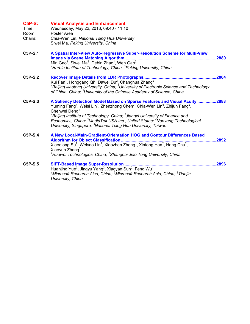| <b>C5P-S:</b><br>Time:<br>Room:<br>Chairs: | <b>Visual Analysis and Enhancement</b><br>Wednesday, May 22, 2013, 09:40 - 11:10<br>Poster Area<br>Chia-Wen Lin, National Tsing Hua University<br>Siwei Ma, Peking University, China                                                                                                                                                                                                                                                                                                                                                  |
|--------------------------------------------|---------------------------------------------------------------------------------------------------------------------------------------------------------------------------------------------------------------------------------------------------------------------------------------------------------------------------------------------------------------------------------------------------------------------------------------------------------------------------------------------------------------------------------------|
| C5P-S.1                                    | A Spatial Inter-View Auto-Regressive Super-Resolution Scheme for Multi-View<br>Image via Scene Matching Algorithm<br>.2880<br>Min Gao <sup>1</sup> , Siwei Ma <sup>2</sup> , Debin Zhao <sup>1</sup> , Wen Gao <sup>2</sup><br><sup>1</sup> Harbin Institute of Technology, China; <sup>2</sup> Peking University, China                                                                                                                                                                                                              |
| C5P-S.2                                    | 2884<br>Kui Fan <sup>1</sup> , Honggang Qi <sup>3</sup> , Dawei Du <sup>2</sup> , Changhua Zhang <sup>2</sup><br><sup>1</sup> Beijing Jiaotong University, China; <sup>2</sup> University of Electronic Science and Technology<br>of China, China; <sup>3</sup> University of the Chinese Academy of Science, China                                                                                                                                                                                                                   |
| C5P-S.3                                    | A Saliency Detection Model Based on Sparse Features and Visual Acuity 2888<br>Yuming Fang <sup>4</sup> , Weisi Lin <sup>4</sup> , Zhenzhong Chen <sup>3</sup> , Chia-Wen Lin <sup>5</sup> , Zhijun Fang <sup>2</sup> ,<br>Chenwei Deng <sup>1</sup><br><sup>1</sup> Beijing Institute of Technology, China; $2$ Jiangxi University of Finance and<br>Economics, China; <sup>3</sup> MediaTek USA Inc., United States; <sup>4</sup> Nanyang Technological<br>University, Singapore; <sup>5</sup> National Tsing Hua University, Taiwan |
| $C5P-S.4$                                  | A New Local-Main-Gradient-Orientation HOG and Contour Differences Based<br><b>Algorithm for Object Classification.</b><br>2892<br>Xiaogiong Su <sup>2</sup> , Weiyao Lin <sup>2</sup> , Xiaozhen Zheng <sup>1</sup> , Xintong Han <sup>2</sup> , Hang Chu <sup>2</sup> ,<br>Xiaoyun Zhang <sup>2</sup><br><sup>1</sup> Huawei Technologies, China; <sup>2</sup> Shanghai Jiao Tong University, China                                                                                                                                  |
| C5P-S.5                                    | SIFT-Based Image Super-Resolution<br>.2896<br>Huanjing Yue <sup>3</sup> , Jingyu Yang <sup>3</sup> , Xiaoyan Sun <sup>2</sup> , Feng Wu <sup>1</sup><br><sup>1</sup> Microsoft Research Aisa, China; <sup>2</sup> Microsoft Research Asia, China; <sup>3</sup> Tianjin<br>University, China                                                                                                                                                                                                                                           |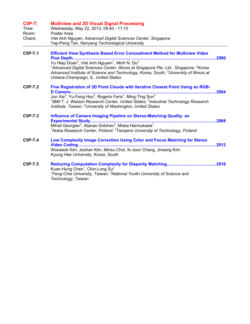| <b>C5P-T:</b><br>Time:<br>Room:<br>Chairs: | <b>Multiview and 3D Visual Signal Processing</b><br>Wednesday, May 22, 2013, 09:40 - 11:10<br>Poster Area<br>Viet Anh Nguyen, Advanced Digital Sciences Center, Singapore<br>Yap-Peng Tan, Nanyang Technological University                                                                                                                                                          |       |
|--------------------------------------------|--------------------------------------------------------------------------------------------------------------------------------------------------------------------------------------------------------------------------------------------------------------------------------------------------------------------------------------------------------------------------------------|-------|
| <b>C5P-T.1</b>                             | <b>Efficient View Synthesis Based Error Concealment Method for Multiview Video</b><br><sup>1</sup> Advanced Digital Sciences Center, Illinois at Singapore Pte. Ltd., Singapore; <sup>2</sup> Korea<br>Advanced Institute of Science and Technology, Korea, South; <sup>3</sup> University of Illinois at<br>Urbana-Champaign, IL, United States                                     |       |
| C5P-T.2                                    | Fine Registration of 3D Point Clouds with Iterative Closest Point Using an RGB-<br>Jun Xie <sup>3</sup> , Yu-Feng Hsu <sup>2</sup> , Rogerio Feris <sup>1</sup> , Ming-Ting Sun <sup>3</sup><br><sup>1</sup> IBM T. J. Watson Research Center, United States; <sup>2</sup> Industrial Technology Research<br>Institute, Taiwan; <sup>3</sup> University of Washington, United States |       |
| <b>C5P-T.3</b>                             | Influence of Camera Imaging Pipeline on Stereo-Matching Quality: an<br>Mihail Georgiev <sup>2</sup> , Atanas Gotchev <sup>2</sup> , Miska Hannuksela <sup>1</sup><br><sup>1</sup> Nokia Research Center, Finland; $2$ Tampere University of Technology, Finland                                                                                                                      | .2908 |
| <b>C5P-T.4</b>                             | Low Complexity Image Correction Using Color and Focus Matching for Stereo<br>Wooseok Kim, Joohan Kim, Minsu Choi, Ik-Joon Chang, Jinsang Kim<br>Kyung Hee University, Korea, South                                                                                                                                                                                                   |       |
| <b>C5P-T.5</b>                             | Kuan-Hung Chen <sup>1</sup> , Chin-Long Su <sup>2</sup><br><sup>1</sup> Feng-Chia University, Taiwan; <sup>2</sup> National Yunlin University of Science and<br>Technology, Taiwan                                                                                                                                                                                                   |       |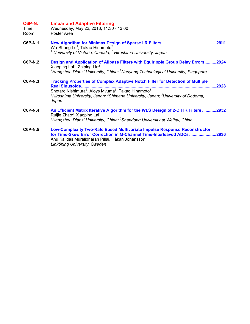## **C6P-N: Linear and Adaptive Filtering**

Time: Wednesday, May 22, 2013, 11:30 - 13:00 Room: Poster Area

- **C6P-N.1 New Algorithm for Minimax Design of Sparse IIR Filters ..............................................29** Wu-Sheng Lu<sup>1</sup>, Takao Hinamoto<sup>2</sup> *1 University of Victoria, Canada; <sup>2</sup> Hiroshima University, Japan*
- **C6P-N.2 Design and Application of Allpass Filters with Equiripple Group Delay Errors..........2924**  Xiaoping Lai<sup>1</sup>, Zhiping Lin<sup>2</sup> <sup>1</sup> Hangzhou Dianzi University, China; <sup>2</sup> Nanyang Technological University, Singapore
- **C6P-N.3 Tracking Properties of Complex Adaptive Notch Filter for Detection of Multiple Real Sinusoids...................................................................................................................2928**  Shotaro Nishimura<sup>2</sup>, Aloys Mvuma<sup>3</sup>, Takao Hinamoto<sup>1</sup> <sup>1</sup>Hiroshima University, Japan; <sup>2</sup>Shimane University, Japan; <sup>3</sup>University of Dodoma, *Japan*
- **C6P-N.4 An Efficient Matrix Iterative Algorithm for the WLS Design of 2-D FIR Filters ............2932**  Ruijie Zhao<sup>2</sup>, Xiaoping Lai<sup>1</sup> <sup>1</sup> Hangzhou Dianzi University, China; <sup>2</sup> Shandong University at Weihai, China
- **C6P-N.5 Low-Complexity Two-Rate Based Multivariate Impulse Response Reconstructor for Time-Skew Error Correction in M-Channel Time-Interleaved ADCs.......................2936**  Anu Kalidas Muralidharan Pillai, Håkan Johansson *Linköping University, Sweden*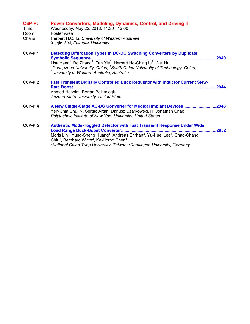| $C6P-P$ : | <b>Power Converters, Modeling, Dynamics, Control, and Driving II</b> |
|-----------|----------------------------------------------------------------------|
| Time.     | $M$ adnaaday $M$ ay 22, 2012, 11:20, 12:00                           |

| Time:   | vvednesdav, May 22, 2013, 11.30 - 13.00          |
|---------|--------------------------------------------------|
| Room:   | Poster Area                                      |
| Chairs: | Herbert H.C. Iu, University of Western Australia |
|         | Xiuqin Wei, Fukuoka University                   |

- **C6P-P.1 Detecting Bifurcation Types in DC-DC Switching Converters by Duplicate Symbolic Sequence ..........................................................................................................2940** Lisa Yang<sup>1</sup>, Bo Zhang<sup>2</sup>, Fan Xie<sup>2</sup>, Herbert Ho-Ching Iu<sup>3</sup>, Wei Hu<sup>1</sup> <sup>1</sup> Guangzhou University, China; <sup>2</sup> South China University of Technology, China; *3 University of Western Australia, Australia*
- **C6P-P.2 Fast Transient Digitally Controlled Buck Regulator with Inductor Current Slew-Rate Boost .........................................................................................................................2944**  Ahmed Hashim, Bertan Bakkaloglu *Arizona State University, United States*

## **C6P-P.4 A New Single-Stage AC-DC Converter for Medical Implant Devices............................2948**  Yen-Chia Chu, N. Sertac Artan, Dariusz Czarkowski, H. Jonathan Chao *Polytechnic Institute of New York University, United States*

**C6P-P.5 Authentic Mode-Toggled Detector with Fast Transient Response Under Wide Load Range Buck-Boost Converter.................................................................................2952**  Moris Lin<sup>1</sup>, Yung-Sheng Huang<sup>1</sup>, Andreas Ehrhart<sup>2</sup>, Yu-Huei Lee<sup>1</sup>, Chao-Chang Chiu<sup>1</sup>, Bernhard Wicht<sup>2</sup>, Ke-Horng Chen<sup>1</sup> *1 National Chiao Tung University, Taiwan; <sup>2</sup> Reutlingen University, Germany*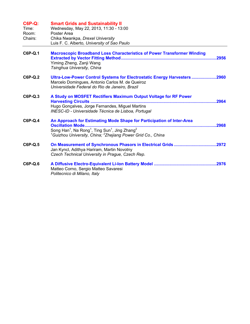| <b>C6P-Q:</b><br>Time:<br>Room:<br>Chairs: | <b>Smart Grids and Sustainability II</b><br>Wednesday, May 22, 2013, 11:30 - 13:00<br>Poster Area<br>Chika Nwankpa, Drexel University<br>Luis F. C. Alberto, University of Sao Paulo                                                                                                       |
|--------------------------------------------|--------------------------------------------------------------------------------------------------------------------------------------------------------------------------------------------------------------------------------------------------------------------------------------------|
| C6P-Q.1                                    | <b>Macroscopic Broadband Loss Characteristics of Power Transformer Winding</b><br>Yiming Zheng, Zanji Wang<br>Tsinghua University, China                                                                                                                                                   |
| $C6P-Q.2$                                  | Ultra-Low-Power Control Systems for Electrostatic Energy Harvesters 2960<br>Marcelo Domingues, Antonio Carlos M. de Queiroz<br>Universidade Federal do Rio de Janeiro, Brazil                                                                                                              |
| C6P-Q.3                                    | A Study on MOSFET Rectifiers Maximum Output Voltage for RF Power<br>Hugo Gonçalves, Jorge Fernandes, Miguel Martins<br>INESC-ID - Universidade Técnica de Lisboa, Portugal                                                                                                                 |
| <b>C6P-Q.4</b>                             | An Approach for Estimating Mode Shape for Participation of Inter-Area<br><b>Oscillation Mode.</b><br>Song Han <sup>1</sup> , Na Rong <sup>1</sup> , Ting Sun <sup>1</sup> , Jing Zhang <sup>2</sup><br><sup>1</sup> Guizhou University, China; <sup>2</sup> Zhejiang Power Grid Co., China |
| C6P-Q.5                                    | Jan Kyncl, Adithya Hariram, Martin Novotny<br>Czech Technical University in Prague, Czech Rep.                                                                                                                                                                                             |
| C6P-Q.6                                    | Matteo Corno, Sergio Matteo Savaresi<br>Politecnico di Milano, Italy                                                                                                                                                                                                                       |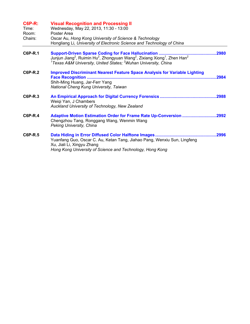| <b>C6P-R:</b><br>Time:<br>Room:<br>Chairs: | <b>Visual Recognition and Processing II</b><br>Wednesday, May 22, 2013, 11:30 - 13:00<br>Poster Area<br>Oscar Au, Hong Kong University of Science & Technology<br>Hongliang Li, University of Electronic Science and Technology of China                                                        |
|--------------------------------------------|-------------------------------------------------------------------------------------------------------------------------------------------------------------------------------------------------------------------------------------------------------------------------------------------------|
| C6P-R.1                                    | Support-Driven Sparse Coding for Face Hallucination<br>.2980<br>Junjun Jiang <sup>2</sup> , Ruimin Hu <sup>2</sup> , Zhongyuan Wang <sup>2</sup> , Zixiang Xiong <sup>1</sup> , Zhen Han <sup>2</sup><br><sup>1</sup> Texas A&M University, United States; <sup>2</sup> Wuhan University, China |
| <b>C6P-R.2</b>                             | <b>Improved Discriminant Nearest Feature Space Analysis for Variable Lighting</b><br><b>Face Recognition </b><br>2984<br>Shih-Ming Huang, Jar-Ferr Yang<br>National Cheng Kung University, Taiwan                                                                                               |
| C6P-R.3                                    | Weiqi Yan, J Chambers<br>Auckland University of Technology, New Zealand                                                                                                                                                                                                                         |
| C6P-R.4                                    | Adaptive Motion Estimation Order for Frame Rate Up-Conversion 2992<br>Chengzhou Tang, Ronggang Wang, Wenmin Wang<br>Peking University, China                                                                                                                                                    |
| <b>C6P-R.5</b>                             | Yuanfang Guo, Oscar C. Au, Ketan Tang, Jiahao Pang, Wenxiu Sun, Lingfeng<br>Xu, Jiali Li, Xingyu Zhang<br>Hong Kong University of Science and Technology, Hong Kong                                                                                                                             |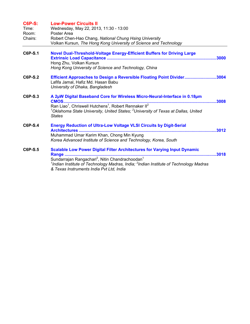| <b>C6P-S:</b><br>Time:<br>Room:<br>Chairs: | <b>Low-Power Circuits II</b><br>Wednesday, May 22, 2013, 11:30 - 13:00<br>Poster Area<br>Robert Chen-Hao Chang, National Chung Hsing University<br>Volkan Kursun, The Hong Kong University of Science and Technology                                                                                                                           |      |
|--------------------------------------------|------------------------------------------------------------------------------------------------------------------------------------------------------------------------------------------------------------------------------------------------------------------------------------------------------------------------------------------------|------|
| C6P-S.1                                    | Novel Dual-Threshold-Voltage Energy-Efficient Buffers for Driving Large<br>Hong Zhu, Volkan Kursun<br>Hong Kong University of Science and Technology, China                                                                                                                                                                                    |      |
| C6P-S.2                                    | Efficient Approaches to Design a Reversible Floating Point Divider3004<br>Lafifa Jamal, Hafiz Md. Hasan Babu<br>University of Dhaka, Bangladesh                                                                                                                                                                                                |      |
| C6P-S.3                                    | A 2µW Digital Baseband Core for Wireless Micro-Neural-Interface in 0.18µm<br>CMOS<br>Ran Liao <sup>1</sup> , Chriswell Hutchens <sup>1</sup> , Robert Rennaker II <sup>2</sup><br>$^{\text{\tiny{\textup{1}}}}$ Oklahoma State University, United States; $^{\text{\tiny{\textup{2}}}}$ University of Texas at Dallas, United<br><b>States</b> | 3008 |
| C6P-S.4                                    | <b>Energy Reduction of Ultra-Low Voltage VLSI Circuits by Digit-Serial</b><br>Muhammad Umar Karim Khan, Chong Min Kyung<br>Korea Advanced Institute of Science and Technology, Korea, South                                                                                                                                                    |      |
| C6P-S.5                                    | <b>Scalable Low Power Digital Filter Architectures for Varying Input Dynamic</b><br>Range<br>Sundarrajan Rangachari <sup>2</sup> , Nitin Chandrachoodan <sup>1</sup><br><sup>1</sup> Indian Institute of Technology Madras, India; <sup>2</sup> Indian Institute of Technology Madras<br>& Texas Instruments India Pvt Ltd, India              |      |